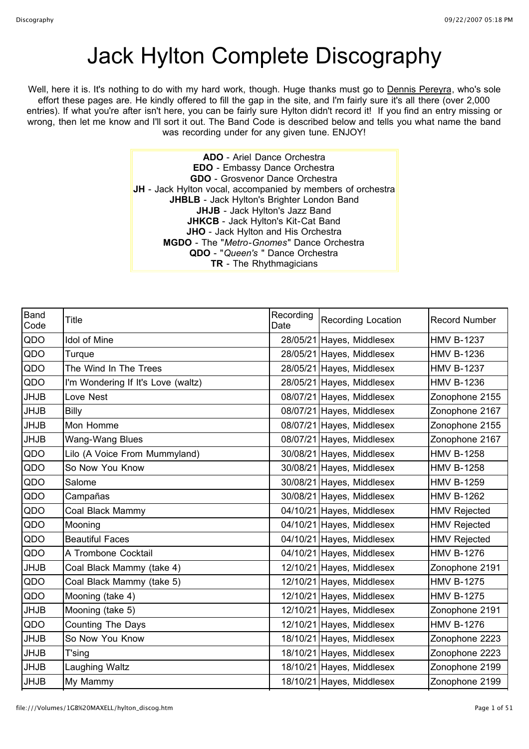## Jack Hylton Complete Discography

Well, here it is. It's nothing to do with my hard work, though. Huge thanks must go to Dennis Pereyra, who's sole effort these pages are. He kindly offered to fill the gap in the site, and I'm fairly sure it's all there (over 2,000 entries). If what you're after isn't here, you can be fairly sure Hylton didn't record it! If you find an entry missing or wrong, then let me know and I'll sort it out. The Band Code is described below and tells you what name the band was recording under for any given tune. ENJOY!

> **ADO** - Ariel Dance Orchestra **EDO** - Embassy Dance Orchestra **GDO** - Grosvenor Dance Orchestra **JH** - Jack Hylton vocal, accompanied by members of orchestra **JHBLB** - Jack Hylton's Brighter London Band **JHJB** - Jack Hylton's Jazz Band **JHKCB** - Jack Hylton's Kit-Cat Band **JHO** - Jack Hylton and His Orchestra **MGDO** - The "*Metro-Gnomes*" Dance Orchestra **QDO** - "*Queen's* " Dance Orchestra **TR** - The Rhythmagicians

| <b>Band</b><br>Code | Title                              | Recording<br>Date | <b>Recording Location</b> | <b>Record Number</b> |
|---------------------|------------------------------------|-------------------|---------------------------|----------------------|
| QDO                 | <b>Idol of Mine</b>                |                   | 28/05/21 Hayes, Middlesex | <b>HMV B-1237</b>    |
| QDO                 | Turque                             |                   | 28/05/21 Hayes, Middlesex | <b>HMV B-1236</b>    |
| QDO                 | The Wind In The Trees              |                   | 28/05/21 Hayes, Middlesex | <b>HMV B-1237</b>    |
| QDO                 | I'm Wondering If It's Love (waltz) |                   | 28/05/21 Hayes, Middlesex | <b>HMV B-1236</b>    |
| <b>JHJB</b>         | Love Nest                          |                   | 08/07/21 Hayes, Middlesex | Zonophone 2155       |
| <b>JHJB</b>         | Billy                              |                   | 08/07/21 Hayes, Middlesex | Zonophone 2167       |
| <b>JHJB</b>         | Mon Homme                          |                   | 08/07/21 Hayes, Middlesex | Zonophone 2155       |
| <b>JHJB</b>         | Wang-Wang Blues                    |                   | 08/07/21 Hayes, Middlesex | Zonophone 2167       |
| QDO                 | Lilo (A Voice From Mummyland)      |                   | 30/08/21 Hayes, Middlesex | <b>HMV B-1258</b>    |
| QDO                 | So Now You Know                    |                   | 30/08/21 Hayes, Middlesex | <b>HMV B-1258</b>    |
| QDO                 | Salome                             |                   | 30/08/21 Hayes, Middlesex | <b>HMV B-1259</b>    |
| QDO                 | Campañas                           |                   | 30/08/21 Hayes, Middlesex | <b>HMV B-1262</b>    |
| QDO                 | Coal Black Mammy                   |                   | 04/10/21 Hayes, Middlesex | <b>HMV Rejected</b>  |
| QDO                 | Mooning                            |                   | 04/10/21 Hayes, Middlesex | <b>HMV Rejected</b>  |
| QDO                 | <b>Beautiful Faces</b>             |                   | 04/10/21 Hayes, Middlesex | <b>HMV Rejected</b>  |
| QDO                 | A Trombone Cocktail                |                   | 04/10/21 Hayes, Middlesex | <b>HMV B-1276</b>    |
| <b>JHJB</b>         | Coal Black Mammy (take 4)          |                   | 12/10/21 Hayes, Middlesex | Zonophone 2191       |
| QDO                 | Coal Black Mammy (take 5)          |                   | 12/10/21 Hayes, Middlesex | <b>HMV B-1275</b>    |
| QDO                 | Mooning (take 4)                   |                   | 12/10/21 Hayes, Middlesex | <b>HMV B-1275</b>    |
| <b>JHJB</b>         | Mooning (take 5)                   |                   | 12/10/21 Hayes, Middlesex | Zonophone 2191       |
| QDO                 | <b>Counting The Days</b>           |                   | 12/10/21 Hayes, Middlesex | <b>HMV B-1276</b>    |
| <b>JHJB</b>         | So Now You Know                    |                   | 18/10/21 Hayes, Middlesex | Zonophone 2223       |
| <b>JHJB</b>         | T'sing                             |                   | 18/10/21 Hayes, Middlesex | Zonophone 2223       |
| <b>JHJB</b>         | Laughing Waltz                     |                   | 18/10/21 Hayes, Middlesex | Zonophone 2199       |
| <b>JHJB</b>         | My Mammy                           |                   | 18/10/21 Hayes, Middlesex | Zonophone 2199       |
|                     |                                    |                   |                           |                      |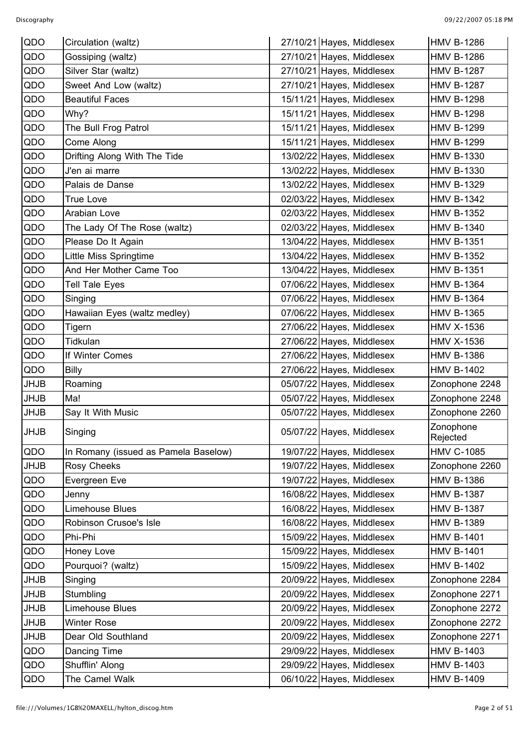| QDO         | Circulation (waltz)                  | 27/10/21 Hayes, Middlesex | <b>HMV B-1286</b>     |
|-------------|--------------------------------------|---------------------------|-----------------------|
| QDO         | Gossiping (waltz)                    | 27/10/21 Hayes, Middlesex | <b>HMV B-1286</b>     |
| QDO         | Silver Star (waltz)                  | 27/10/21 Hayes, Middlesex | <b>HMV B-1287</b>     |
| QDO         | Sweet And Low (waltz)                | 27/10/21 Hayes, Middlesex | <b>HMV B-1287</b>     |
| QDO         | <b>Beautiful Faces</b>               | 15/11/21 Hayes, Middlesex | <b>HMV B-1298</b>     |
| QDO         | Why?                                 | 15/11/21 Hayes, Middlesex | <b>HMV B-1298</b>     |
| QDO         | The Bull Frog Patrol                 | 15/11/21 Hayes, Middlesex | <b>HMV B-1299</b>     |
| QDO         | Come Along                           | 15/11/21 Hayes, Middlesex | <b>HMV B-1299</b>     |
| QDO         | Drifting Along With The Tide         | 13/02/22 Hayes, Middlesex | <b>HMV B-1330</b>     |
| QDO         | J'en ai marre                        | 13/02/22 Hayes, Middlesex | <b>HMV B-1330</b>     |
| QDO         | Palais de Danse                      | 13/02/22 Hayes, Middlesex | <b>HMV B-1329</b>     |
| QDO         | <b>True Love</b>                     | 02/03/22 Hayes, Middlesex | <b>HMV B-1342</b>     |
| QDO         | Arabian Love                         | 02/03/22 Hayes, Middlesex | <b>HMV B-1352</b>     |
| QDO         | The Lady Of The Rose (waltz)         | 02/03/22 Hayes, Middlesex | <b>HMV B-1340</b>     |
| QDO         | Please Do It Again                   | 13/04/22 Hayes, Middlesex | <b>HMV B-1351</b>     |
| QDO         | Little Miss Springtime               | 13/04/22 Hayes, Middlesex | <b>HMV B-1352</b>     |
| QDO         | And Her Mother Came Too              | 13/04/22 Hayes, Middlesex | <b>HMV B-1351</b>     |
| QDO         | <b>Tell Tale Eyes</b>                | 07/06/22 Hayes, Middlesex | <b>HMV B-1364</b>     |
| QDO         | Singing                              | 07/06/22 Hayes, Middlesex | <b>HMV B-1364</b>     |
| QDO         | Hawaiian Eyes (waltz medley)         | 07/06/22 Hayes, Middlesex | <b>HMV B-1365</b>     |
| QDO         | Tigern                               | 27/06/22 Hayes, Middlesex | <b>HMV X-1536</b>     |
| QDO         | Tidkulan                             | 27/06/22 Hayes, Middlesex | <b>HMV X-1536</b>     |
| QDO         | If Winter Comes                      | 27/06/22 Hayes, Middlesex | <b>HMV B-1386</b>     |
| QDO         | Billy                                | 27/06/22 Hayes, Middlesex | <b>HMV B-1402</b>     |
| <b>JHJB</b> | Roaming                              | 05/07/22 Hayes, Middlesex | Zonophone 2248        |
| <b>JHJB</b> | Ma!                                  | 05/07/22 Hayes, Middlesex | Zonophone 2248        |
| <b>JHJB</b> | Say It With Music                    | 05/07/22 Hayes, Middlesex | Zonophone 2260        |
| JHJB        | Singing                              | 05/07/22 Hayes, Middlesex | Zonophone<br>Rejected |
| QDO         | In Romany (issued as Pamela Baselow) | 19/07/22 Hayes, Middlesex | <b>HMV C-1085</b>     |
| <b>JHJB</b> | <b>Rosy Cheeks</b>                   | 19/07/22 Hayes, Middlesex | Zonophone 2260        |
| QDO         | Evergreen Eve                        | 19/07/22 Hayes, Middlesex | <b>HMV B-1386</b>     |
| QDO         | Jenny                                | 16/08/22 Hayes, Middlesex | <b>HMV B-1387</b>     |
| QDO         | Limehouse Blues                      | 16/08/22 Hayes, Middlesex | <b>HMV B-1387</b>     |
| QDO         | Robinson Crusoe's Isle               | 16/08/22 Hayes, Middlesex | <b>HMV B-1389</b>     |
| QDO         | Phi-Phi                              | 15/09/22 Hayes, Middlesex | <b>HMV B-1401</b>     |
| QDO         | Honey Love                           | 15/09/22 Hayes, Middlesex | <b>HMV B-1401</b>     |
| QDO         | Pourquoi? (waltz)                    | 15/09/22 Hayes, Middlesex | <b>HMV B-1402</b>     |
| JHJB        | Singing                              | 20/09/22 Hayes, Middlesex | Zonophone 2284        |
| JHJB        | Stumbling                            | 20/09/22 Hayes, Middlesex | Zonophone 2271        |
| <b>JHJB</b> | Limehouse Blues                      | 20/09/22 Hayes, Middlesex | Zonophone 2272        |
| JHJB        | <b>Winter Rose</b>                   | 20/09/22 Hayes, Middlesex | Zonophone 2272        |
| <b>JHJB</b> | Dear Old Southland                   | 20/09/22 Hayes, Middlesex | Zonophone 2271        |
| QDO         | Dancing Time                         | 29/09/22 Hayes, Middlesex | <b>HMV B-1403</b>     |
| QDO         | Shufflin' Along                      | 29/09/22 Hayes, Middlesex | <b>HMV B-1403</b>     |
| QDO         | The Camel Walk                       | 06/10/22 Hayes, Middlesex | <b>HMV B-1409</b>     |
|             |                                      |                           |                       |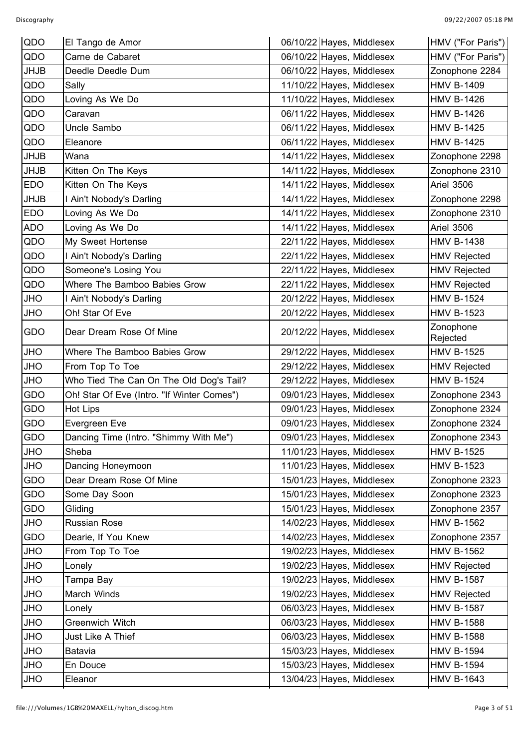| QDO         | El Tango de Amor                           | 06/10/22 Hayes, Middlesex | HMV ("For Paris")     |
|-------------|--------------------------------------------|---------------------------|-----------------------|
| QDO         | Carne de Cabaret                           | 06/10/22 Hayes, Middlesex | HMV ("For Paris")     |
| <b>JHJB</b> | Deedle Deedle Dum                          | 06/10/22 Hayes, Middlesex | Zonophone 2284        |
| QDO         | Sally                                      | 11/10/22 Hayes, Middlesex | <b>HMV B-1409</b>     |
| QDO         | Loving As We Do                            | 11/10/22 Hayes, Middlesex | <b>HMV B-1426</b>     |
| QDO         | Caravan                                    | 06/11/22 Hayes, Middlesex | <b>HMV B-1426</b>     |
| QDO         | Uncle Sambo                                | 06/11/22 Hayes, Middlesex | <b>HMV B-1425</b>     |
| QDO         | Eleanore                                   | 06/11/22 Hayes, Middlesex | <b>HMV B-1425</b>     |
| <b>JHJB</b> | Wana                                       | 14/11/22 Hayes, Middlesex | Zonophone 2298        |
| <b>JHJB</b> | Kitten On The Keys                         | 14/11/22 Hayes, Middlesex | Zonophone 2310        |
| <b>EDO</b>  | Kitten On The Keys                         | 14/11/22 Hayes, Middlesex | <b>Ariel 3506</b>     |
| <b>JHJB</b> | I Ain't Nobody's Darling                   | 14/11/22 Hayes, Middlesex | Zonophone 2298        |
| <b>EDO</b>  | Loving As We Do                            | 14/11/22 Hayes, Middlesex | Zonophone 2310        |
| ADO         | Loving As We Do                            | 14/11/22 Hayes, Middlesex | <b>Ariel 3506</b>     |
| QDO         | My Sweet Hortense                          | 22/11/22 Hayes, Middlesex | <b>HMV B-1438</b>     |
| QDO         | I Ain't Nobody's Darling                   | 22/11/22 Hayes, Middlesex | <b>HMV Rejected</b>   |
| QDO         | Someone's Losing You                       | 22/11/22 Hayes, Middlesex | <b>HMV Rejected</b>   |
| QDO         | Where The Bamboo Babies Grow               | 22/11/22 Hayes, Middlesex | <b>HMV Rejected</b>   |
| JHO         | I Ain't Nobody's Darling                   | 20/12/22 Hayes, Middlesex | <b>HMV B-1524</b>     |
| JHO         | Oh! Star Of Eve                            | 20/12/22 Hayes, Middlesex | <b>HMV B-1523</b>     |
| GDO         | Dear Dream Rose Of Mine                    | 20/12/22 Hayes, Middlesex | Zonophone<br>Rejected |
| JHO         | Where The Bamboo Babies Grow               | 29/12/22 Hayes, Middlesex | <b>HMV B-1525</b>     |
| JHO         | From Top To Toe                            | 29/12/22 Hayes, Middlesex | <b>HMV Rejected</b>   |
| JHO         | Who Tied The Can On The Old Dog's Tail?    | 29/12/22 Hayes, Middlesex | <b>HMV B-1524</b>     |
| GDO         | Oh! Star Of Eve (Intro. "If Winter Comes") | 09/01/23 Hayes, Middlesex | Zonophone 2343        |
| GDO         | Hot Lips                                   | 09/01/23 Hayes, Middlesex | Zonophone 2324        |
| GDO         | Evergreen Eve                              | 09/01/23 Hayes, Middlesex | Zonophone 2324        |
| GDO         | Dancing Time (Intro. "Shimmy With Me")     | 09/01/23 Hayes, Middlesex | Zonophone 2343        |
| JHO         | Sheba                                      | 11/01/23 Hayes, Middlesex | <b>HMV B-1525</b>     |
| JHO         | Dancing Honeymoon                          | 11/01/23 Hayes, Middlesex | <b>HMV B-1523</b>     |
| GDO         | Dear Dream Rose Of Mine                    | 15/01/23 Hayes, Middlesex | Zonophone 2323        |
| GDO         | Some Day Soon                              | 15/01/23 Hayes, Middlesex | Zonophone 2323        |
| GDO         | Gliding                                    | 15/01/23 Hayes, Middlesex | Zonophone 2357        |
| <b>OHU</b>  | Russian Rose                               | 14/02/23 Hayes, Middlesex | <b>HMV B-1562</b>     |
| GDO         | Dearie, If You Knew                        | 14/02/23 Hayes, Middlesex | Zonophone 2357        |
| JHO         | From Top To Toe                            | 19/02/23 Hayes, Middlesex | <b>HMV B-1562</b>     |
| <b>OHL</b>  | Lonely                                     | 19/02/23 Hayes, Middlesex | <b>HMV Rejected</b>   |
| JHO         | Tampa Bay                                  | 19/02/23 Hayes, Middlesex | <b>HMV B-1587</b>     |
| JHO         | March Winds                                | 19/02/23 Hayes, Middlesex | <b>HMV Rejected</b>   |
| JHO         | Lonely                                     | 06/03/23 Hayes, Middlesex | <b>HMV B-1587</b>     |
| JHO         | Greenwich Witch                            | 06/03/23 Hayes, Middlesex | <b>HMV B-1588</b>     |
| JHO         | Just Like A Thief                          | 06/03/23 Hayes, Middlesex | <b>HMV B-1588</b>     |
| JHO         | Batavia                                    | 15/03/23 Hayes, Middlesex | <b>HMV B-1594</b>     |
| JHO         | En Douce                                   | 15/03/23 Hayes, Middlesex | <b>HMV B-1594</b>     |
| JHO         | Eleanor                                    | 13/04/23 Hayes, Middlesex | <b>HMV B-1643</b>     |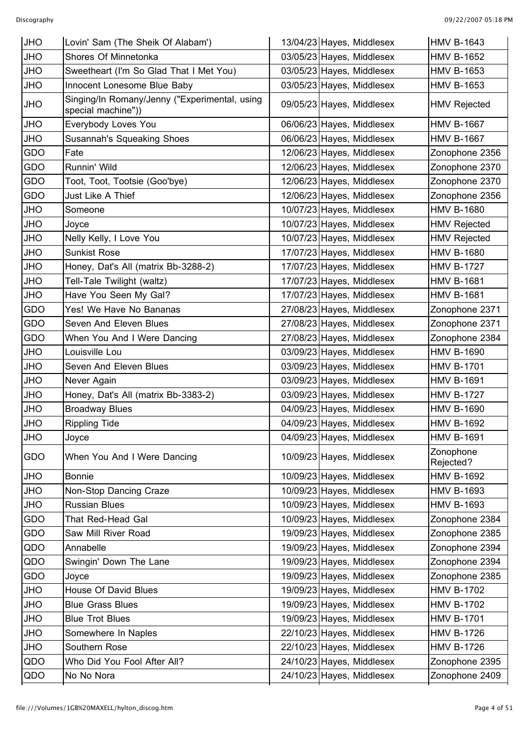| <b>JHO</b> | Lovin' Sam (The Sheik Of Alabam')                                   | 13/04/23 Hayes, Middlesex | <b>HMV B-1643</b>      |
|------------|---------------------------------------------------------------------|---------------------------|------------------------|
| <b>JHO</b> | Shores Of Minnetonka                                                | 03/05/23 Hayes, Middlesex | <b>HMV B-1652</b>      |
| JHO        | Sweetheart (I'm So Glad That I Met You)                             | 03/05/23 Hayes, Middlesex | <b>HMV B-1653</b>      |
| <b>JHO</b> | Innocent Lonesome Blue Baby                                         | 03/05/23 Hayes, Middlesex | <b>HMV B-1653</b>      |
| JHO        | Singing/In Romany/Jenny ("Experimental, using<br>special machine")) | 09/05/23 Hayes, Middlesex | <b>HMV Rejected</b>    |
| JHO        | Everybody Loves You                                                 | 06/06/23 Hayes, Middlesex | <b>HMV B-1667</b>      |
| JHO        | <b>Susannah's Squeaking Shoes</b>                                   | 06/06/23 Hayes, Middlesex | <b>HMV B-1667</b>      |
| GDO        | Fate                                                                | 12/06/23 Hayes, Middlesex | Zonophone 2356         |
| GDO        | Runnin' Wild                                                        | 12/06/23 Hayes, Middlesex | Zonophone 2370         |
| GDO        | Toot, Toot, Tootsie (Goo'bye)                                       | 12/06/23 Hayes, Middlesex | Zonophone 2370         |
| GDO        | Just Like A Thief                                                   | 12/06/23 Hayes, Middlesex | Zonophone 2356         |
| JHO        | Someone                                                             | 10/07/23 Hayes, Middlesex | <b>HMV B-1680</b>      |
| <b>JHO</b> | Joyce                                                               | 10/07/23 Hayes, Middlesex | <b>HMV Rejected</b>    |
| JHO        | Nelly Kelly, I Love You                                             | 10/07/23 Hayes, Middlesex | <b>HMV Rejected</b>    |
| JHO        | <b>Sunkist Rose</b>                                                 | 17/07/23 Hayes, Middlesex | <b>HMV B-1680</b>      |
| JHO        | Honey, Dat's All (matrix Bb-3288-2)                                 | 17/07/23 Hayes, Middlesex | <b>HMV B-1727</b>      |
| JHO        | Tell-Tale Twilight (waltz)                                          | 17/07/23 Hayes, Middlesex | <b>HMV B-1681</b>      |
| JHO        | Have You Seen My Gal?                                               | 17/07/23 Hayes, Middlesex | <b>HMV B-1681</b>      |
| GDO        | Yes! We Have No Bananas                                             | 27/08/23 Hayes, Middlesex | Zonophone 2371         |
| GDO        | Seven And Eleven Blues                                              | 27/08/23 Hayes, Middlesex | Zonophone 2371         |
| GDO        | When You And I Were Dancing                                         | 27/08/23 Hayes, Middlesex | Zonophone 2384         |
| JHO        | Louisville Lou                                                      | 03/09/23 Hayes, Middlesex | <b>HMV B-1690</b>      |
| JHO        | Seven And Eleven Blues                                              | 03/09/23 Hayes, Middlesex | <b>HMV B-1701</b>      |
| JHO        | Never Again                                                         | 03/09/23 Hayes, Middlesex | <b>HMV B-1691</b>      |
| <b>JHO</b> | Honey, Dat's All (matrix Bb-3383-2)                                 | 03/09/23 Hayes, Middlesex | <b>HMV B-1727</b>      |
| JHO        | <b>Broadway Blues</b>                                               | 04/09/23 Hayes, Middlesex | <b>HMV B-1690</b>      |
| <b>JHO</b> | <b>Rippling Tide</b>                                                | 04/09/23 Hayes, Middlesex | <b>HMV B-1692</b>      |
| <b>JHO</b> | Joyce                                                               | 04/09/23 Hayes, Middlesex | <b>HMV B-1691</b>      |
| GDO        | When You And I Were Dancing                                         | 10/09/23 Hayes, Middlesex | Zonophone<br>Rejected? |
| <b>JHO</b> | <b>Bonnie</b>                                                       | 10/09/23 Hayes, Middlesex | <b>HMV B-1692</b>      |
| JHO        | Non-Stop Dancing Craze                                              | 10/09/23 Hayes, Middlesex | <b>HMV B-1693</b>      |
| JHO        | <b>Russian Blues</b>                                                | 10/09/23 Hayes, Middlesex | <b>HMV B-1693</b>      |
| GDO        | That Red-Head Gal                                                   | 10/09/23 Hayes, Middlesex | Zonophone 2384         |
| GDO        | Saw Mill River Road                                                 | 19/09/23 Hayes, Middlesex | Zonophone 2385         |
| QDO        | Annabelle                                                           | 19/09/23 Hayes, Middlesex | Zonophone 2394         |
| QDO        | Swingin' Down The Lane                                              | 19/09/23 Hayes, Middlesex | Zonophone 2394         |
| GDO        | Joyce                                                               | 19/09/23 Hayes, Middlesex | Zonophone 2385         |
| JHO        | House Of David Blues                                                | 19/09/23 Hayes, Middlesex | <b>HMV B-1702</b>      |
| JHO        | <b>Blue Grass Blues</b>                                             | 19/09/23 Hayes, Middlesex | <b>HMV B-1702</b>      |
| JHO        | <b>Blue Trot Blues</b>                                              | 19/09/23 Hayes, Middlesex | <b>HMV B-1701</b>      |
| JHO        | Somewhere In Naples                                                 | 22/10/23 Hayes, Middlesex | <b>HMV B-1726</b>      |
| JHO        | Southern Rose                                                       | 22/10/23 Hayes, Middlesex | <b>HMV B-1726</b>      |
| QDO        | Who Did You Fool After All?                                         | 24/10/23 Hayes, Middlesex | Zonophone 2395         |
| QDO        | No No Nora                                                          | 24/10/23 Hayes, Middlesex | Zonophone 2409         |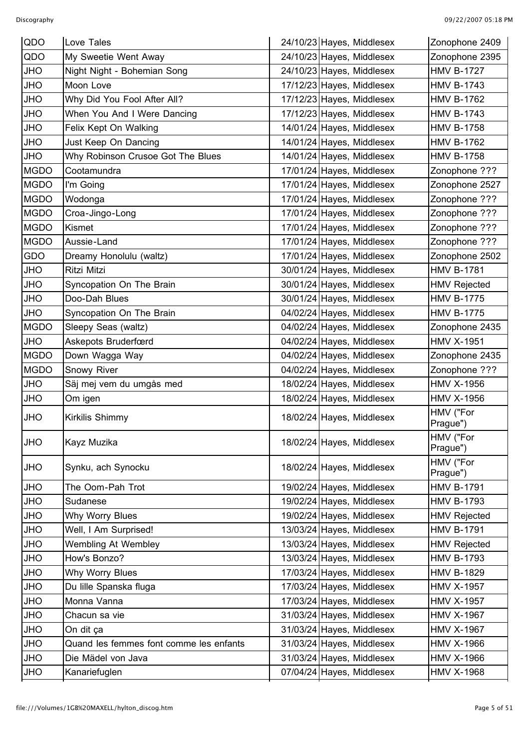| QDO         | Love Tales                              | 24/10/23 Hayes, Middlesex | Zonophone 2409        |
|-------------|-----------------------------------------|---------------------------|-----------------------|
| QDO         | My Sweetie Went Away                    | 24/10/23 Hayes, Middlesex | Zonophone 2395        |
| <b>OHU</b>  | Night Night - Bohemian Song             | 24/10/23 Hayes, Middlesex | <b>HMV B-1727</b>     |
| <b>JHO</b>  | Moon Love                               | 17/12/23 Hayes, Middlesex | <b>HMV B-1743</b>     |
| JHO         | Why Did You Fool After All?             | 17/12/23 Hayes, Middlesex | <b>HMV B-1762</b>     |
| JHO         | When You And I Were Dancing             | 17/12/23 Hayes, Middlesex | <b>HMV B-1743</b>     |
| JHO         | Felix Kept On Walking                   | 14/01/24 Hayes, Middlesex | <b>HMV B-1758</b>     |
| JHO         | Just Keep On Dancing                    | 14/01/24 Hayes, Middlesex | <b>HMV B-1762</b>     |
| <b>OHU</b>  | Why Robinson Crusoe Got The Blues       | 14/01/24 Hayes, Middlesex | <b>HMV B-1758</b>     |
| <b>MGDO</b> | Cootamundra                             | 17/01/24 Hayes, Middlesex | Zonophone ???         |
| <b>MGDO</b> | I'm Going                               | 17/01/24 Hayes, Middlesex | Zonophone 2527        |
| <b>MGDO</b> | Wodonga                                 | 17/01/24 Hayes, Middlesex | Zonophone ???         |
| <b>MGDO</b> | Croa-Jingo-Long                         | 17/01/24 Hayes, Middlesex | Zonophone ???         |
| <b>MGDO</b> | Kismet                                  | 17/01/24 Hayes, Middlesex | Zonophone ???         |
| <b>MGDO</b> | Aussie-Land                             | 17/01/24 Hayes, Middlesex | Zonophone ???         |
| GDO         | Dreamy Honolulu (waltz)                 | 17/01/24 Hayes, Middlesex | Zonophone 2502        |
| JHO         | Ritzi Mitzi                             | 30/01/24 Hayes, Middlesex | <b>HMV B-1781</b>     |
| JHO         | Syncopation On The Brain                | 30/01/24 Hayes, Middlesex | <b>HMV Rejected</b>   |
| JHO         | Doo-Dah Blues                           | 30/01/24 Hayes, Middlesex | <b>HMV B-1775</b>     |
| <b>OHU</b>  | Syncopation On The Brain                | 04/02/24 Hayes, Middlesex | <b>HMV B-1775</b>     |
| <b>MGDO</b> | Sleepy Seas (waltz)                     | 04/02/24 Hayes, Middlesex | Zonophone 2435        |
| <b>JHO</b>  | Askepots Bruderfœrd                     | 04/02/24 Hayes, Middlesex | <b>HMV X-1951</b>     |
| <b>MGDO</b> | Down Wagga Way                          | 04/02/24 Hayes, Middlesex | Zonophone 2435        |
| <b>MGDO</b> | Snowy River                             | 04/02/24 Hayes, Middlesex | Zonophone ???         |
| <b>JHO</b>  | Säj mej vem du umgås med                | 18/02/24 Hayes, Middlesex | <b>HMV X-1956</b>     |
| JHO         | Om igen                                 | 18/02/24 Hayes, Middlesex | <b>HMV X-1956</b>     |
| <b>OHL</b>  | Kirkilis Shimmy                         | 18/02/24 Hayes, Middlesex | HMV ("For<br>Prague") |
| <b>OHL</b>  | Kayz Muzika                             | 18/02/24 Hayes, Middlesex | HMV ("For<br>Prague") |
| <b>OHL</b>  | Synku, ach Synocku                      | 18/02/24 Hayes, Middlesex | HMV ("For<br>Prague") |
| JHO         | The Oom-Pah Trot                        | 19/02/24 Hayes, Middlesex | <b>HMV B-1791</b>     |
| JHO         | Sudanese                                | 19/02/24 Hayes, Middlesex | <b>HMV B-1793</b>     |
| JHO         | Why Worry Blues                         | 19/02/24 Hayes, Middlesex | <b>HMV Rejected</b>   |
| <b>OHU</b>  | Well, I Am Surprised!                   | 13/03/24 Hayes, Middlesex | <b>HMV B-1791</b>     |
| JHO         | Wembling At Wembley                     | 13/03/24 Hayes, Middlesex | <b>HMV Rejected</b>   |
| JHO         | How's Bonzo?                            | 13/03/24 Hayes, Middlesex | <b>HMV B-1793</b>     |
| JHO         | Why Worry Blues                         | 17/03/24 Hayes, Middlesex | <b>HMV B-1829</b>     |
| JHO         | Du lille Spanska fluga                  | 17/03/24 Hayes, Middlesex | <b>HMV X-1957</b>     |
| JHO         | Monna Vanna                             | 17/03/24 Hayes, Middlesex | <b>HMV X-1957</b>     |
| JHO         | Chacun sa vie                           | 31/03/24 Hayes, Middlesex | <b>HMV X-1967</b>     |
| <b>OHU</b>  | On dit ça                               | 31/03/24 Hayes, Middlesex | <b>HMV X-1967</b>     |
| JHO         | Quand les femmes font comme les enfants | 31/03/24 Hayes, Middlesex | <b>HMV X-1966</b>     |
| JHO         | Die Mädel von Java                      | 31/03/24 Hayes, Middlesex | <b>HMV X-1966</b>     |
| JHO         | Kanariefuglen                           | 07/04/24 Hayes, Middlesex | <b>HMV X-1968</b>     |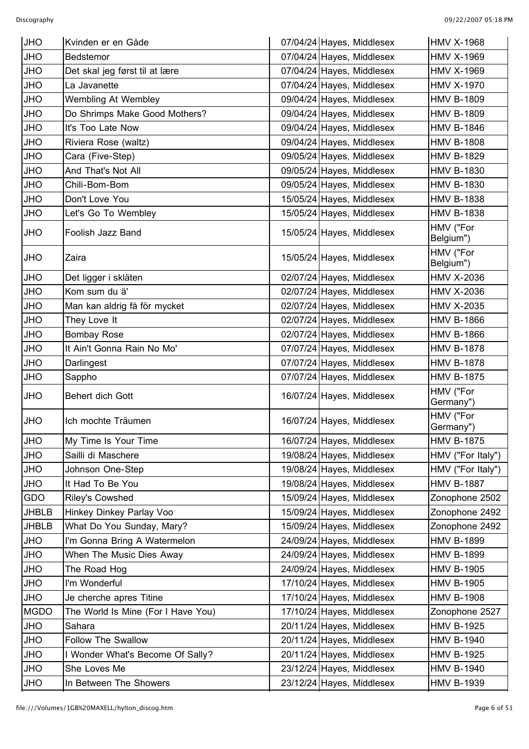| <b>JHO</b>   | Kvinden er en Gåde                 | 07/04/24 Hayes, Middlesex | <b>HMV X-1968</b>      |
|--------------|------------------------------------|---------------------------|------------------------|
| JHO          | Bedstemor                          | 07/04/24 Hayes, Middlesex | <b>HMV X-1969</b>      |
| JHO          | Det skal jeg først til at lære     | 07/04/24 Hayes, Middlesex | <b>HMV X-1969</b>      |
| JHO          | La Javanette                       | 07/04/24 Hayes, Middlesex | <b>HMV X-1970</b>      |
| <b>OHU</b>   | Wembling At Wembley                | 09/04/24 Hayes, Middlesex | <b>HMV B-1809</b>      |
| JHO          | Do Shrimps Make Good Mothers?      | 09/04/24 Hayes, Middlesex | <b>HMV B-1809</b>      |
| JHO          | It's Too Late Now                  | 09/04/24 Hayes, Middlesex | <b>HMV B-1846</b>      |
| JHO          | Riviera Rose (waltz)               | 09/04/24 Hayes, Middlesex | <b>HMV B-1808</b>      |
| JHO          | Cara (Five-Step)                   | 09/05/24 Hayes, Middlesex | <b>HMV B-1829</b>      |
| JHO          | And That's Not All                 | 09/05/24 Hayes, Middlesex | <b>HMV B-1830</b>      |
| JHO          | Chili-Bom-Bom                      | 09/05/24 Hayes, Middlesex | <b>HMV B-1830</b>      |
| JHO          | Don't Love You                     | 15/05/24 Hayes, Middlesex | <b>HMV B-1838</b>      |
| <b>OHU</b>   | Let's Go To Wembley                | 15/05/24 Hayes, Middlesex | <b>HMV B-1838</b>      |
| <b>OHU</b>   | Foolish Jazz Band                  | 15/05/24 Hayes, Middlesex | HMV ("For<br>Belgium") |
| JHO          | Zaira                              | 15/05/24 Hayes, Middlesex | HMV ("For<br>Belgium") |
| JHO          | Det ligger i skläten               | 02/07/24 Hayes, Middlesex | <b>HMV X-2036</b>      |
| JHO          | Kom sum du ä'                      | 02/07/24 Hayes, Middlesex | <b>HMV X-2036</b>      |
| <b>OHU</b>   | Man kan aldrig få för mycket       | 02/07/24 Hayes, Middlesex | <b>HMV X-2035</b>      |
| JHO          | They Love It                       | 02/07/24 Hayes, Middlesex | <b>HMV B-1866</b>      |
| JHO          | <b>Bombay Rose</b>                 | 02/07/24 Hayes, Middlesex | <b>HMV B-1866</b>      |
| JHO          | It Ain't Gonna Rain No Mo'         | 07/07/24 Hayes, Middlesex | <b>HMV B-1878</b>      |
| JHO          | Darlingest                         | 07/07/24 Hayes, Middlesex | <b>HMV B-1878</b>      |
| JHO          | Sappho                             | 07/07/24 Hayes, Middlesex | <b>HMV B-1875</b>      |
| <b>JHO</b>   | Behert dich Gott                   | 16/07/24 Hayes, Middlesex | HMV ("For<br>Germany") |
| <b>JHO</b>   | Ich mochte Träumen                 | 16/07/24 Hayes, Middlesex | HMV ("For<br>Germany") |
| JHO          | My Time Is Your Time               | 16/07/24 Hayes, Middlesex | <b>HMV B-1875</b>      |
| JHO          | Sailli di Maschere                 | 19/08/24 Hayes, Middlesex | HMV ("For Italy")      |
| <b>OHL</b>   | Johnson One-Step                   | 19/08/24 Hayes, Middlesex | HMV ("For Italy")      |
| JHO          | It Had To Be You                   | 19/08/24 Hayes, Middlesex | <b>HMV B-1887</b>      |
| GDO          | <b>Riley's Cowshed</b>             | 15/09/24 Hayes, Middlesex | Zonophone 2502         |
| <b>JHBLB</b> | Hinkey Dinkey Parlay Voo           | 15/09/24 Hayes, Middlesex | Zonophone 2492         |
| <b>JHBLB</b> | What Do You Sunday, Mary?          | 15/09/24 Hayes, Middlesex | Zonophone 2492         |
| <b>OHU</b>   | I'm Gonna Bring A Watermelon       | 24/09/24 Hayes, Middlesex | <b>HMV B-1899</b>      |
| <b>OHU</b>   | When The Music Dies Away           | 24/09/24 Hayes, Middlesex | <b>HMV B-1899</b>      |
| JHO          | The Road Hog                       | 24/09/24 Hayes, Middlesex | <b>HMV B-1905</b>      |
| JHO          | I'm Wonderful                      | 17/10/24 Hayes, Middlesex | <b>HMV B-1905</b>      |
| JHO          | Je cherche apres Titine            | 17/10/24 Hayes, Middlesex | <b>HMV B-1908</b>      |
| <b>MGDO</b>  | The World Is Mine (For I Have You) | 17/10/24 Hayes, Middlesex | Zonophone 2527         |
| JHO          | Sahara                             | 20/11/24 Hayes, Middlesex | <b>HMV B-1925</b>      |
| <b>OHL</b>   | <b>Follow The Swallow</b>          | 20/11/24 Hayes, Middlesex | <b>HMV B-1940</b>      |
| JHO          | I Wonder What's Become Of Sally?   | 20/11/24 Hayes, Middlesex | <b>HMV B-1925</b>      |
| JHO          | She Loves Me                       | 23/12/24 Hayes, Middlesex | <b>HMV B-1940</b>      |
| JHO          | In Between The Showers             | 23/12/24 Hayes, Middlesex | <b>HMV B-1939</b>      |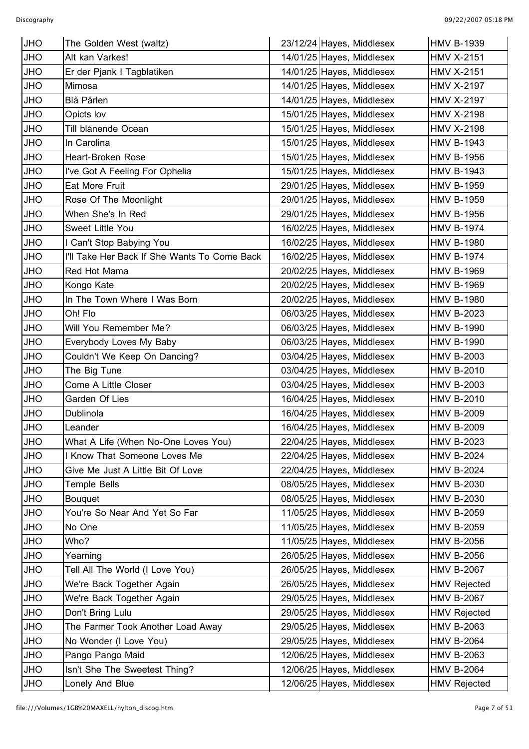| <b>JHO</b> | The Golden West (waltz)                      | 23/12/24 Hayes, Middlesex<br><b>HMV B-1939</b>   |  |
|------------|----------------------------------------------|--------------------------------------------------|--|
| <b>JHO</b> | Alt kan Varkes!                              | 14/01/25 Hayes, Middlesex<br><b>HMV X-2151</b>   |  |
| JHO        | Er der Pjank I Tagblatiken                   | 14/01/25 Hayes, Middlesex<br><b>HMV X-2151</b>   |  |
| JHO        | Mimosa                                       | 14/01/25 Hayes, Middlesex<br><b>HMV X-2197</b>   |  |
| <b>JHO</b> | Blå Pärlen                                   | 14/01/25 Hayes, Middlesex<br><b>HMV X-2197</b>   |  |
| JHO        | Opicts lov                                   | 15/01/25 Hayes, Middlesex<br><b>HMV X-2198</b>   |  |
| JHO        | Till blånende Ocean                          | 15/01/25 Hayes, Middlesex<br><b>HMV X-2198</b>   |  |
| <b>JHO</b> | In Carolina                                  | 15/01/25 Hayes, Middlesex<br><b>HMV B-1943</b>   |  |
| <b>JHO</b> | Heart-Broken Rose                            | 15/01/25 Hayes, Middlesex<br><b>HMV B-1956</b>   |  |
| JHO        | I've Got A Feeling For Ophelia               | 15/01/25 Hayes, Middlesex<br><b>HMV B-1943</b>   |  |
| <b>JHO</b> | Eat More Fruit                               | 29/01/25 Hayes, Middlesex<br><b>HMV B-1959</b>   |  |
| JHO        | Rose Of The Moonlight                        | 29/01/25 Hayes, Middlesex<br><b>HMV B-1959</b>   |  |
| JHO        | When She's In Red                            | 29/01/25 Hayes, Middlesex<br><b>HMV B-1956</b>   |  |
| <b>OHU</b> | Sweet Little You                             | 16/02/25 Hayes, Middlesex<br><b>HMV B-1974</b>   |  |
| <b>OHU</b> | I Can't Stop Babying You                     | 16/02/25 Hayes, Middlesex<br><b>HMV B-1980</b>   |  |
| JHO        | I'll Take Her Back If She Wants To Come Back | 16/02/25 Hayes, Middlesex<br><b>HMV B-1974</b>   |  |
| JHO        | Red Hot Mama                                 | 20/02/25 Hayes, Middlesex<br><b>HMV B-1969</b>   |  |
| <b>OHU</b> | Kongo Kate                                   | 20/02/25 Hayes, Middlesex<br><b>HMV B-1969</b>   |  |
| JHO        | In The Town Where I Was Born                 | 20/02/25 Hayes, Middlesex<br><b>HMV B-1980</b>   |  |
| JHO        | Oh! Flo                                      | 06/03/25 Hayes, Middlesex<br><b>HMV B-2023</b>   |  |
| <b>OHU</b> | Will You Remember Me?                        | 06/03/25 Hayes, Middlesex<br><b>HMV B-1990</b>   |  |
| JHO        | Everybody Loves My Baby                      | 06/03/25 Hayes, Middlesex<br><b>HMV B-1990</b>   |  |
| JHO        | Couldn't We Keep On Dancing?                 | 03/04/25 Hayes, Middlesex<br><b>HMV B-2003</b>   |  |
| <b>OHU</b> | The Big Tune                                 | 03/04/25 Hayes, Middlesex<br><b>HMV B-2010</b>   |  |
| JHO        | Come A Little Closer                         | 03/04/25 Hayes, Middlesex<br><b>HMV B-2003</b>   |  |
| JHO        | Garden Of Lies                               | 16/04/25 Hayes, Middlesex<br><b>HMV B-2010</b>   |  |
| <b>JHO</b> | Dublinola                                    | 16/04/25 Hayes, Middlesex<br><b>HMV B-2009</b>   |  |
| <b>JHO</b> | Leander                                      | 16/04/25 Hayes, Middlesex<br><b>HMV B-2009</b>   |  |
| JHO        | What A Life (When No-One Loves You)          | 22/04/25 Hayes, Middlesex<br><b>HMV B-2023</b>   |  |
| JHO        | I Know That Someone Loves Me                 | 22/04/25 Hayes, Middlesex<br><b>HMV B-2024</b>   |  |
| <b>OHU</b> | Give Me Just A Little Bit Of Love            | 22/04/25 Hayes, Middlesex<br><b>HMV B-2024</b>   |  |
| JHO        | <b>Temple Bells</b>                          | 08/05/25 Hayes, Middlesex<br><b>HMV B-2030</b>   |  |
| JHO        | <b>Bouquet</b>                               | 08/05/25 Hayes, Middlesex<br><b>HMV B-2030</b>   |  |
| <b>OHU</b> | You're So Near And Yet So Far                | 11/05/25 Hayes, Middlesex<br><b>HMV B-2059</b>   |  |
| JHO        | No One                                       | 11/05/25 Hayes, Middlesex<br><b>HMV B-2059</b>   |  |
| JHO        | Who?                                         | 11/05/25 Hayes, Middlesex<br><b>HMV B-2056</b>   |  |
| <b>OHU</b> | Yearning                                     | 26/05/25 Hayes, Middlesex<br><b>HMV B-2056</b>   |  |
| JHO        | Tell All The World (I Love You)              | 26/05/25 Hayes, Middlesex<br><b>HMV B-2067</b>   |  |
| JHO        | We're Back Together Again                    | 26/05/25 Hayes, Middlesex<br><b>HMV Rejected</b> |  |
| <b>OHL</b> | We're Back Together Again                    | 29/05/25 Hayes, Middlesex<br><b>HMV B-2067</b>   |  |
| JHO        | Don't Bring Lulu                             | 29/05/25 Hayes, Middlesex<br><b>HMV Rejected</b> |  |
| JHO        | The Farmer Took Another Load Away            | 29/05/25 Hayes, Middlesex<br><b>HMV B-2063</b>   |  |
| <b>OHL</b> | No Wonder (I Love You)                       | 29/05/25 Hayes, Middlesex<br><b>HMV B-2064</b>   |  |
| JHO        | Pango Pango Maid                             | 12/06/25 Hayes, Middlesex<br><b>HMV B-2063</b>   |  |
| <b>OHU</b> | Isn't She The Sweetest Thing?                | 12/06/25 Hayes, Middlesex<br><b>HMV B-2064</b>   |  |
| JHO        | Lonely And Blue                              | 12/06/25 Hayes, Middlesex<br><b>HMV Rejected</b> |  |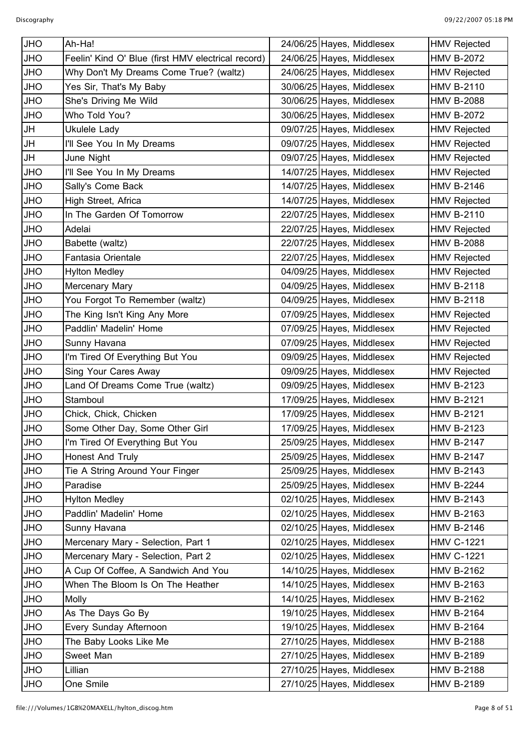| <b>JHO</b> | Ah-Ha!                                             | 24/06/25 Hayes, Middlesex | <b>HMV Rejected</b> |
|------------|----------------------------------------------------|---------------------------|---------------------|
| <b>JHO</b> | Feelin' Kind O' Blue (first HMV electrical record) | 24/06/25 Hayes, Middlesex | <b>HMV B-2072</b>   |
| <b>JHO</b> | Why Don't My Dreams Come True? (waltz)             | 24/06/25 Hayes, Middlesex | <b>HMV Rejected</b> |
| <b>JHO</b> | Yes Sir, That's My Baby                            | 30/06/25 Hayes, Middlesex | <b>HMV B-2110</b>   |
| <b>JHO</b> | She's Driving Me Wild                              | 30/06/25 Hayes, Middlesex | <b>HMV B-2088</b>   |
| <b>JHO</b> | Who Told You?                                      | 30/06/25 Hayes, Middlesex | <b>HMV B-2072</b>   |
| <b>JH</b>  | Ukulele Lady                                       | 09/07/25 Hayes, Middlesex | <b>HMV Rejected</b> |
| <b>JH</b>  | I'll See You In My Dreams                          | 09/07/25 Hayes, Middlesex | <b>HMV Rejected</b> |
| <b>JH</b>  | June Night                                         | 09/07/25 Hayes, Middlesex | <b>HMV Rejected</b> |
| <b>JHO</b> | I'll See You In My Dreams                          | 14/07/25 Hayes, Middlesex | <b>HMV Rejected</b> |
| <b>JHO</b> | Sally's Come Back                                  | 14/07/25 Hayes, Middlesex | <b>HMV B-2146</b>   |
| <b>JHO</b> | High Street, Africa                                | 14/07/25 Hayes, Middlesex | <b>HMV Rejected</b> |
| <b>JHO</b> | In The Garden Of Tomorrow                          | 22/07/25 Hayes, Middlesex | <b>HMV B-2110</b>   |
| <b>JHO</b> | Adelai                                             | 22/07/25 Hayes, Middlesex | <b>HMV Rejected</b> |
| <b>JHO</b> | Babette (waltz)                                    | 22/07/25 Hayes, Middlesex | <b>HMV B-2088</b>   |
| <b>JHO</b> | Fantasia Orientale                                 | 22/07/25 Hayes, Middlesex | <b>HMV Rejected</b> |
| <b>JHO</b> | <b>Hylton Medley</b>                               | 04/09/25 Hayes, Middlesex | <b>HMV Rejected</b> |
| <b>JHO</b> | Mercenary Mary                                     | 04/09/25 Hayes, Middlesex | <b>HMV B-2118</b>   |
| <b>JHO</b> | You Forgot To Remember (waltz)                     | 04/09/25 Hayes, Middlesex | <b>HMV B-2118</b>   |
| <b>JHO</b> | The King Isn't King Any More                       | 07/09/25 Hayes, Middlesex | <b>HMV Rejected</b> |
| <b>JHO</b> | Paddlin' Madelin' Home                             | 07/09/25 Hayes, Middlesex | <b>HMV Rejected</b> |
| <b>JHO</b> | Sunny Havana                                       | 07/09/25 Hayes, Middlesex | <b>HMV Rejected</b> |
| <b>JHO</b> | I'm Tired Of Everything But You                    | 09/09/25 Hayes, Middlesex | <b>HMV Rejected</b> |
| <b>JHO</b> | Sing Your Cares Away                               | 09/09/25 Hayes, Middlesex | <b>HMV Rejected</b> |
| <b>JHO</b> | Land Of Dreams Come True (waltz)                   | 09/09/25 Hayes, Middlesex | <b>HMV B-2123</b>   |
| <b>JHO</b> | Stamboul                                           | 17/09/25 Hayes, Middlesex | <b>HMV B-2121</b>   |
| <b>JHO</b> | Chick, Chick, Chicken                              | 17/09/25 Hayes, Middlesex | <b>HMV B-2121</b>   |
| <b>JHO</b> | Some Other Day, Some Other Girl                    | 17/09/25 Hayes, Middlesex | <b>HMV B-2123</b>   |
| <b>JHO</b> | I'm Tired Of Everything But You                    | 25/09/25 Hayes, Middlesex | <b>HMV B-2147</b>   |
| <b>JHO</b> | <b>Honest And Truly</b>                            | 25/09/25 Hayes, Middlesex | <b>HMV B-2147</b>   |
| <b>JHO</b> | Tie A String Around Your Finger                    | 25/09/25 Hayes, Middlesex | <b>HMV B-2143</b>   |
| <b>JHO</b> | Paradise                                           | 25/09/25 Hayes, Middlesex | <b>HMV B-2244</b>   |
| <b>JHO</b> | <b>Hylton Medley</b>                               | 02/10/25 Hayes, Middlesex | <b>HMV B-2143</b>   |
| <b>JHO</b> | Paddlin' Madelin' Home                             | 02/10/25 Hayes, Middlesex | <b>HMV B-2163</b>   |
| <b>JHO</b> | Sunny Havana                                       | 02/10/25 Hayes, Middlesex | <b>HMV B-2146</b>   |
| <b>JHO</b> | Mercenary Mary - Selection, Part 1                 | 02/10/25 Hayes, Middlesex | <b>HMV C-1221</b>   |
| <b>JHO</b> | Mercenary Mary - Selection, Part 2                 | 02/10/25 Hayes, Middlesex | <b>HMV C-1221</b>   |
| <b>JHO</b> | A Cup Of Coffee, A Sandwich And You                | 14/10/25 Hayes, Middlesex | <b>HMV B-2162</b>   |
| <b>JHO</b> | When The Bloom Is On The Heather                   | 14/10/25 Hayes, Middlesex | <b>HMV B-2163</b>   |
| <b>JHO</b> | Molly                                              | 14/10/25 Hayes, Middlesex | <b>HMV B-2162</b>   |
| <b>JHO</b> | As The Days Go By                                  | 19/10/25 Hayes, Middlesex | <b>HMV B-2164</b>   |
| <b>JHO</b> | Every Sunday Afternoon                             | 19/10/25 Hayes, Middlesex | <b>HMV B-2164</b>   |
| <b>JHO</b> | The Baby Looks Like Me                             | 27/10/25 Hayes, Middlesex | <b>HMV B-2188</b>   |
| <b>JHO</b> | Sweet Man                                          | 27/10/25 Hayes, Middlesex | <b>HMV B-2189</b>   |
| <b>JHO</b> | Lillian                                            | 27/10/25 Hayes, Middlesex | <b>HMV B-2188</b>   |
| <b>JHO</b> | One Smile                                          | 27/10/25 Hayes, Middlesex | <b>HMV B-2189</b>   |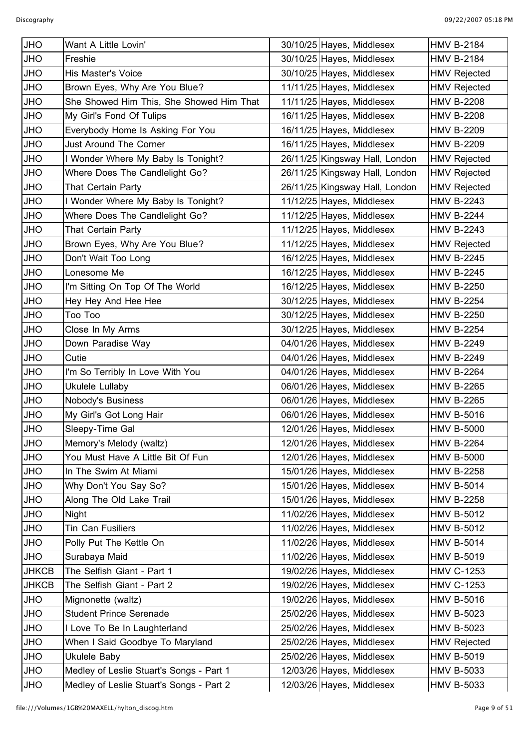| <b>JHO</b>   | Want A Little Lovin'                     | 30/10/25 Hayes, Middlesex      | <b>HMV B-2184</b>   |
|--------------|------------------------------------------|--------------------------------|---------------------|
| <b>JHO</b>   | Freshie                                  | 30/10/25 Hayes, Middlesex      | <b>HMV B-2184</b>   |
| <b>JHO</b>   | <b>His Master's Voice</b>                | 30/10/25 Hayes, Middlesex      | <b>HMV Rejected</b> |
| <b>JHO</b>   | Brown Eyes, Why Are You Blue?            | 11/11/25 Hayes, Middlesex      | <b>HMV Rejected</b> |
| <b>JHO</b>   | She Showed Him This, She Showed Him That | 11/11/25 Hayes, Middlesex      | <b>HMV B-2208</b>   |
| <b>OHL</b>   | My Girl's Fond Of Tulips                 | 16/11/25 Hayes, Middlesex      | <b>HMV B-2208</b>   |
| <b>JHO</b>   | Everybody Home Is Asking For You         | 16/11/25 Hayes, Middlesex      | <b>HMV B-2209</b>   |
| <b>JHO</b>   | <b>Just Around The Corner</b>            | 16/11/25 Hayes, Middlesex      | <b>HMV B-2209</b>   |
| <b>JHO</b>   | I Wonder Where My Baby Is Tonight?       | 26/11/25 Kingsway Hall, London | <b>HMV Rejected</b> |
| <b>JHO</b>   | Where Does The Candlelight Go?           | 26/11/25 Kingsway Hall, London | <b>HMV Rejected</b> |
| <b>JHO</b>   | That Certain Party                       | 26/11/25 Kingsway Hall, London | <b>HMV Rejected</b> |
| <b>JHO</b>   | I Wonder Where My Baby Is Tonight?       | 11/12/25 Hayes, Middlesex      | <b>HMV B-2243</b>   |
| <b>JHO</b>   | Where Does The Candlelight Go?           | 11/12/25 Hayes, Middlesex      | <b>HMV B-2244</b>   |
| <b>JHO</b>   | That Certain Party                       | 11/12/25 Hayes, Middlesex      | <b>HMV B-2243</b>   |
| <b>JHO</b>   | Brown Eyes, Why Are You Blue?            | 11/12/25 Hayes, Middlesex      | <b>HMV Rejected</b> |
| <b>JHO</b>   | Don't Wait Too Long                      | 16/12/25 Hayes, Middlesex      | <b>HMV B-2245</b>   |
| <b>JHO</b>   | Lonesome Me                              | 16/12/25 Hayes, Middlesex      | <b>HMV B-2245</b>   |
| <b>JHO</b>   | I'm Sitting On Top Of The World          | 16/12/25 Hayes, Middlesex      | <b>HMV B-2250</b>   |
| <b>JHO</b>   | Hey Hey And Hee Hee                      | 30/12/25 Hayes, Middlesex      | <b>HMV B-2254</b>   |
| <b>JHO</b>   | Too Too                                  | 30/12/25 Hayes, Middlesex      | <b>HMV B-2250</b>   |
| <b>JHO</b>   | Close In My Arms                         | 30/12/25 Hayes, Middlesex      | <b>HMV B-2254</b>   |
| <b>JHO</b>   | Down Paradise Way                        | 04/01/26 Hayes, Middlesex      | <b>HMV B-2249</b>   |
| <b>JHO</b>   | Cutie                                    | 04/01/26 Hayes, Middlesex      | <b>HMV B-2249</b>   |
| <b>JHO</b>   | I'm So Terribly In Love With You         | 04/01/26 Hayes, Middlesex      | <b>HMV B-2264</b>   |
| <b>JHO</b>   | Ukulele Lullaby                          | 06/01/26 Hayes, Middlesex      | <b>HMV B-2265</b>   |
| <b>JHO</b>   | Nobody's Business                        | 06/01/26 Hayes, Middlesex      | <b>HMV B-2265</b>   |
| <b>JHO</b>   | My Girl's Got Long Hair                  | 06/01/26 Hayes, Middlesex      | <b>HMV B-5016</b>   |
| <b>JHO</b>   | Sleepy-Time Gal                          | 12/01/26 Hayes, Middlesex      | <b>HMV B-5000</b>   |
| <b>JHO</b>   | Memory's Melody (waltz)                  | 12/01/26 Hayes, Middlesex      | <b>HMV B-2264</b>   |
| <b>JHO</b>   | You Must Have A Little Bit Of Fun        | 12/01/26 Hayes, Middlesex      | <b>HMV B-5000</b>   |
| JHO          | In The Swim At Miami                     | 15/01/26 Hayes, Middlesex      | <b>HMV B-2258</b>   |
| JHO          | Why Don't You Say So?                    | 15/01/26 Hayes, Middlesex      | <b>HMV B-5014</b>   |
| <b>OHL</b>   | Along The Old Lake Trail                 | 15/01/26 Hayes, Middlesex      | <b>HMV B-2258</b>   |
| JHO          | Night                                    | 11/02/26 Hayes, Middlesex      | <b>HMV B-5012</b>   |
| JHO          | Tin Can Fusiliers                        | 11/02/26 Hayes, Middlesex      | <b>HMV B-5012</b>   |
| <b>OHL</b>   |                                          | 11/02/26 Hayes, Middlesex      | <b>HMV B-5014</b>   |
|              | Polly Put The Kettle On                  |                                |                     |
| <b>OHL</b>   | Surabaya Maid                            | 11/02/26 Hayes, Middlesex      | <b>HMV B-5019</b>   |
| <b>JHKCB</b> | The Selfish Giant - Part 1               | 19/02/26 Hayes, Middlesex      | <b>HMV C-1253</b>   |
| <b>JHKCB</b> | The Selfish Giant - Part 2               | 19/02/26 Hayes, Middlesex      | <b>HMV C-1253</b>   |
| JHO          | Mignonette (waltz)                       | 19/02/26 Hayes, Middlesex      | <b>HMV B-5016</b>   |
| <b>OHL</b>   | <b>Student Prince Serenade</b>           | 25/02/26 Hayes, Middlesex      | <b>HMV B-5023</b>   |
| JHO          | I Love To Be In Laughterland             | 25/02/26 Hayes, Middlesex      | <b>HMV B-5023</b>   |
| JHO          | When I Said Goodbye To Maryland          | 25/02/26 Hayes, Middlesex      | <b>HMV Rejected</b> |
| <b>JHO</b>   | <b>Ukulele Baby</b>                      | 25/02/26 Hayes, Middlesex      | <b>HMV B-5019</b>   |
| <b>OHL</b>   | Medley of Leslie Stuart's Songs - Part 1 | 12/03/26 Hayes, Middlesex      | <b>HMV B-5033</b>   |
| <b>JHO</b>   | Medley of Leslie Stuart's Songs - Part 2 | 12/03/26 Hayes, Middlesex      | <b>HMV B-5033</b>   |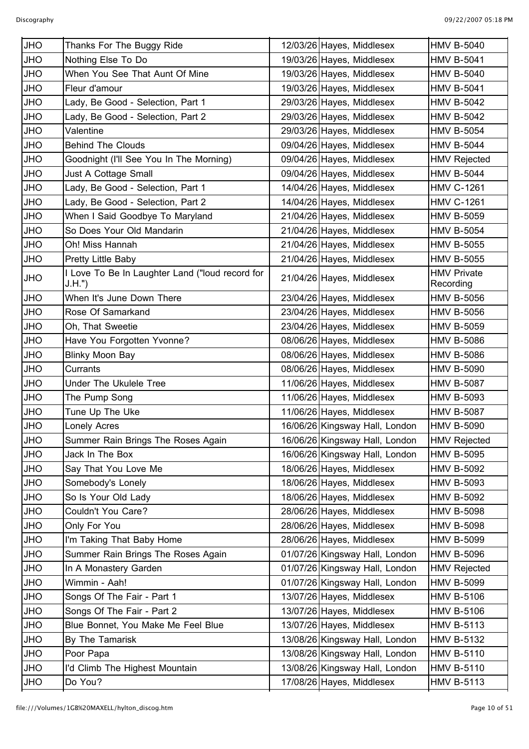| <b>JHO</b> | Thanks For The Buggy Ride                                  | 12/03/26 Hayes, Middlesex      | <b>HMV B-5040</b>               |
|------------|------------------------------------------------------------|--------------------------------|---------------------------------|
| <b>JHO</b> | Nothing Else To Do                                         | 19/03/26 Hayes, Middlesex      | <b>HMV B-5041</b>               |
| JHO        | When You See That Aunt Of Mine                             | 19/03/26 Hayes, Middlesex      | <b>HMV B-5040</b>               |
| <b>JHO</b> | Fleur d'amour                                              | 19/03/26 Hayes, Middlesex      | <b>HMV B-5041</b>               |
| <b>JHO</b> | Lady, Be Good - Selection, Part 1                          | 29/03/26 Hayes, Middlesex      | <b>HMV B-5042</b>               |
| JHO        | Lady, Be Good - Selection, Part 2                          | 29/03/26 Hayes, Middlesex      | <b>HMV B-5042</b>               |
| <b>JHO</b> | Valentine                                                  | 29/03/26 Hayes, Middlesex      | <b>HMV B-5054</b>               |
| JHO        | <b>Behind The Clouds</b>                                   | 09/04/26 Hayes, Middlesex      | <b>HMV B-5044</b>               |
| JHO        | Goodnight (I'll See You In The Morning)                    | 09/04/26 Hayes, Middlesex      | <b>HMV Rejected</b>             |
| <b>JHO</b> | Just A Cottage Small                                       | 09/04/26 Hayes, Middlesex      | <b>HMV B-5044</b>               |
| <b>JHO</b> | Lady, Be Good - Selection, Part 1                          | 14/04/26 Hayes, Middlesex      | <b>HMV C-1261</b>               |
| JHO        | Lady, Be Good - Selection, Part 2                          | 14/04/26 Hayes, Middlesex      | <b>HMV C-1261</b>               |
| <b>JHO</b> | When I Said Goodbye To Maryland                            | 21/04/26 Hayes, Middlesex      | <b>HMV B-5059</b>               |
| JHO        | So Does Your Old Mandarin                                  | 21/04/26 Hayes, Middlesex      | <b>HMV B-5054</b>               |
| JHO        | Oh! Miss Hannah                                            | 21/04/26 Hayes, Middlesex      | <b>HMV B-5055</b>               |
| JHO        | Pretty Little Baby                                         | 21/04/26 Hayes, Middlesex      | <b>HMV B-5055</b>               |
| JHO        | I Love To Be In Laughter Land ("loud record for<br>J.H.'') | 21/04/26 Hayes, Middlesex      | <b>HMV Private</b><br>Recording |
| JHO        | When It's June Down There                                  | 23/04/26 Hayes, Middlesex      | <b>HMV B-5056</b>               |
| <b>JHO</b> | Rose Of Samarkand                                          | 23/04/26 Hayes, Middlesex      | <b>HMV B-5056</b>               |
| <b>JHO</b> | Oh, That Sweetie                                           | 23/04/26 Hayes, Middlesex      | <b>HMV B-5059</b>               |
| JHO        | Have You Forgotten Yvonne?                                 | 08/06/26 Hayes, Middlesex      | <b>HMV B-5086</b>               |
| <b>JHO</b> | <b>Blinky Moon Bay</b>                                     | 08/06/26 Hayes, Middlesex      | <b>HMV B-5086</b>               |
| <b>JHO</b> | Currants                                                   | 08/06/26 Hayes, Middlesex      | <b>HMV B-5090</b>               |
| JHO        | <b>Under The Ukulele Tree</b>                              | 11/06/26 Hayes, Middlesex      | <b>HMV B-5087</b>               |
| <b>JHO</b> | The Pump Song                                              | 11/06/26 Hayes, Middlesex      | <b>HMV B-5093</b>               |
| <b>JHO</b> | Tune Up The Uke                                            | 11/06/26 Hayes, Middlesex      | <b>HMV B-5087</b>               |
| <b>JHO</b> | Lonely Acres                                               | 16/06/26 Kingsway Hall, London | <b>HMV B-5090</b>               |
| JHO        | Summer Rain Brings The Roses Again                         | 16/06/26 Kingsway Hall, London | <b>HMV Rejected</b>             |
| JHO        | Jack In The Box                                            | 16/06/26 Kingsway Hall, London | <b>HMV B-5095</b>               |
| <b>JHO</b> | Say That You Love Me                                       | 18/06/26 Hayes, Middlesex      | <b>HMV B-5092</b>               |
| <b>JHO</b> | Somebody's Lonely                                          | 18/06/26 Hayes, Middlesex      | <b>HMV B-5093</b>               |
| JHO        | So Is Your Old Lady                                        | 18/06/26 Hayes, Middlesex      | <b>HMV B-5092</b>               |
| <b>JHO</b> | Couldn't You Care?                                         | 28/06/26 Hayes, Middlesex      | <b>HMV B-5098</b>               |
| <b>JHO</b> | Only For You                                               | 28/06/26 Hayes, Middlesex      | <b>HMV B-5098</b>               |
| JHO        | I'm Taking That Baby Home                                  | 28/06/26 Hayes, Middlesex      | <b>HMV B-5099</b>               |
| <b>JHO</b> | Summer Rain Brings The Roses Again                         | 01/07/26 Kingsway Hall, London | <b>HMV B-5096</b>               |
| <b>JHO</b> | In A Monastery Garden                                      | 01/07/26 Kingsway Hall, London | <b>HMV Rejected</b>             |
| JHO        | Wimmin - Aah!                                              | 01/07/26 Kingsway Hall, London | <b>HMV B-5099</b>               |
| <b>JHO</b> | Songs Of The Fair - Part 1                                 | 13/07/26 Hayes, Middlesex      | <b>HMV B-5106</b>               |
| JHO        | Songs Of The Fair - Part 2                                 | 13/07/26 Hayes, Middlesex      | <b>HMV B-5106</b>               |
| JHO        | Blue Bonnet, You Make Me Feel Blue                         | 13/07/26 Hayes, Middlesex      | <b>HMV B-5113</b>               |
| <b>JHO</b> | By The Tamarisk                                            | 13/08/26 Kingsway Hall, London | <b>HMV B-5132</b>               |
| JHO        | Poor Papa                                                  | 13/08/26 Kingsway Hall, London | <b>HMV B-5110</b>               |
| JHO        | I'd Climb The Highest Mountain                             | 13/08/26 Kingsway Hall, London | <b>HMV B-5110</b>               |
| JHO        | Do You?                                                    | 17/08/26 Hayes, Middlesex      | <b>HMV B-5113</b>               |
|            |                                                            |                                |                                 |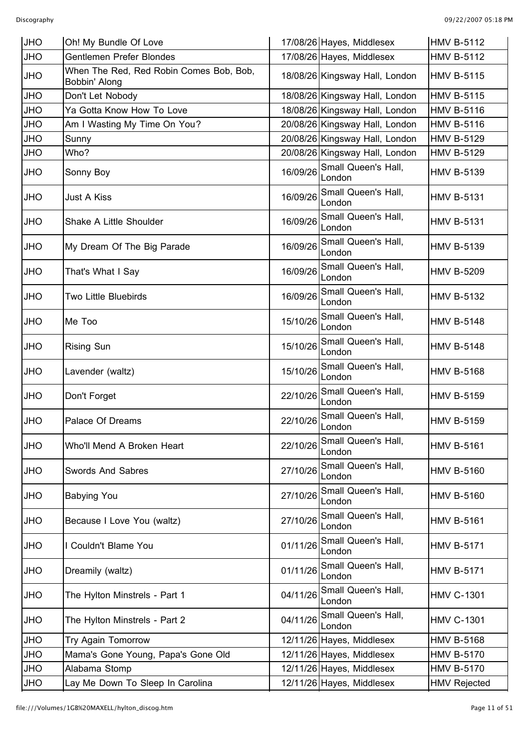| <b>JHO</b> | Oh! My Bundle Of Love                                    |          | 17/08/26 Hayes, Middlesex      | <b>HMV B-5112</b>   |
|------------|----------------------------------------------------------|----------|--------------------------------|---------------------|
| <b>JHO</b> | Gentlemen Prefer Blondes                                 |          | 17/08/26 Hayes, Middlesex      | <b>HMV B-5112</b>   |
| <b>OHL</b> | When The Red, Red Robin Comes Bob, Bob,<br>Bobbin' Along |          | 18/08/26 Kingsway Hall, London | <b>HMV B-5115</b>   |
| <b>JHO</b> | Don't Let Nobody                                         |          | 18/08/26 Kingsway Hall, London | <b>HMV B-5115</b>   |
| <b>JHO</b> | Ya Gotta Know How To Love                                |          | 18/08/26 Kingsway Hall, London | <b>HMV B-5116</b>   |
| <b>JHO</b> | Am I Wasting My Time On You?                             |          | 20/08/26 Kingsway Hall, London | <b>HMV B-5116</b>   |
| <b>OHL</b> | Sunny                                                    |          | 20/08/26 Kingsway Hall, London | <b>HMV B-5129</b>   |
| <b>OHL</b> | Who?                                                     |          | 20/08/26 Kingsway Hall, London | <b>HMV B-5129</b>   |
| <b>OHL</b> | Sonny Boy                                                | 16/09/26 | Small Queen's Hall,<br>London  | <b>HMV B-5139</b>   |
| <b>OHL</b> | <b>Just A Kiss</b>                                       | 16/09/26 | Small Queen's Hall,<br>London  | <b>HMV B-5131</b>   |
| <b>OHL</b> | Shake A Little Shoulder                                  | 16/09/26 | Small Queen's Hall,<br>London  | <b>HMV B-5131</b>   |
| <b>JHO</b> | My Dream Of The Big Parade                               | 16/09/26 | Small Queen's Hall,<br>London  | <b>HMV B-5139</b>   |
| <b>OHL</b> | That's What I Say                                        | 16/09/26 | Small Queen's Hall,<br>London  | <b>HMV B-5209</b>   |
| <b>JHO</b> | Two Little Bluebirds                                     | 16/09/26 | Small Queen's Hall,<br>London  | <b>HMV B-5132</b>   |
| <b>JHO</b> | Me Too                                                   | 15/10/26 | Small Queen's Hall,<br>London  | <b>HMV B-5148</b>   |
| <b>OHL</b> | <b>Rising Sun</b>                                        | 15/10/26 | Small Queen's Hall,<br>London  | <b>HMV B-5148</b>   |
| <b>JHO</b> | Lavender (waltz)                                         | 15/10/26 | Small Queen's Hall,<br>London  | <b>HMV B-5168</b>   |
| <b>JHO</b> | Don't Forget                                             | 22/10/26 | Small Queen's Hall,<br>London  | <b>HMV B-5159</b>   |
| <b>JHO</b> | Palace Of Dreams                                         | 22/10/26 | Small Queen's Hall,<br>London  | <b>HMV B-5159</b>   |
| <b>JHO</b> | Who'll Mend A Broken Heart                               | 22/10/26 | Small Queen's Hall,<br>London  | <b>HMV B-5161</b>   |
| <b>OHL</b> | <b>Swords And Sabres</b>                                 | 27/10/26 | Small Queen's Hall,<br>London  | <b>HMV B-5160</b>   |
| <b>OHL</b> | <b>Babying You</b>                                       | 27/10/26 | Small Queen's Hall,<br>London  | <b>HMV B-5160</b>   |
| OHU        | Because I Love You (waltz)                               | 27/10/26 | Small Queen's Hall,<br>London  | <b>HMV B-5161</b>   |
| <b>OHL</b> | I Couldn't Blame You                                     | 01/11/26 | Small Queen's Hall,<br>London  | <b>HMV B-5171</b>   |
| <b>OHL</b> | Dreamily (waltz)                                         | 01/11/26 | Small Queen's Hall,<br>London  | <b>HMV B-5171</b>   |
| <b>JHO</b> | The Hylton Minstrels - Part 1                            | 04/11/26 | Small Queen's Hall,<br>London  | <b>HMV C-1301</b>   |
| JHO        | The Hylton Minstrels - Part 2                            | 04/11/26 | Small Queen's Hall,<br>London  | <b>HMV C-1301</b>   |
| <b>OHL</b> | Try Again Tomorrow                                       |          | 12/11/26 Hayes, Middlesex      | <b>HMV B-5168</b>   |
| JHO        | Mama's Gone Young, Papa's Gone Old                       |          | 12/11/26 Hayes, Middlesex      | <b>HMV B-5170</b>   |
| JHO        | Alabama Stomp                                            |          | 12/11/26 Hayes, Middlesex      | <b>HMV B-5170</b>   |
| JHO        | Lay Me Down To Sleep In Carolina                         |          | 12/11/26 Hayes, Middlesex      | <b>HMV Rejected</b> |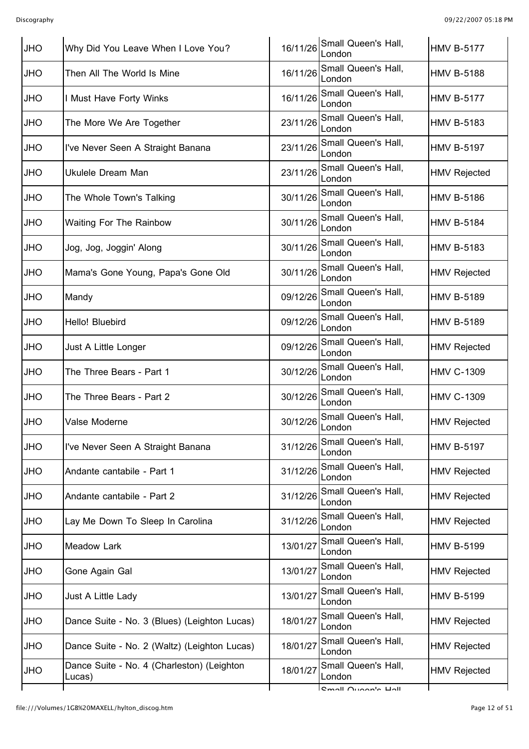| <b>JHO</b> | Why Did You Leave When I Love You?                   | 16/11/26 | Small Queen's Hall,<br>London | <b>HMV B-5177</b>   |
|------------|------------------------------------------------------|----------|-------------------------------|---------------------|
| <b>JHO</b> | Then All The World Is Mine                           | 16/11/26 | Small Queen's Hall,<br>London | <b>HMV B-5188</b>   |
| OHU        | I Must Have Forty Winks                              | 16/11/26 | Small Queen's Hall,<br>London | <b>HMV B-5177</b>   |
| <b>OHL</b> | The More We Are Together                             | 23/11/26 | Small Queen's Hall,<br>London | <b>HMV B-5183</b>   |
| <b>OHL</b> | I've Never Seen A Straight Banana                    | 23/11/26 | Small Queen's Hall,<br>London | <b>HMV B-5197</b>   |
| <b>OHU</b> | Ukulele Dream Man                                    | 23/11/26 | Small Queen's Hall,<br>London | <b>HMV Rejected</b> |
| <b>OHL</b> | The Whole Town's Talking                             | 30/11/26 | Small Queen's Hall,<br>London | <b>HMV B-5186</b>   |
| <b>OHL</b> | <b>Waiting For The Rainbow</b>                       | 30/11/26 | Small Queen's Hall,<br>London | <b>HMV B-5184</b>   |
| <b>OHL</b> | Jog, Jog, Joggin' Along                              | 30/11/26 | Small Queen's Hall,<br>London | <b>HMV B-5183</b>   |
| <b>JHO</b> | Mama's Gone Young, Papa's Gone Old                   | 30/11/26 | Small Queen's Hall,<br>London | <b>HMV Rejected</b> |
| <b>OHL</b> | Mandy                                                | 09/12/26 | Small Queen's Hall,<br>London | <b>HMV B-5189</b>   |
| <b>OHU</b> | Hello! Bluebird                                      | 09/12/26 | Small Queen's Hall,<br>London | <b>HMV B-5189</b>   |
| <b>OHL</b> | Just A Little Longer                                 | 09/12/26 | Small Queen's Hall,<br>London | <b>HMV Rejected</b> |
| <b>OHU</b> | The Three Bears - Part 1                             | 30/12/26 | Small Queen's Hall,<br>London | <b>HMV C-1309</b>   |
| <b>OHL</b> | The Three Bears - Part 2                             | 30/12/26 | Small Queen's Hall,<br>London | <b>HMV C-1309</b>   |
| <b>JHO</b> | Valse Moderne                                        | 30/12/26 | Small Queen's Hall,<br>London | <b>HMV Rejected</b> |
| <b>JHO</b> | I've Never Seen A Straight Banana                    | 31/12/26 | Small Queen's Hall,<br>London | <b>HMV B-5197</b>   |
| <b>OHL</b> | Andante cantabile - Part 1                           | 31/12/26 | Small Queen's Hall,<br>London | <b>HMV Rejected</b> |
| <b>OHL</b> | Andante cantabile - Part 2                           | 31/12/26 | Small Queen's Hall,<br>London | HMV Rejected        |
| <b>OHL</b> | Lay Me Down To Sleep In Carolina                     | 31/12/26 | Small Queen's Hall,<br>London | <b>HMV Rejected</b> |
| <b>OHL</b> | <b>Meadow Lark</b>                                   | 13/01/27 | Small Queen's Hall,<br>London | HMV B-5199          |
| <b>OHL</b> | Gone Again Gal                                       | 13/01/27 | Small Queen's Hall,<br>London | HMV Rejected        |
| <b>OHL</b> | Just A Little Lady                                   | 13/01/27 | Small Queen's Hall,<br>London | HMV B-5199          |
| JHO        | Dance Suite - No. 3 (Blues) (Leighton Lucas)         | 18/01/27 | Small Queen's Hall,<br>London | <b>HMV Rejected</b> |
| <b>OHL</b> | Dance Suite - No. 2 (Waltz) (Leighton Lucas)         | 18/01/27 | Small Queen's Hall,<br>London | HMV Rejected        |
| JHO        | Dance Suite - No. 4 (Charleston) (Leighton<br>Lucas) | 18/01/27 | Small Queen's Hall,<br>London | <b>HMV Rejected</b> |
|            |                                                      |          | <b>Cmall Ougan's Hall</b>     |                     |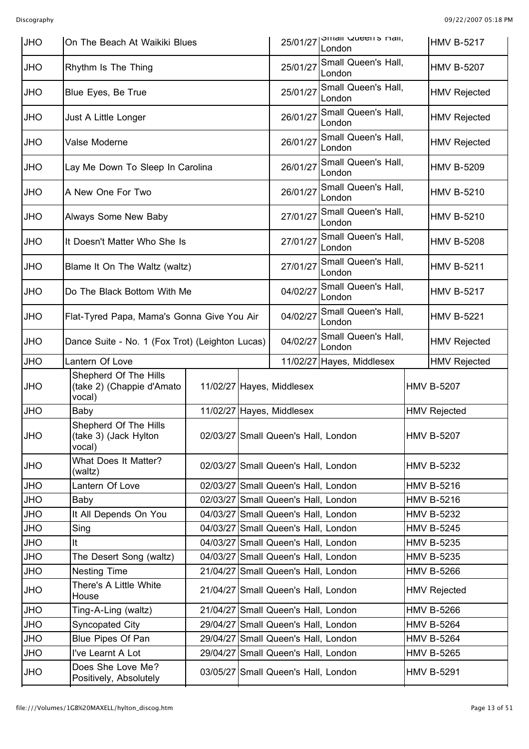| <b>JHO</b> |                                                              | On The Beach At Waikiki Blues |  |                                     | SITIALI QUEETTS FIAIL,<br>25/01/27<br>London | <b>HMV B-5217</b>   |
|------------|--------------------------------------------------------------|-------------------------------|--|-------------------------------------|----------------------------------------------|---------------------|
| <b>OHL</b> | Rhythm Is The Thing                                          |                               |  | 25/01/27                            | Small Queen's Hall,<br>London                | <b>HMV B-5207</b>   |
| <b>JHO</b> | Blue Eyes, Be True                                           |                               |  | 25/01/27                            | Small Queen's Hall,<br>London                | <b>HMV Rejected</b> |
| <b>JHO</b> | Just A Little Longer                                         |                               |  | 26/01/27                            | Small Queen's Hall,<br>London                | <b>HMV Rejected</b> |
| <b>JHO</b> | Valse Moderne                                                |                               |  | 26/01/27                            | Small Queen's Hall,<br>London                | <b>HMV Rejected</b> |
| <b>OHL</b> | Lay Me Down To Sleep In Carolina                             |                               |  | 26/01/27                            | Small Queen's Hall,<br>London                | <b>HMV B-5209</b>   |
| <b>JHO</b> | A New One For Two                                            |                               |  | 26/01/27                            | Small Queen's Hall,<br>London                | <b>HMV B-5210</b>   |
| <b>JHO</b> | Always Some New Baby                                         |                               |  | 27/01/27                            | Small Queen's Hall,<br>London                | <b>HMV B-5210</b>   |
| <b>JHO</b> | It Doesn't Matter Who She Is                                 |                               |  | 27/01/27                            | Small Queen's Hall,<br>London                | <b>HMV B-5208</b>   |
| <b>JHO</b> | Blame It On The Waltz (waltz)                                |                               |  | 27/01/27                            | Small Queen's Hall,<br>London                | <b>HMV B-5211</b>   |
| <b>JHO</b> | Do The Black Bottom With Me                                  |                               |  | 04/02/27                            | Small Queen's Hall,<br>London                | <b>HMV B-5217</b>   |
| <b>JHO</b> | Flat-Tyred Papa, Mama's Gonna Give You Air                   |                               |  | 04/02/27                            | Small Queen's Hall,<br>London                | <b>HMV B-5221</b>   |
| <b>JHO</b> | Dance Suite - No. 1 (Fox Trot) (Leighton Lucas)              |                               |  | 04/02/27                            | Small Queen's Hall,<br>London                | <b>HMV Rejected</b> |
| <b>JHO</b> | Lantern Of Love                                              |                               |  |                                     | 11/02/27 Hayes, Middlesex                    | <b>HMV Rejected</b> |
| <b>OHL</b> | Shepherd Of The Hills<br>(take 2) (Chappie d'Amato<br>vocal) |                               |  | 11/02/27 Hayes, Middlesex           |                                              | <b>HMV B-5207</b>   |
| <b>JHO</b> | Baby                                                         |                               |  | 11/02/27 Hayes, Middlesex           |                                              | <b>HMV Rejected</b> |
| JHO        | Shepherd Of The Hills<br>(take 3) (Jack Hylton<br>vocal)     |                               |  | 02/03/27 Small Queen's Hall, London |                                              | <b>HMV B-5207</b>   |
| <b>JHO</b> | What Does It Matter?<br>(waltz)                              |                               |  | 02/03/27 Small Queen's Hall, London |                                              | <b>HMV B-5232</b>   |
| <b>JHO</b> | Lantern Of Love                                              |                               |  | 02/03/27 Small Queen's Hall, London |                                              | <b>HMV B-5216</b>   |
| <b>OHL</b> | Baby                                                         |                               |  | 02/03/27 Small Queen's Hall, London |                                              | <b>HMV B-5216</b>   |
| <b>OHL</b> | It All Depends On You                                        |                               |  | 04/03/27 Small Queen's Hall, London |                                              | <b>HMV B-5232</b>   |
| <b>OHL</b> | Sing                                                         |                               |  | 04/03/27 Small Queen's Hall, London |                                              | <b>HMV B-5245</b>   |
| <b>OHL</b> | It                                                           |                               |  | 04/03/27 Small Queen's Hall, London |                                              | <b>HMV B-5235</b>   |
| <b>OHL</b> | The Desert Song (waltz)                                      |                               |  | 04/03/27 Small Queen's Hall, London |                                              | <b>HMV B-5235</b>   |
| <b>JHO</b> | <b>Nesting Time</b>                                          |                               |  | 21/04/27 Small Queen's Hall, London |                                              | <b>HMV B-5266</b>   |
| <b>OHL</b> | There's A Little White<br>House                              |                               |  | 21/04/27 Small Queen's Hall, London |                                              | <b>HMV Rejected</b> |
| <b>OHL</b> | Ting-A-Ling (waltz)                                          |                               |  | 21/04/27 Small Queen's Hall, London |                                              | <b>HMV B-5266</b>   |
| <b>OHL</b> | Syncopated City                                              |                               |  | 29/04/27 Small Queen's Hall, London |                                              | <b>HMV B-5264</b>   |
| <b>OHL</b> | Blue Pipes Of Pan                                            |                               |  | 29/04/27 Small Queen's Hall, London |                                              | <b>HMV B-5264</b>   |
| <b>OHL</b> | I've Learnt A Lot                                            |                               |  | 29/04/27 Small Queen's Hall, London |                                              | <b>HMV B-5265</b>   |
| <b>OHL</b> | Does She Love Me?<br>Positively, Absolutely                  |                               |  | 03/05/27 Small Queen's Hall, London |                                              | <b>HMV B-5291</b>   |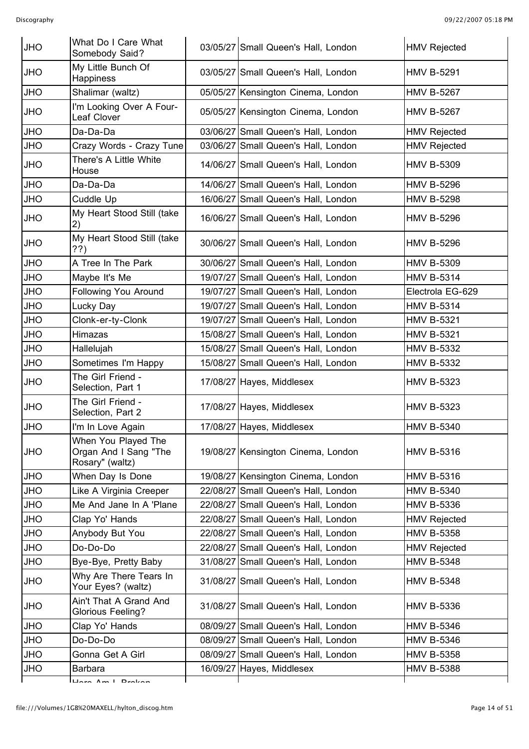| <b>JHO</b> | What Do I Care What<br>Somebody Said?                           | 03/05/27 Small Queen's Hall, London | <b>HMV Rejected</b> |
|------------|-----------------------------------------------------------------|-------------------------------------|---------------------|
| <b>JHO</b> | My Little Bunch Of<br>Happiness                                 | 03/05/27 Small Queen's Hall, London | <b>HMV B-5291</b>   |
| <b>JHO</b> | Shalimar (waltz)                                                | 05/05/27 Kensington Cinema, London  | <b>HMV B-5267</b>   |
| <b>OHL</b> | I'm Looking Over A Four-<br>Leaf Clover                         | 05/05/27 Kensington Cinema, London  | <b>HMV B-5267</b>   |
| <b>OHL</b> | Da-Da-Da                                                        | 03/06/27 Small Queen's Hall, London | <b>HMV Rejected</b> |
| <b>JHO</b> | Crazy Words - Crazy Tune                                        | 03/06/27 Small Queen's Hall, London | <b>HMV Rejected</b> |
| <b>OHL</b> | There's A Little White<br>House                                 | 14/06/27 Small Queen's Hall, London | <b>HMV B-5309</b>   |
| <b>JHO</b> | Da-Da-Da                                                        | 14/06/27 Small Queen's Hall, London | <b>HMV B-5296</b>   |
| <b>JHO</b> | Cuddle Up                                                       | 16/06/27 Small Queen's Hall, London | <b>HMV B-5298</b>   |
| <b>OHL</b> | My Heart Stood Still (take<br>2)                                | 16/06/27 Small Queen's Hall, London | <b>HMV B-5296</b>   |
| <b>OHL</b> | My Heart Stood Still (take<br>??)                               | 30/06/27 Small Queen's Hall, London | <b>HMV B-5296</b>   |
| <b>JHO</b> | A Tree In The Park                                              | 30/06/27 Small Queen's Hall, London | <b>HMV B-5309</b>   |
| <b>JHO</b> | Maybe It's Me                                                   | 19/07/27 Small Queen's Hall, London | <b>HMV B-5314</b>   |
| <b>OHL</b> | Following You Around                                            | 19/07/27 Small Queen's Hall, London | Electrola EG-629    |
| <b>JHO</b> | Lucky Day                                                       | 19/07/27 Small Queen's Hall, London | <b>HMV B-5314</b>   |
| <b>JHO</b> | Clonk-er-ty-Clonk                                               | 19/07/27 Small Queen's Hall, London | <b>HMV B-5321</b>   |
| <b>OHL</b> | Himazas                                                         | 15/08/27 Small Queen's Hall, London | <b>HMV B-5321</b>   |
| <b>JHO</b> | Hallelujah                                                      | 15/08/27 Small Queen's Hall, London | <b>HMV B-5332</b>   |
| <b>JHO</b> | Sometimes I'm Happy                                             | 15/08/27 Small Queen's Hall, London | <b>HMV B-5332</b>   |
| <b>JHO</b> | The Girl Friend -<br>Selection, Part 1                          | 17/08/27 Hayes, Middlesex           | <b>HMV B-5323</b>   |
| <b>OHL</b> | The Girl Friend -<br>Selection, Part 2                          | 17/08/27 Hayes, Middlesex           | <b>HMV B-5323</b>   |
| <b>JHO</b> | I'm In Love Again                                               | 17/08/27 Hayes, Middlesex           | <b>HMV B-5340</b>   |
| <b>OHL</b> | When You Played The<br>Organ And I Sang "The<br>Rosary" (waltz) | 19/08/27 Kensington Cinema, London  | <b>HMV B-5316</b>   |
| <b>JHO</b> | When Day Is Done                                                | 19/08/27 Kensington Cinema, London  | <b>HMV B-5316</b>   |
| <b>OHL</b> | Like A Virginia Creeper                                         | 22/08/27 Small Queen's Hall, London | <b>HMV B-5340</b>   |
| <b>OHL</b> | Me And Jane In A 'Plane                                         | 22/08/27 Small Queen's Hall, London | <b>HMV B-5336</b>   |
| <b>OHL</b> | Clap Yo' Hands                                                  | 22/08/27 Small Queen's Hall, London | <b>HMV Rejected</b> |
| <b>OHL</b> | Anybody But You                                                 | 22/08/27 Small Queen's Hall, London | <b>HMV B-5358</b>   |
| <b>OHL</b> | Do-Do-Do                                                        | 22/08/27 Small Queen's Hall, London | <b>HMV Rejected</b> |
| <b>JHO</b> | Bye-Bye, Pretty Baby                                            | 31/08/27 Small Queen's Hall, London | <b>HMV B-5348</b>   |
| <b>OHL</b> | Why Are There Tears In<br>Your Eyes? (waltz)                    | 31/08/27 Small Queen's Hall, London | <b>HMV B-5348</b>   |
| <b>OHL</b> | Ain't That A Grand And<br><b>Glorious Feeling?</b>              | 31/08/27 Small Queen's Hall, London | <b>HMV B-5336</b>   |
| <b>OHL</b> | Clap Yo' Hands                                                  | 08/09/27 Small Queen's Hall, London | <b>HMV B-5346</b>   |
| <b>JHO</b> | Do-Do-Do                                                        | 08/09/27 Small Queen's Hall, London | <b>HMV B-5346</b>   |
| <b>OHL</b> | Gonna Get A Girl                                                | 08/09/27 Small Queen's Hall, London | <b>HMV B-5358</b>   |
| <b>OHL</b> | <b>Barbara</b>                                                  | 16/09/27 Hayes, Middlesex           | <b>HMV B-5388</b>   |
|            | Hara Am I Drakan                                                |                                     |                     |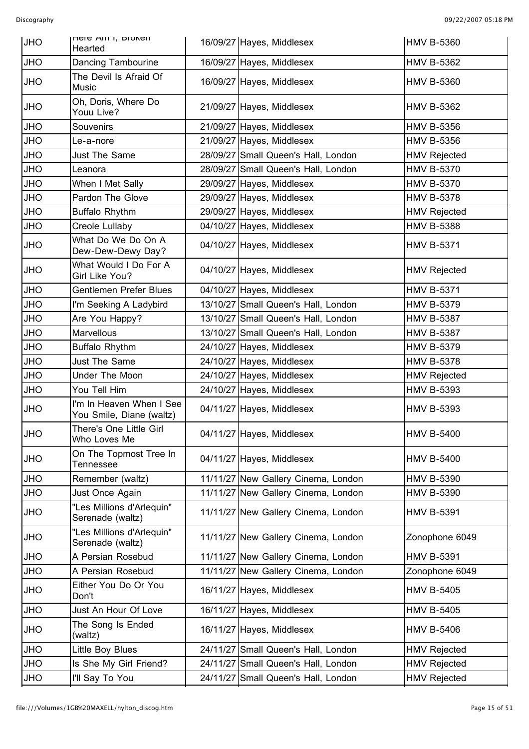| <b>JHO</b> | <b>NULLE AILLI, DIUKEIL</b><br>Hearted               | 16/09/27 Hayes, Middlesex           | <b>HMV B-5360</b>   |
|------------|------------------------------------------------------|-------------------------------------|---------------------|
| <b>JHO</b> | Dancing Tambourine                                   | 16/09/27 Hayes, Middlesex           | <b>HMV B-5362</b>   |
| <b>OHL</b> | The Devil Is Afraid Of<br>Music                      | 16/09/27 Hayes, Middlesex           | <b>HMV B-5360</b>   |
| <b>OHL</b> | Oh, Doris, Where Do<br>Youu Live?                    | 21/09/27 Hayes, Middlesex           | <b>HMV B-5362</b>   |
| <b>JHO</b> | Souvenirs                                            | 21/09/27 Hayes, Middlesex           | <b>HMV B-5356</b>   |
| <b>JHO</b> | Le-a-nore                                            | 21/09/27 Hayes, Middlesex           | <b>HMV B-5356</b>   |
| <b>OHL</b> | Just The Same                                        | 28/09/27 Small Queen's Hall, London | <b>HMV Rejected</b> |
| <b>OHL</b> | Leanora                                              | 28/09/27 Small Queen's Hall, London | <b>HMV B-5370</b>   |
| <b>OHL</b> | When I Met Sally                                     | 29/09/27 Hayes, Middlesex           | <b>HMV B-5370</b>   |
| <b>OHL</b> | Pardon The Glove                                     | 29/09/27 Hayes, Middlesex           | <b>HMV B-5378</b>   |
| <b>JHO</b> | Buffalo Rhythm                                       | 29/09/27 Hayes, Middlesex           | <b>HMV Rejected</b> |
| <b>JHO</b> | Creole Lullaby                                       | 04/10/27 Hayes, Middlesex           | <b>HMV B-5388</b>   |
| <b>JHO</b> | What Do We Do On A<br>Dew-Dew-Dewy Day?              | 04/10/27 Hayes, Middlesex           | <b>HMV B-5371</b>   |
| <b>JHO</b> | What Would I Do For A<br>Girl Like You?              | 04/10/27 Hayes, Middlesex           | <b>HMV Rejected</b> |
| <b>JHO</b> | <b>Gentlemen Prefer Blues</b>                        | 04/10/27 Hayes, Middlesex           | <b>HMV B-5371</b>   |
| <b>JHO</b> | I'm Seeking A Ladybird                               | 13/10/27 Small Queen's Hall, London | <b>HMV B-5379</b>   |
| <b>JHO</b> | Are You Happy?                                       | 13/10/27 Small Queen's Hall, London | <b>HMV B-5387</b>   |
| <b>OHL</b> | Marvellous                                           | 13/10/27 Small Queen's Hall, London | <b>HMV B-5387</b>   |
| <b>OHL</b> | <b>Buffalo Rhythm</b>                                | 24/10/27 Hayes, Middlesex           | <b>HMV B-5379</b>   |
| <b>OHL</b> | <b>Just The Same</b>                                 | 24/10/27 Hayes, Middlesex           | <b>HMV B-5378</b>   |
| <b>OHL</b> | Under The Moon                                       | 24/10/27 Hayes, Middlesex           | <b>HMV Rejected</b> |
| <b>JHO</b> | You Tell Him                                         | 24/10/27 Hayes, Middlesex           | <b>HMV B-5393</b>   |
| <b>JHO</b> | I'm In Heaven When I See<br>You Smile, Diane (waltz) | 04/11/27 Hayes, Middlesex           | <b>HMV B-5393</b>   |
| <b>JHO</b> | There's One Little Girl<br>Who Loves Me              | 04/11/27 Hayes, Middlesex           | <b>HMV B-5400</b>   |
| <b>OHL</b> | On The Topmost Tree In<br>Tennessee                  | 04/11/27 Hayes, Middlesex           | <b>HMV B-5400</b>   |
| <b>JHO</b> | Remember (waltz)                                     | 11/11/27 New Gallery Cinema, London | <b>HMV B-5390</b>   |
| OHU        | Just Once Again                                      | 11/11/27 New Gallery Cinema, London | <b>HMV B-5390</b>   |
| <b>OHL</b> | "Les Millions d'Arlequin"<br>Serenade (waltz)        | 11/11/27 New Gallery Cinema, London | <b>HMV B-5391</b>   |
| <b>OHL</b> | "Les Millions d'Arlequin"<br>Serenade (waltz)        | 11/11/27 New Gallery Cinema, London | Zonophone 6049      |
| <b>OHL</b> | A Persian Rosebud                                    | 11/11/27 New Gallery Cinema, London | <b>HMV B-5391</b>   |
| <b>JHO</b> | A Persian Rosebud                                    | 11/11/27 New Gallery Cinema, London | Zonophone 6049      |
| OHU        | Either You Do Or You<br>Don't                        | 16/11/27 Hayes, Middlesex           | <b>HMV B-5405</b>   |
| <b>OHL</b> | Just An Hour Of Love                                 | 16/11/27 Hayes, Middlesex           | <b>HMV B-5405</b>   |
| <b>OHL</b> | The Song Is Ended<br>(waltz)                         | 16/11/27 Hayes, Middlesex           | <b>HMV B-5406</b>   |
| <b>OHL</b> | Little Boy Blues                                     | 24/11/27 Small Queen's Hall, London | <b>HMV Rejected</b> |
| <b>OHL</b> | Is She My Girl Friend?                               | 24/11/27 Small Queen's Hall, London | <b>HMV Rejected</b> |
| JHO        | I'll Say To You                                      | 24/11/27 Small Queen's Hall, London | <b>HMV Rejected</b> |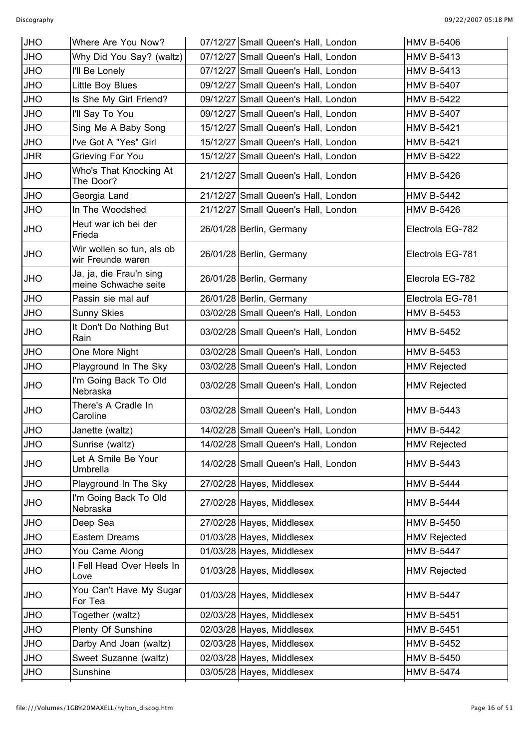| <b>JHO</b> | Where Are You Now?                              | 07/12/27 Small Queen's Hall, London | <b>HMV B-5406</b>   |
|------------|-------------------------------------------------|-------------------------------------|---------------------|
| <b>JHO</b> | Why Did You Say? (waltz)                        | 07/12/27 Small Queen's Hall, London | <b>HMV B-5413</b>   |
| <b>JHO</b> | I'll Be Lonely                                  | 07/12/27 Small Queen's Hall, London | <b>HMV B-5413</b>   |
| <b>JHO</b> | Little Boy Blues                                | 09/12/27 Small Queen's Hall, London | <b>HMV B-5407</b>   |
| <b>JHO</b> | Is She My Girl Friend?                          | 09/12/27 Small Queen's Hall, London | <b>HMV B-5422</b>   |
| <b>JHO</b> | I'll Say To You                                 | 09/12/27 Small Queen's Hall, London | <b>HMV B-5407</b>   |
| <b>JHO</b> | Sing Me A Baby Song                             | 15/12/27 Small Queen's Hall, London | <b>HMV B-5421</b>   |
| <b>JHO</b> | I've Got A "Yes" Girl                           | 15/12/27 Small Queen's Hall, London | <b>HMV B-5421</b>   |
| <b>JHR</b> | Grieving For You                                | 15/12/27 Small Queen's Hall, London | <b>HMV B-5422</b>   |
| <b>JHO</b> | Who's That Knocking At<br>The Door?             | 21/12/27 Small Queen's Hall, London | <b>HMV B-5426</b>   |
| <b>JHO</b> | Georgia Land                                    | 21/12/27 Small Queen's Hall, London | <b>HMV B-5442</b>   |
| <b>JHO</b> | In The Woodshed                                 | 21/12/27 Small Queen's Hall, London | <b>HMV B-5426</b>   |
| <b>JHO</b> | Heut war ich bei der<br>Frieda                  | 26/01/28 Berlin, Germany            | Electrola EG-782    |
| <b>JHO</b> | Wir wollen so tun, als ob<br>wir Freunde waren  | 26/01/28 Berlin, Germany            | Electrola EG-781    |
| <b>JHO</b> | Ja, ja, die Frau'n sing<br>meine Schwache seite | 26/01/28 Berlin, Germany            | Elecrola EG-782     |
| <b>JHO</b> | Passin sie mal auf                              | 26/01/28 Berlin, Germany            | Electrola EG-781    |
| <b>JHO</b> | <b>Sunny Skies</b>                              | 03/02/28 Small Queen's Hall, London | <b>HMV B-5453</b>   |
| <b>JHO</b> | It Don't Do Nothing But<br>Rain                 | 03/02/28 Small Queen's Hall, London | <b>HMV B-5452</b>   |
| <b>JHO</b> | One More Night                                  | 03/02/28 Small Queen's Hall, London | <b>HMV B-5453</b>   |
| <b>JHO</b> | Playground In The Sky                           | 03/02/28 Small Queen's Hall, London | <b>HMV Rejected</b> |
| <b>JHO</b> | I'm Going Back To Old<br>Nebraska               | 03/02/28 Small Queen's Hall, London | <b>HMV Rejected</b> |
| <b>JHO</b> | There's A Cradle In<br>Caroline                 | 03/02/28 Small Queen's Hall, London | <b>HMV B-5443</b>   |
| <b>JHO</b> | Janette (waltz)                                 | 14/02/28 Small Queen's Hall, London | <b>HMV B-5442</b>   |
| <b>JHO</b> | Sunrise (waltz)                                 | 14/02/28 Small Queen's Hall, London | <b>HMV Rejected</b> |
| <b>OHL</b> | Let A Smile Be Your<br>Umbrella                 | 14/02/28 Small Queen's Hall, London | <b>HMV B-5443</b>   |
| <b>JHO</b> | Playground In The Sky                           | 27/02/28 Hayes, Middlesex           | <b>HMV B-5444</b>   |
| <b>JHO</b> | I'm Going Back To Old<br>Nebraska               | 27/02/28 Hayes, Middlesex           | <b>HMV B-5444</b>   |
| <b>JHO</b> | Deep Sea                                        | 27/02/28 Hayes, Middlesex           | <b>HMV B-5450</b>   |
| <b>JHO</b> | Eastern Dreams                                  | 01/03/28 Hayes, Middlesex           | <b>HMV Rejected</b> |
| <b>JHO</b> | You Came Along                                  | 01/03/28 Hayes, Middlesex           | <b>HMV B-5447</b>   |
| <b>JHO</b> | I Fell Head Over Heels In<br>Love               | 01/03/28 Hayes, Middlesex           | <b>HMV Rejected</b> |
| <b>JHO</b> | You Can't Have My Sugar<br>For Tea              | 01/03/28 Hayes, Middlesex           | <b>HMV B-5447</b>   |
| <b>JHO</b> | Together (waltz)                                | 02/03/28 Hayes, Middlesex           | <b>HMV B-5451</b>   |
| <b>JHO</b> | Plenty Of Sunshine                              | 02/03/28 Hayes, Middlesex           | <b>HMV B-5451</b>   |
| <b>JHO</b> | Darby And Joan (waltz)                          | 02/03/28 Hayes, Middlesex           | <b>HMV B-5452</b>   |
| <b>OHL</b> | Sweet Suzanne (waltz)                           | 02/03/28 Hayes, Middlesex           | <b>HMV B-5450</b>   |
| <b>JHO</b> | Sunshine                                        | 03/05/28 Hayes, Middlesex           | <b>HMV B-5474</b>   |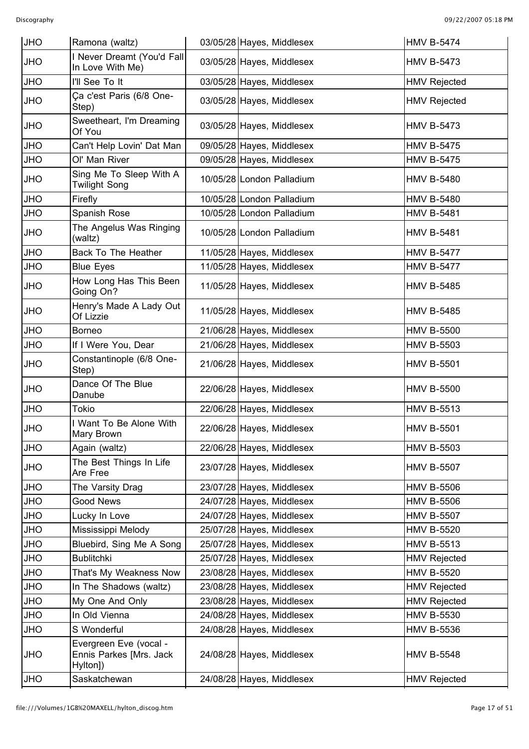| <b>JHO</b> | Ramona (waltz)                                                | 03/05/28 Hayes, Middlesex | <b>HMV B-5474</b>   |
|------------|---------------------------------------------------------------|---------------------------|---------------------|
| <b>OHL</b> | I Never Dreamt (You'd Fall<br>In Love With Me)                | 03/05/28 Hayes, Middlesex | <b>HMV B-5473</b>   |
| <b>JHO</b> | I'll See To It                                                | 03/05/28 Hayes, Middlesex | <b>HMV Rejected</b> |
| <b>JHO</b> | Ça c'est Paris (6/8 One-<br>Step)                             | 03/05/28 Hayes, Middlesex | <b>HMV Rejected</b> |
| <b>OHL</b> | Sweetheart, I'm Dreaming<br>Of You                            | 03/05/28 Hayes, Middlesex | <b>HMV B-5473</b>   |
| <b>JHO</b> | Can't Help Lovin' Dat Man                                     | 09/05/28 Hayes, Middlesex | <b>HMV B-5475</b>   |
| <b>JHO</b> | Ol' Man River                                                 | 09/05/28 Hayes, Middlesex | <b>HMV B-5475</b>   |
| <b>OHL</b> | Sing Me To Sleep With A<br><b>Twilight Song</b>               | 10/05/28 London Palladium | <b>HMV B-5480</b>   |
| <b>JHO</b> | Firefly                                                       | 10/05/28 London Palladium | <b>HMV B-5480</b>   |
| <b>JHO</b> | Spanish Rose                                                  | 10/05/28 London Palladium | <b>HMV B-5481</b>   |
| <b>OHL</b> | The Angelus Was Ringing<br>(waltz)                            | 10/05/28 London Palladium | <b>HMV B-5481</b>   |
| <b>JHO</b> | <b>Back To The Heather</b>                                    | 11/05/28 Hayes, Middlesex | <b>HMV B-5477</b>   |
| <b>JHO</b> | <b>Blue Eyes</b>                                              | 11/05/28 Hayes, Middlesex | <b>HMV B-5477</b>   |
| <b>OHL</b> | How Long Has This Been<br>Going On?                           | 11/05/28 Hayes, Middlesex | <b>HMV B-5485</b>   |
| <b>OHL</b> | Henry's Made A Lady Out<br>Of Lizzie                          | 11/05/28 Hayes, Middlesex | <b>HMV B-5485</b>   |
| <b>JHO</b> | <b>Borneo</b>                                                 | 21/06/28 Hayes, Middlesex | <b>HMV B-5500</b>   |
| <b>JHO</b> | If I Were You, Dear                                           | 21/06/28 Hayes, Middlesex | <b>HMV B-5503</b>   |
| <b>OHL</b> | Constantinople (6/8 One-<br>Step)                             | 21/06/28 Hayes, Middlesex | <b>HMV B-5501</b>   |
| <b>JHO</b> | Dance Of The Blue<br>Danube                                   | 22/06/28 Hayes, Middlesex | <b>HMV B-5500</b>   |
| <b>JHO</b> | <b>Tokio</b>                                                  | 22/06/28 Hayes, Middlesex | <b>HMV B-5513</b>   |
| <b>JHO</b> | I Want To Be Alone With<br>Mary Brown                         | 22/06/28 Hayes, Middlesex | <b>HMV B-5501</b>   |
| <b>JHO</b> | Again (waltz)                                                 | 22/06/28 Hayes, Middlesex | <b>HMV B-5503</b>   |
| <b>JHO</b> | The Best Things In Life<br>Are Free                           | 23/07/28 Hayes, Middlesex | <b>HMV B-5507</b>   |
| <b>JHO</b> | The Varsity Drag                                              | 23/07/28 Hayes, Middlesex | <b>HMV B-5506</b>   |
| <b>OHL</b> | <b>Good News</b>                                              | 24/07/28 Hayes, Middlesex | <b>HMV B-5506</b>   |
| <b>JHO</b> | Lucky In Love                                                 | 24/07/28 Hayes, Middlesex | <b>HMV B-5507</b>   |
| <b>OHL</b> | Mississippi Melody                                            | 25/07/28 Hayes, Middlesex | <b>HMV B-5520</b>   |
| <b>OHL</b> | Bluebird, Sing Me A Song                                      | 25/07/28 Hayes, Middlesex | <b>HMV B-5513</b>   |
| <b>JHO</b> | <b>Bublitchki</b>                                             | 25/07/28 Hayes, Middlesex | <b>HMV Rejected</b> |
| <b>OHL</b> | That's My Weakness Now                                        | 23/08/28 Hayes, Middlesex | <b>HMV B-5520</b>   |
| <b>OHL</b> | In The Shadows (waltz)                                        | 23/08/28 Hayes, Middlesex | <b>HMV Rejected</b> |
| <b>JHO</b> | My One And Only                                               | 23/08/28 Hayes, Middlesex | <b>HMV Rejected</b> |
| <b>OHL</b> | In Old Vienna                                                 | 24/08/28 Hayes, Middlesex | <b>HMV B-5530</b>   |
| <b>JHO</b> | S Wonderful                                                   | 24/08/28 Hayes, Middlesex | <b>HMV B-5536</b>   |
| <b>JHO</b> | Evergreen Eve (vocal -<br>Ennis Parkes [Mrs. Jack<br>Hylton]) | 24/08/28 Hayes, Middlesex | <b>HMV B-5548</b>   |
| <b>JHO</b> | Saskatchewan                                                  | 24/08/28 Hayes, Middlesex | <b>HMV Rejected</b> |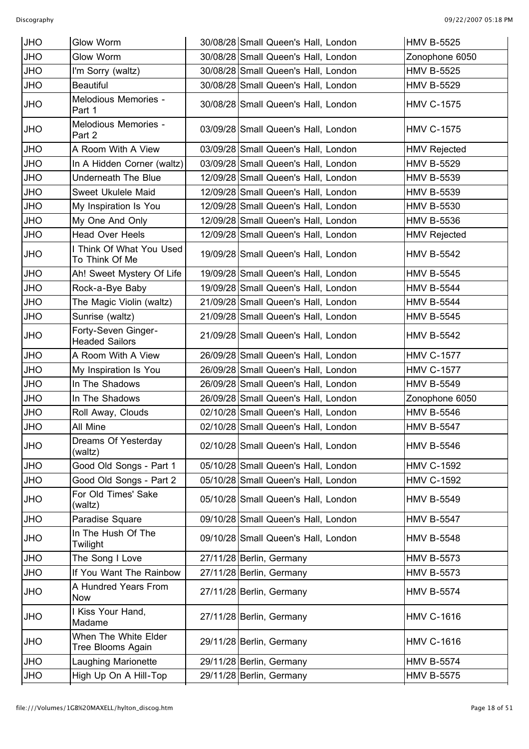| <b>JHO</b> | Glow Worm                                    | 30/08/28 Small Queen's Hall, London | <b>HMV B-5525</b>   |
|------------|----------------------------------------------|-------------------------------------|---------------------|
| <b>JHO</b> | Glow Worm                                    | 30/08/28 Small Queen's Hall, London | Zonophone 6050      |
| <b>JHO</b> | I'm Sorry (waltz)                            | 30/08/28 Small Queen's Hall, London | <b>HMV B-5525</b>   |
| <b>JHO</b> | <b>Beautiful</b>                             | 30/08/28 Small Queen's Hall, London | <b>HMV B-5529</b>   |
| <b>JHO</b> | Melodious Memories -<br>Part 1               | 30/08/28 Small Queen's Hall, London | <b>HMV C-1575</b>   |
| <b>JHO</b> | Melodious Memories -<br>Part 2               | 03/09/28 Small Queen's Hall, London | <b>HMV C-1575</b>   |
| <b>JHO</b> | A Room With A View                           | 03/09/28 Small Queen's Hall, London | <b>HMV Rejected</b> |
| <b>JHO</b> | In A Hidden Corner (waltz)                   | 03/09/28 Small Queen's Hall, London | <b>HMV B-5529</b>   |
| <b>JHO</b> | <b>Underneath The Blue</b>                   | 12/09/28 Small Queen's Hall, London | <b>HMV B-5539</b>   |
| <b>JHO</b> | Sweet Ukulele Maid                           | 12/09/28 Small Queen's Hall, London | <b>HMV B-5539</b>   |
| <b>JHO</b> | My Inspiration Is You                        | 12/09/28 Small Queen's Hall, London | <b>HMV B-5530</b>   |
| <b>JHO</b> | My One And Only                              | 12/09/28 Small Queen's Hall, London | <b>HMV B-5536</b>   |
| <b>JHO</b> | <b>Head Over Heels</b>                       | 12/09/28 Small Queen's Hall, London | <b>HMV Rejected</b> |
| <b>JHO</b> | I Think Of What You Used<br>To Think Of Me   | 19/09/28 Small Queen's Hall, London | <b>HMV B-5542</b>   |
| <b>JHO</b> | Ah! Sweet Mystery Of Life                    | 19/09/28 Small Queen's Hall, London | <b>HMV B-5545</b>   |
| <b>JHO</b> | Rock-a-Bye Baby                              | 19/09/28 Small Queen's Hall, London | <b>HMV B-5544</b>   |
| <b>JHO</b> | The Magic Violin (waltz)                     | 21/09/28 Small Queen's Hall, London | <b>HMV B-5544</b>   |
| <b>JHO</b> | Sunrise (waltz)                              | 21/09/28 Small Queen's Hall, London | <b>HMV B-5545</b>   |
| <b>JHO</b> | Forty-Seven Ginger-<br><b>Headed Sailors</b> | 21/09/28 Small Queen's Hall, London | <b>HMV B-5542</b>   |
| <b>JHO</b> | A Room With A View                           | 26/09/28 Small Queen's Hall, London | <b>HMV C-1577</b>   |
| <b>JHO</b> | My Inspiration Is You                        | 26/09/28 Small Queen's Hall, London | <b>HMV C-1577</b>   |
| <b>JHO</b> | In The Shadows                               | 26/09/28 Small Queen's Hall, London | <b>HMV B-5549</b>   |
| <b>JHO</b> | In The Shadows                               | 26/09/28 Small Queen's Hall, London | Zonophone 6050      |
| <b>JHO</b> | Roll Away, Clouds                            | 02/10/28 Small Queen's Hall, London | <b>HMV B-5546</b>   |
| <b>JHO</b> | All Mine                                     | 02/10/28 Small Queen's Hall, London | <b>HMV B-5547</b>   |
| <b>JHO</b> | Dreams Of Yesterday<br>(waltz)               | 02/10/28 Small Queen's Hall, London | <b>HMV B-5546</b>   |
| <b>JHO</b> | Good Old Songs - Part 1                      | 05/10/28 Small Queen's Hall, London | <b>HMV C-1592</b>   |
| <b>JHO</b> | Good Old Songs - Part 2                      | 05/10/28 Small Queen's Hall, London | <b>HMV C-1592</b>   |
| <b>JHO</b> | For Old Times' Sake<br>(waltz)               | 05/10/28 Small Queen's Hall, London | <b>HMV B-5549</b>   |
| <b>JHO</b> | Paradise Square                              | 09/10/28 Small Queen's Hall, London | <b>HMV B-5547</b>   |
| <b>JHO</b> | In The Hush Of The<br>Twilight               | 09/10/28 Small Queen's Hall, London | <b>HMV B-5548</b>   |
| <b>JHO</b> | The Song I Love                              | 27/11/28 Berlin, Germany            | <b>HMV B-5573</b>   |
| <b>JHO</b> | If You Want The Rainbow                      | 27/11/28 Berlin, Germany            | <b>HMV B-5573</b>   |
| <b>JHO</b> | A Hundred Years From<br><b>Now</b>           | 27/11/28 Berlin, Germany            | <b>HMV B-5574</b>   |
| <b>JHO</b> | I Kiss Your Hand,<br>Madame                  | 27/11/28 Berlin, Germany            | <b>HMV C-1616</b>   |
| <b>JHO</b> | When The White Elder<br>Tree Blooms Again    | 29/11/28 Berlin, Germany            | <b>HMV C-1616</b>   |
| <b>JHO</b> | Laughing Marionette                          | 29/11/28 Berlin, Germany            | <b>HMV B-5574</b>   |
| <b>JHO</b> | High Up On A Hill-Top                        | 29/11/28 Berlin, Germany            | <b>HMV B-5575</b>   |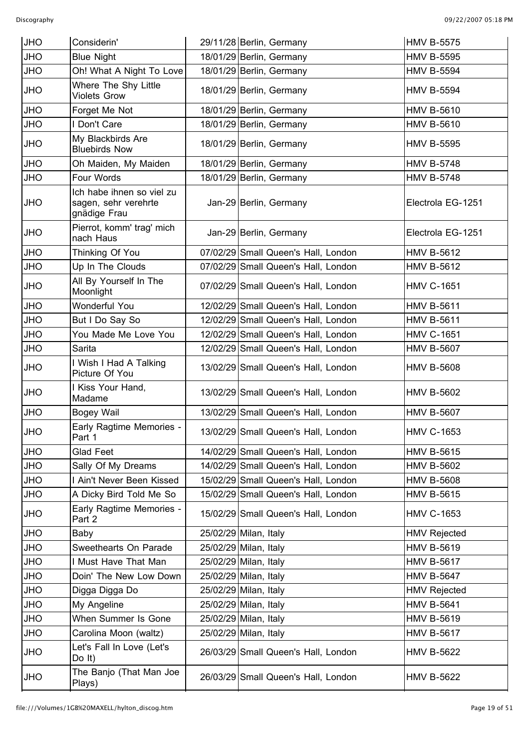| <b>JHO</b> | Considerin'                                                       | 29/11/28 Berlin, Germany            | <b>HMV B-5575</b>   |
|------------|-------------------------------------------------------------------|-------------------------------------|---------------------|
| <b>JHO</b> | <b>Blue Night</b>                                                 | 18/01/29 Berlin, Germany            | <b>HMV B-5595</b>   |
| <b>JHO</b> | Oh! What A Night To Love                                          | 18/01/29 Berlin, Germany            | <b>HMV B-5594</b>   |
| <b>JHO</b> | Where The Shy Little<br><b>Violets Grow</b>                       | 18/01/29 Berlin, Germany            | <b>HMV B-5594</b>   |
| <b>OHL</b> | Forget Me Not                                                     | 18/01/29 Berlin, Germany            | <b>HMV B-5610</b>   |
| <b>OHL</b> | I Don't Care                                                      | 18/01/29 Berlin, Germany            | <b>HMV B-5610</b>   |
| <b>JHO</b> | My Blackbirds Are<br><b>Bluebirds Now</b>                         | 18/01/29 Berlin, Germany            | <b>HMV B-5595</b>   |
| <b>JHO</b> | Oh Maiden, My Maiden                                              | 18/01/29 Berlin, Germany            | <b>HMV B-5748</b>   |
| <b>JHO</b> | Four Words                                                        | 18/01/29 Berlin, Germany            | <b>HMV B-5748</b>   |
| <b>JHO</b> | Ich habe ihnen so viel zu<br>sagen, sehr verehrte<br>gnädige Frau | Jan-29 Berlin, Germany              | Electrola EG-1251   |
| <b>JHO</b> | Pierrot, komm' trag' mich<br>nach Haus                            | Jan-29 Berlin, Germany              | Electrola EG-1251   |
| <b>JHO</b> | Thinking Of You                                                   | 07/02/29 Small Queen's Hall, London | <b>HMV B-5612</b>   |
| <b>JHO</b> | Up In The Clouds                                                  | 07/02/29 Small Queen's Hall, London | <b>HMV B-5612</b>   |
| <b>JHO</b> | All By Yourself In The<br>Moonlight                               | 07/02/29 Small Queen's Hall, London | <b>HMV C-1651</b>   |
| <b>JHO</b> | Wonderful You                                                     | 12/02/29 Small Queen's Hall, London | <b>HMV B-5611</b>   |
| <b>JHO</b> | But I Do Say So                                                   | 12/02/29 Small Queen's Hall, London | <b>HMV B-5611</b>   |
| <b>JHO</b> | You Made Me Love You                                              | 12/02/29 Small Queen's Hall, London | <b>HMV C-1651</b>   |
| <b>JHO</b> | Sarita                                                            | 12/02/29 Small Queen's Hall, London | <b>HMV B-5607</b>   |
| <b>JHO</b> | I Wish I Had A Talking<br>Picture Of You                          | 13/02/29 Small Queen's Hall, London | <b>HMV B-5608</b>   |
| <b>JHO</b> | I Kiss Your Hand,<br>Madame                                       | 13/02/29 Small Queen's Hall, London | <b>HMV B-5602</b>   |
| <b>JHO</b> | <b>Bogey Wail</b>                                                 | 13/02/29 Small Queen's Hall, London | <b>HMV B-5607</b>   |
| <b>JHO</b> | Early Ragtime Memories -<br>Part 1                                | 13/02/29 Small Queen's Hall, London | <b>HMV C-1653</b>   |
| <b>JHO</b> | <b>Glad Feet</b>                                                  | 14/02/29 Small Queen's Hall, London | <b>HMV B-5615</b>   |
| <b>JHO</b> | Sally Of My Dreams                                                | 14/02/29 Small Queen's Hall, London | <b>HMV B-5602</b>   |
| <b>JHO</b> | I Ain't Never Been Kissed                                         | 15/02/29 Small Queen's Hall, London | <b>HMV B-5608</b>   |
| JHO        | A Dicky Bird Told Me So                                           | 15/02/29 Small Queen's Hall, London | <b>HMV B-5615</b>   |
| <b>JHO</b> | Early Ragtime Memories -<br>Part 2                                | 15/02/29 Small Queen's Hall, London | <b>HMV C-1653</b>   |
| <b>JHO</b> | Baby                                                              | 25/02/29 Milan, Italy               | <b>HMV Rejected</b> |
| JHO        | Sweethearts On Parade                                             | 25/02/29 Milan, Italy               | <b>HMV B-5619</b>   |
| JHO        | I Must Have That Man                                              | 25/02/29 Milan, Italy               | <b>HMV B-5617</b>   |
| <b>OHL</b> | Doin' The New Low Down                                            | 25/02/29 Milan, Italy               | <b>HMV B-5647</b>   |
| JHO        | Digga Digga Do                                                    | 25/02/29 Milan, Italy               | <b>HMV Rejected</b> |
| <b>JHO</b> | My Angeline                                                       | 25/02/29 Milan, Italy               | <b>HMV B-5641</b>   |
| JHO        | When Summer Is Gone                                               | 25/02/29 Milan, Italy               | <b>HMV B-5619</b>   |
| <b>JHO</b> | Carolina Moon (waltz)                                             | 25/02/29 Milan, Italy               | <b>HMV B-5617</b>   |
| <b>JHO</b> | Let's Fall In Love (Let's<br>Do $It)$                             | 26/03/29 Small Queen's Hall, London | <b>HMV B-5622</b>   |
| <b>JHO</b> | The Banjo (That Man Joe<br>Plays)                                 | 26/03/29 Small Queen's Hall, London | <b>HMV B-5622</b>   |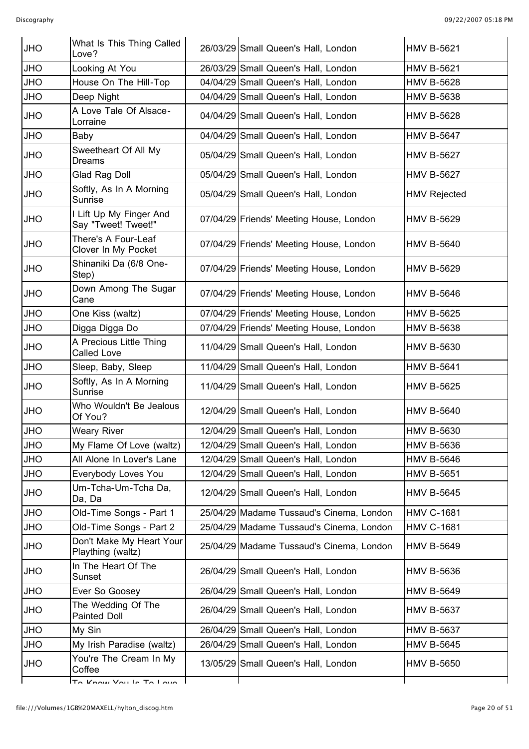| <b>JHO</b> | What Is This Thing Called<br>Love?             | 26/03/29 Small Queen's Hall, London      | <b>HMV B-5621</b>   |
|------------|------------------------------------------------|------------------------------------------|---------------------|
| <b>JHO</b> | Looking At You                                 | 26/03/29 Small Queen's Hall, London      | <b>HMV B-5621</b>   |
| <b>JHO</b> | House On The Hill-Top                          | 04/04/29 Small Queen's Hall, London      | <b>HMV B-5628</b>   |
| <b>JHO</b> | Deep Night                                     | 04/04/29 Small Queen's Hall, London      | <b>HMV B-5638</b>   |
| <b>JHO</b> | A Love Tale Of Alsace-<br>Lorraine             | 04/04/29 Small Queen's Hall, London      | <b>HMV B-5628</b>   |
| <b>JHO</b> | Baby                                           | 04/04/29 Small Queen's Hall, London      | <b>HMV B-5647</b>   |
| <b>JHO</b> | Sweetheart Of All My<br>Dreams                 | 05/04/29 Small Queen's Hall, London      | <b>HMV B-5627</b>   |
| <b>JHO</b> | Glad Rag Doll                                  | 05/04/29 Small Queen's Hall, London      | <b>HMV B-5627</b>   |
| <b>JHO</b> | Softly, As In A Morning<br>Sunrise             | 05/04/29 Small Queen's Hall, London      | <b>HMV Rejected</b> |
| <b>JHO</b> | I Lift Up My Finger And<br>Say "Tweet! Tweet!" | 07/04/29 Friends' Meeting House, London  | <b>HMV B-5629</b>   |
| <b>JHO</b> | There's A Four-Leaf<br>Clover In My Pocket     | 07/04/29 Friends' Meeting House, London  | <b>HMV B-5640</b>   |
| <b>JHO</b> | Shinaniki Da (6/8 One-<br>Step)                | 07/04/29 Friends' Meeting House, London  | <b>HMV B-5629</b>   |
| <b>JHO</b> | Down Among The Sugar<br>Cane                   | 07/04/29 Friends' Meeting House, London  | <b>HMV B-5646</b>   |
| <b>JHO</b> | One Kiss (waltz)                               | 07/04/29 Friends' Meeting House, London  | <b>HMV B-5625</b>   |
| <b>JHO</b> | Digga Digga Do                                 | 07/04/29 Friends' Meeting House, London  | <b>HMV B-5638</b>   |
| <b>JHO</b> | A Precious Little Thing<br><b>Called Love</b>  | 11/04/29 Small Queen's Hall, London      | <b>HMV B-5630</b>   |
| <b>JHO</b> | Sleep, Baby, Sleep                             | 11/04/29 Small Queen's Hall, London      | <b>HMV B-5641</b>   |
| <b>JHO</b> | Softly, As In A Morning<br>Sunrise             | 11/04/29 Small Queen's Hall, London      | <b>HMV B-5625</b>   |
| <b>JHO</b> | Who Wouldn't Be Jealous<br>Of You?             | 12/04/29 Small Queen's Hall, London      | <b>HMV B-5640</b>   |
| JHO        | Weary River                                    | 12/04/29 Small Queen's Hall, London      | <b>HMV B-5630</b>   |
| <b>JHO</b> | My Flame Of Love (waltz)                       | 12/04/29 Small Queen's Hall, London      | <b>HMV B-5636</b>   |
| <b>JHO</b> | All Alone In Lover's Lane                      | 12/04/29 Small Queen's Hall, London      | <b>HMV B-5646</b>   |
| <b>JHO</b> | Everybody Loves You                            | 12/04/29 Small Queen's Hall, London      | <b>HMV B-5651</b>   |
| <b>OHL</b> | Um-Tcha-Um-Tcha Da,<br>Da, Da                  | 12/04/29 Small Queen's Hall, London      | <b>HMV B-5645</b>   |
| <b>JHO</b> | Old-Time Songs - Part 1                        | 25/04/29 Madame Tussaud's Cinema, London | <b>HMV C-1681</b>   |
| <b>JHO</b> | Old-Time Songs - Part 2                        | 25/04/29 Madame Tussaud's Cinema, London | <b>HMV C-1681</b>   |
| <b>OHL</b> | Don't Make My Heart Your<br>Plaything (waltz)  | 25/04/29 Madame Tussaud's Cinema, London | <b>HMV B-5649</b>   |
| <b>JHO</b> | In The Heart Of The<br>Sunset                  | 26/04/29 Small Queen's Hall, London      | <b>HMV B-5636</b>   |
| <b>JHO</b> | Ever So Goosey                                 | 26/04/29 Small Queen's Hall, London      | <b>HMV B-5649</b>   |
| <b>OHL</b> | The Wedding Of The<br>Painted Doll             | 26/04/29 Small Queen's Hall, London      | <b>HMV B-5637</b>   |
| <b>JHO</b> | My Sin                                         | 26/04/29 Small Queen's Hall, London      | <b>HMV B-5637</b>   |
| <b>JHO</b> | My Irish Paradise (waltz)                      | 26/04/29 Small Queen's Hall, London      | <b>HMV B-5645</b>   |
| <b>JHO</b> | You're The Cream In My<br>Coffee               | 13/05/29 Small Queen's Hall, London      | <b>HMV B-5650</b>   |
|            | To Know Vou la Tail ave                        |                                          |                     |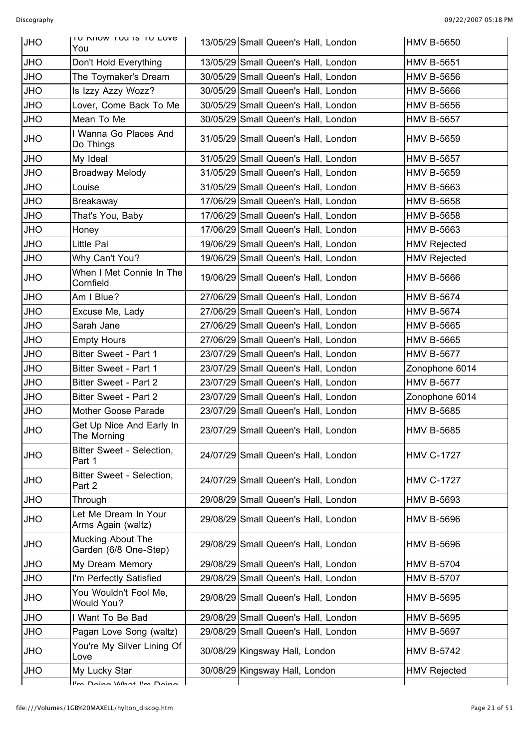| <b>JHO</b> | TO NIIOW TOU IS TO LOVE<br>You             | 13/05/29 Small Queen's Hall, London | <b>HMV B-5650</b>   |
|------------|--------------------------------------------|-------------------------------------|---------------------|
| <b>OHL</b> | Don't Hold Everything                      | 13/05/29 Small Queen's Hall, London | <b>HMV B-5651</b>   |
| <b>JHO</b> | The Toymaker's Dream                       | 30/05/29 Small Queen's Hall, London | <b>HMV B-5656</b>   |
| <b>JHO</b> | Is Izzy Azzy Wozz?                         | 30/05/29 Small Queen's Hall, London | <b>HMV B-5666</b>   |
| <b>OHL</b> | Lover, Come Back To Me                     | 30/05/29 Small Queen's Hall, London | <b>HMV B-5656</b>   |
| <b>OHL</b> | Mean To Me                                 | 30/05/29 Small Queen's Hall, London | <b>HMV B-5657</b>   |
| <b>OHL</b> | I Wanna Go Places And<br>Do Things         | 31/05/29 Small Queen's Hall, London | <b>HMV B-5659</b>   |
| JHO        | My Ideal                                   | 31/05/29 Small Queen's Hall, London | <b>HMV B-5657</b>   |
| <b>JHO</b> | <b>Broadway Melody</b>                     | 31/05/29 Small Queen's Hall, London | <b>HMV B-5659</b>   |
| <b>JHO</b> | Louise                                     | 31/05/29 Small Queen's Hall, London | <b>HMV B-5663</b>   |
| <b>OHL</b> | Breakaway                                  | 17/06/29 Small Queen's Hall, London | <b>HMV B-5658</b>   |
| <b>OHL</b> | That's You, Baby                           | 17/06/29 Small Queen's Hall, London | <b>HMV B-5658</b>   |
| <b>JHO</b> | Honey                                      | 17/06/29 Small Queen's Hall, London | <b>HMV B-5663</b>   |
| <b>OHL</b> | Little Pal                                 | 19/06/29 Small Queen's Hall, London | <b>HMV Rejected</b> |
| <b>OHL</b> | Why Can't You?                             | 19/06/29 Small Queen's Hall, London | <b>HMV Rejected</b> |
| JHO        | When I Met Connie In The<br>Cornfield      | 19/06/29 Small Queen's Hall, London | <b>HMV B-5666</b>   |
| JHO        | Am I Blue?                                 | 27/06/29 Small Queen's Hall, London | <b>HMV B-5674</b>   |
| <b>JHO</b> | Excuse Me, Lady                            | 27/06/29 Small Queen's Hall, London | <b>HMV B-5674</b>   |
| <b>JHO</b> | Sarah Jane                                 | 27/06/29 Small Queen's Hall, London | <b>HMV B-5665</b>   |
| <b>OHL</b> | <b>Empty Hours</b>                         | 27/06/29 Small Queen's Hall, London | <b>HMV B-5665</b>   |
| <b>OHL</b> | Bitter Sweet - Part 1                      | 23/07/29 Small Queen's Hall, London | <b>HMV B-5677</b>   |
| <b>JHO</b> | Bitter Sweet - Part 1                      | 23/07/29 Small Queen's Hall, London | Zonophone 6014      |
| <b>OHL</b> | Bitter Sweet - Part 2                      | 23/07/29 Small Queen's Hall, London | <b>HMV B-5677</b>   |
| <b>OHL</b> | Bitter Sweet - Part 2                      | 23/07/29 Small Queen's Hall, London | Zonophone 6014      |
| <b>JHO</b> | Mother Goose Parade                        | 23/07/29 Small Queen's Hall, London | <b>HMV B-5685</b>   |
| <b>JHO</b> | Get Up Nice And Early In<br>The Morning    | 23/07/29 Small Queen's Hall, London | HMV B-5685          |
| <b>OHL</b> | Bitter Sweet - Selection,<br>Part 1        | 24/07/29 Small Queen's Hall, London | <b>HMV C-1727</b>   |
| <b>OHL</b> | Bitter Sweet - Selection,<br>Part 2        | 24/07/29 Small Queen's Hall, London | <b>HMV C-1727</b>   |
| <b>OHL</b> | Through                                    | 29/08/29 Small Queen's Hall, London | <b>HMV B-5693</b>   |
| <b>OHL</b> | Let Me Dream In Your<br>Arms Again (waltz) | 29/08/29 Small Queen's Hall, London | <b>HMV B-5696</b>   |
| <b>OHL</b> | Mucking About The<br>Garden (6/8 One-Step) | 29/08/29 Small Queen's Hall, London | <b>HMV B-5696</b>   |
| <b>OHL</b> | My Dream Memory                            | 29/08/29 Small Queen's Hall, London | <b>HMV B-5704</b>   |
| JHO        | I'm Perfectly Satisfied                    | 29/08/29 Small Queen's Hall, London | <b>HMV B-5707</b>   |
| <b>OHL</b> | You Wouldn't Fool Me,<br>Would You?        | 29/08/29 Small Queen's Hall, London | <b>HMV B-5695</b>   |
| JHO        | I Want To Be Bad                           | 29/08/29 Small Queen's Hall, London | <b>HMV B-5695</b>   |
| <b>OHL</b> | Pagan Love Song (waltz)                    | 29/08/29 Small Queen's Hall, London | <b>HMV B-5697</b>   |
| <b>OHL</b> | You're My Silver Lining Of<br>Love         | 30/08/29 Kingsway Hall, London      | <b>HMV B-5742</b>   |
| <b>OHL</b> | My Lucky Star                              | 30/08/29 Kingsway Hall, London      | <b>HMV Rejected</b> |
|            | I'm Doing What I'm Doing                   |                                     |                     |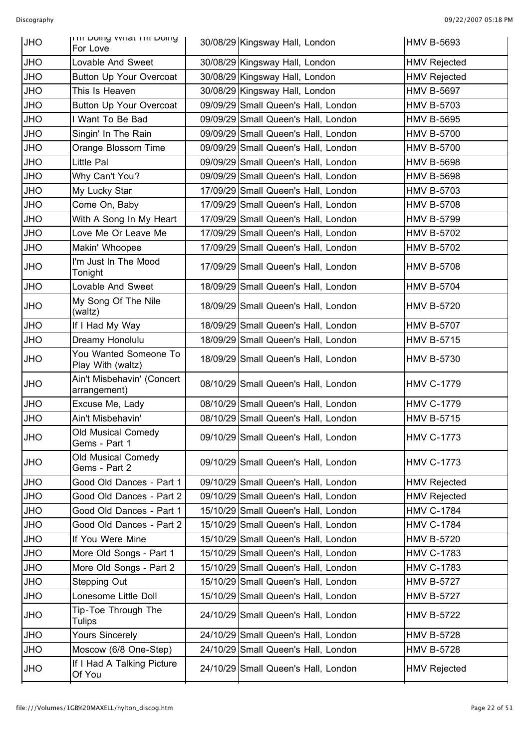| <b>JHO</b> | <b>THE DOING WHAT HE DOING</b><br>For Love | 30/08/29 Kingsway Hall, London      | <b>HMV B-5693</b>   |
|------------|--------------------------------------------|-------------------------------------|---------------------|
| <b>JHO</b> | Lovable And Sweet                          | 30/08/29 Kingsway Hall, London      | <b>HMV Rejected</b> |
| <b>JHO</b> | Button Up Your Overcoat                    | 30/08/29 Kingsway Hall, London      | <b>HMV Rejected</b> |
| <b>OHL</b> | This Is Heaven                             | 30/08/29 Kingsway Hall, London      | <b>HMV B-5697</b>   |
| <b>OHL</b> | Button Up Your Overcoat                    | 09/09/29 Small Queen's Hall, London | <b>HMV B-5703</b>   |
| <b>OHL</b> | I Want To Be Bad                           | 09/09/29 Small Queen's Hall, London | <b>HMV B-5695</b>   |
| <b>OHL</b> | Singin' In The Rain                        | 09/09/29 Small Queen's Hall, London | <b>HMV B-5700</b>   |
| <b>OHL</b> | Orange Blossom Time                        | 09/09/29 Small Queen's Hall, London | <b>HMV B-5700</b>   |
| <b>OHL</b> | Little Pal                                 | 09/09/29 Small Queen's Hall, London | <b>HMV B-5698</b>   |
| <b>OHL</b> | Why Can't You?                             | 09/09/29 Small Queen's Hall, London | <b>HMV B-5698</b>   |
| <b>OHL</b> | My Lucky Star                              | 17/09/29 Small Queen's Hall, London | <b>HMV B-5703</b>   |
| <b>OHL</b> | Come On, Baby                              | 17/09/29 Small Queen's Hall, London | <b>HMV B-5708</b>   |
| <b>OHL</b> | With A Song In My Heart                    | 17/09/29 Small Queen's Hall, London | <b>HMV B-5799</b>   |
| <b>OHL</b> | Love Me Or Leave Me                        | 17/09/29 Small Queen's Hall, London | <b>HMV B-5702</b>   |
| <b>OHL</b> | Makin' Whoopee                             | 17/09/29 Small Queen's Hall, London | <b>HMV B-5702</b>   |
| <b>OHL</b> | I'm Just In The Mood<br>Tonight            | 17/09/29 Small Queen's Hall, London | <b>HMV B-5708</b>   |
| <b>JHO</b> | Lovable And Sweet                          | 18/09/29 Small Queen's Hall, London | <b>HMV B-5704</b>   |
| <b>OHL</b> | My Song Of The Nile<br>(waltz)             | 18/09/29 Small Queen's Hall, London | <b>HMV B-5720</b>   |
| <b>OHL</b> | If I Had My Way                            | 18/09/29 Small Queen's Hall, London | <b>HMV B-5707</b>   |
| <b>JHO</b> | Dreamy Honolulu                            | 18/09/29 Small Queen's Hall, London | <b>HMV B-5715</b>   |
| <b>OHL</b> | You Wanted Someone To<br>Play With (waltz) | 18/09/29 Small Queen's Hall, London | <b>HMV B-5730</b>   |
| <b>OHL</b> | Ain't Misbehavin' (Concert<br>arrangement) | 08/10/29 Small Queen's Hall, London | <b>HMV C-1779</b>   |
| <b>JHO</b> | Excuse Me, Lady                            | 08/10/29 Small Queen's Hall, London | <b>HMV C-1779</b>   |
| <b>JHO</b> | Ain't Misbehavin'                          | 08/10/29 Small Queen's Hall, London | <b>HMV B-5715</b>   |
| <b>JHO</b> | Old Musical Comedy<br>Gems - Part 1        | 09/10/29 Small Queen's Hall, London | <b>HMV C-1773</b>   |
| <b>OHL</b> | Old Musical Comedy<br>Gems - Part 2        | 09/10/29 Small Queen's Hall, London | <b>HMV C-1773</b>   |
| <b>JHO</b> | Good Old Dances - Part 1                   | 09/10/29 Small Queen's Hall, London | <b>HMV Rejected</b> |
| <b>OHL</b> | Good Old Dances - Part 2                   | 09/10/29 Small Queen's Hall, London | <b>HMV Rejected</b> |
| <b>OHL</b> | Good Old Dances - Part 1                   | 15/10/29 Small Queen's Hall, London | <b>HMV C-1784</b>   |
| <b>OHL</b> | Good Old Dances - Part 2                   | 15/10/29 Small Queen's Hall, London | <b>HMV C-1784</b>   |
| <b>OHL</b> | If You Were Mine                           | 15/10/29 Small Queen's Hall, London | <b>HMV B-5720</b>   |
| <b>OHL</b> | More Old Songs - Part 1                    | 15/10/29 Small Queen's Hall, London | <b>HMV C-1783</b>   |
| <b>OHL</b> | More Old Songs - Part 2                    | 15/10/29 Small Queen's Hall, London | <b>HMV C-1783</b>   |
| <b>OHL</b> | Stepping Out                               | 15/10/29 Small Queen's Hall, London | <b>HMV B-5727</b>   |
| <b>OHL</b> | Lonesome Little Doll                       | 15/10/29 Small Queen's Hall, London | <b>HMV B-5727</b>   |
| <b>OHL</b> | Tip-Toe Through The<br>Tulips              | 24/10/29 Small Queen's Hall, London | <b>HMV B-5722</b>   |
| <b>JHO</b> | <b>Yours Sincerely</b>                     | 24/10/29 Small Queen's Hall, London | <b>HMV B-5728</b>   |
| <b>OHL</b> | Moscow (6/8 One-Step)                      | 24/10/29 Small Queen's Hall, London | <b>HMV B-5728</b>   |
| <b>OHL</b> | If I Had A Talking Picture<br>Of You       | 24/10/29 Small Queen's Hall, London | <b>HMV Rejected</b> |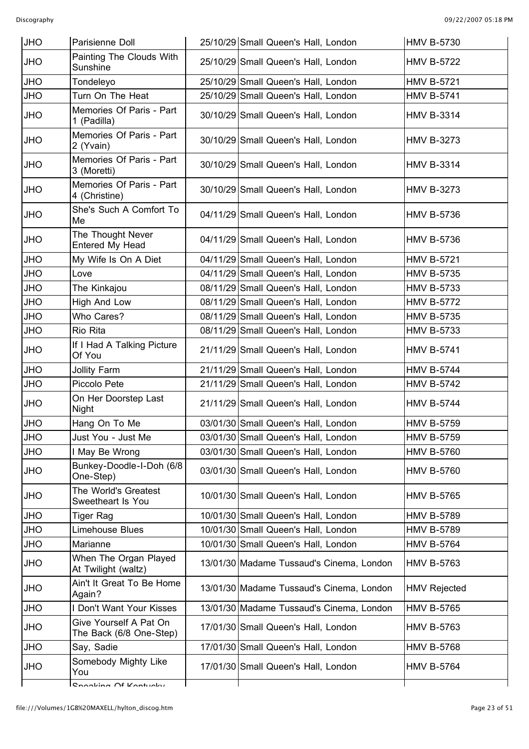| <b>JHO</b> | Parisienne Doll                                   | 25/10/29 Small Queen's Hall, London      | <b>HMV B-5730</b>   |
|------------|---------------------------------------------------|------------------------------------------|---------------------|
| <b>JHO</b> | Painting The Clouds With<br>Sunshine              | 25/10/29 Small Queen's Hall, London      | <b>HMV B-5722</b>   |
| <b>JHO</b> | Tondeleyo                                         | 25/10/29 Small Queen's Hall, London      | <b>HMV B-5721</b>   |
| <b>JHO</b> | Turn On The Heat                                  | 25/10/29 Small Queen's Hall, London      | <b>HMV B-5741</b>   |
| <b>OHL</b> | Memories Of Paris - Part<br>1 (Padilla)           | 30/10/29 Small Queen's Hall, London      | <b>HMV B-3314</b>   |
| <b>OHL</b> | Memories Of Paris - Part<br>2 (Yvain)             | 30/10/29 Small Queen's Hall, London      | <b>HMV B-3273</b>   |
| <b>JHO</b> | Memories Of Paris - Part<br>3 (Moretti)           | 30/10/29 Small Queen's Hall, London      | <b>HMV B-3314</b>   |
| <b>OHL</b> | Memories Of Paris - Part<br>4 (Christine)         | 30/10/29 Small Queen's Hall, London      | <b>HMV B-3273</b>   |
| <b>OHL</b> | She's Such A Comfort To<br>Me                     | 04/11/29 Small Queen's Hall, London      | <b>HMV B-5736</b>   |
| <b>JHO</b> | The Thought Never<br>Entered My Head              | 04/11/29 Small Queen's Hall, London      | <b>HMV B-5736</b>   |
| <b>OHU</b> | My Wife Is On A Diet                              | 04/11/29 Small Queen's Hall, London      | <b>HMV B-5721</b>   |
| <b>JHO</b> | Love                                              | 04/11/29 Small Queen's Hall, London      | <b>HMV B-5735</b>   |
| <b>JHO</b> | The Kinkajou                                      | 08/11/29 Small Queen's Hall, London      | <b>HMV B-5733</b>   |
| <b>OHL</b> | High And Low                                      | 08/11/29 Small Queen's Hall, London      | <b>HMV B-5772</b>   |
| <b>JHO</b> | Who Cares?                                        | 08/11/29 Small Queen's Hall, London      | <b>HMV B-5735</b>   |
| JHO        | Rio Rita                                          | 08/11/29 Small Queen's Hall, London      | <b>HMV B-5733</b>   |
| <b>OHL</b> | If I Had A Talking Picture<br>Of You              | 21/11/29 Small Queen's Hall, London      | <b>HMV B-5741</b>   |
| <b>JHO</b> | <b>Jollity Farm</b>                               | 21/11/29 Small Queen's Hall, London      | <b>HMV B-5744</b>   |
| <b>OHL</b> | Piccolo Pete                                      | 21/11/29 Small Queen's Hall, London      | <b>HMV B-5742</b>   |
| <b>OHL</b> | On Her Doorstep Last<br>Night                     | 21/11/29 Small Queen's Hall, London      | <b>HMV B-5744</b>   |
| <b>JHO</b> | Hang On To Me                                     | 03/01/30 Small Queen's Hall, London      | <b>HMV B-5759</b>   |
| <b>JHO</b> | Just You - Just Me                                | 03/01/30 Small Queen's Hall, London      | <b>HMV B-5759</b>   |
| <b>JHO</b> | I May Be Wrong                                    | 03/01/30 Small Queen's Hall, London      | <b>HMV B-5760</b>   |
| <b>OHL</b> | Bunkey-Doodle-I-Doh (6/8<br>One-Step)             | 03/01/30 Small Queen's Hall, London      | <b>HMV B-5760</b>   |
| <b>OHL</b> | The World's Greatest<br>Sweetheart Is You         | 10/01/30 Small Queen's Hall, London      | <b>HMV B-5765</b>   |
| <b>JHO</b> | Tiger Rag                                         | 10/01/30 Small Queen's Hall, London      | <b>HMV B-5789</b>   |
| JHO        | Limehouse Blues                                   | 10/01/30 Small Queen's Hall, London      | <b>HMV B-5789</b>   |
| JHO        | Marianne                                          | 10/01/30 Small Queen's Hall, London      | <b>HMV B-5764</b>   |
| <b>OHL</b> | When The Organ Played<br>At Twilight (waltz)      | 13/01/30 Madame Tussaud's Cinema, London | <b>HMV B-5763</b>   |
| <b>OHL</b> | Ain't It Great To Be Home<br>Again?               | 13/01/30 Madame Tussaud's Cinema, London | <b>HMV Rejected</b> |
| <b>OHL</b> | I Don't Want Your Kisses                          | 13/01/30 Madame Tussaud's Cinema, London | <b>HMV B-5765</b>   |
| <b>OHL</b> | Give Yourself A Pat On<br>The Back (6/8 One-Step) | 17/01/30 Small Queen's Hall, London      | <b>HMV B-5763</b>   |
| <b>OHL</b> | Say, Sadie                                        | 17/01/30 Small Queen's Hall, London      | <b>HMV B-5768</b>   |
| <b>OHL</b> | Somebody Mighty Like<br>You                       | 17/01/30 Small Queen's Hall, London      | <b>HMV B-5764</b>   |
|            | Connaking Of Kantuaky                             |                                          |                     |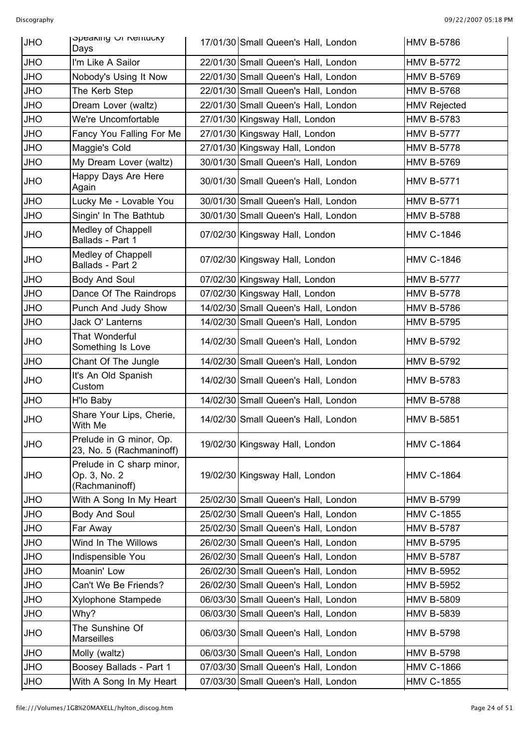| <b>JHO</b> | opeaning Of Nemucky<br>Days                                 | 17/01/30 Small Queen's Hall, London | <b>HMV B-5786</b>   |
|------------|-------------------------------------------------------------|-------------------------------------|---------------------|
| <b>JHO</b> | I'm Like A Sailor                                           | 22/01/30 Small Queen's Hall, London | <b>HMV B-5772</b>   |
| <b>JHO</b> | Nobody's Using It Now                                       | 22/01/30 Small Queen's Hall, London | <b>HMV B-5769</b>   |
| <b>JHO</b> | The Kerb Step                                               | 22/01/30 Small Queen's Hall, London | <b>HMV B-5768</b>   |
| <b>JHO</b> | Dream Lover (waltz)                                         | 22/01/30 Small Queen's Hall, London | <b>HMV Rejected</b> |
| <b>JHO</b> | We're Uncomfortable                                         | 27/01/30 Kingsway Hall, London      | <b>HMV B-5783</b>   |
| <b>JHO</b> | Fancy You Falling For Me                                    | 27/01/30 Kingsway Hall, London      | <b>HMV B-5777</b>   |
| <b>JHO</b> | Maggie's Cold                                               | 27/01/30 Kingsway Hall, London      | <b>HMV B-5778</b>   |
| <b>JHO</b> | My Dream Lover (waltz)                                      | 30/01/30 Small Queen's Hall, London | <b>HMV B-5769</b>   |
| <b>JHO</b> | Happy Days Are Here<br>Again                                | 30/01/30 Small Queen's Hall, London | <b>HMV B-5771</b>   |
| <b>JHO</b> | Lucky Me - Lovable You                                      | 30/01/30 Small Queen's Hall, London | <b>HMV B-5771</b>   |
| <b>JHO</b> | Singin' In The Bathtub                                      | 30/01/30 Small Queen's Hall, London | <b>HMV B-5788</b>   |
| <b>JHO</b> | Medley of Chappell<br>Ballads - Part 1                      | 07/02/30 Kingsway Hall, London      | <b>HMV C-1846</b>   |
| <b>JHO</b> | Medley of Chappell<br>Ballads - Part 2                      | 07/02/30 Kingsway Hall, London      | <b>HMV C-1846</b>   |
| <b>JHO</b> | <b>Body And Soul</b>                                        | 07/02/30 Kingsway Hall, London      | <b>HMV B-5777</b>   |
| <b>JHO</b> | Dance Of The Raindrops                                      | 07/02/30 Kingsway Hall, London      | <b>HMV B-5778</b>   |
| <b>JHO</b> | Punch And Judy Show                                         | 14/02/30 Small Queen's Hall, London | <b>HMV B-5786</b>   |
| <b>JHO</b> | Jack O' Lanterns                                            | 14/02/30 Small Queen's Hall, London | <b>HMV B-5795</b>   |
| <b>JHO</b> | That Wonderful<br>Something Is Love                         | 14/02/30 Small Queen's Hall, London | <b>HMV B-5792</b>   |
| <b>JHO</b> | Chant Of The Jungle                                         | 14/02/30 Small Queen's Hall, London | <b>HMV B-5792</b>   |
| <b>JHO</b> | It's An Old Spanish<br>Custom                               | 14/02/30 Small Queen's Hall, London | <b>HMV B-5783</b>   |
| <b>JHO</b> | H'lo Baby                                                   | 14/02/30 Small Queen's Hall, London | <b>HMV B-5788</b>   |
| <b>JHO</b> | Share Your Lips, Cherie,<br>With Me                         | 14/02/30 Small Queen's Hall, London | <b>HMV B-5851</b>   |
| <b>JHO</b> | Prelude in G minor, Op.<br>23, No. 5 (Rachmaninoff)         | 19/02/30 Kingsway Hall, London      | <b>HMV C-1864</b>   |
| <b>JHO</b> | Prelude in C sharp minor,<br>Op. 3, No. 2<br>(Rachmaninoff) | 19/02/30 Kingsway Hall, London      | <b>HMV C-1864</b>   |
| <b>JHO</b> | With A Song In My Heart                                     | 25/02/30 Small Queen's Hall, London | <b>HMV B-5799</b>   |
| <b>JHO</b> | <b>Body And Soul</b>                                        | 25/02/30 Small Queen's Hall, London | <b>HMV C-1855</b>   |
| <b>JHO</b> | Far Away                                                    | 25/02/30 Small Queen's Hall, London | <b>HMV B-5787</b>   |
| <b>JHO</b> | Wind In The Willows                                         | 26/02/30 Small Queen's Hall, London | <b>HMV B-5795</b>   |
| <b>JHO</b> | Indispensible You                                           | 26/02/30 Small Queen's Hall, London | <b>HMV B-5787</b>   |
| <b>JHO</b> | Moanin' Low                                                 | 26/02/30 Small Queen's Hall, London | <b>HMV B-5952</b>   |
| <b>JHO</b> | Can't We Be Friends?                                        | 26/02/30 Small Queen's Hall, London | <b>HMV B-5952</b>   |
| <b>JHO</b> | Xylophone Stampede                                          | 06/03/30 Small Queen's Hall, London | <b>HMV B-5809</b>   |
| <b>JHO</b> | Why?                                                        | 06/03/30 Small Queen's Hall, London | <b>HMV B-5839</b>   |
| <b>JHO</b> | The Sunshine Of<br><b>Marseilles</b>                        | 06/03/30 Small Queen's Hall, London | <b>HMV B-5798</b>   |
| <b>JHO</b> | Molly (waltz)                                               | 06/03/30 Small Queen's Hall, London | <b>HMV B-5798</b>   |
| <b>JHO</b> | Boosey Ballads - Part 1                                     | 07/03/30 Small Queen's Hall, London | <b>HMV C-1866</b>   |
| <b>JHO</b> | With A Song In My Heart                                     | 07/03/30 Small Queen's Hall, London | <b>HMV C-1855</b>   |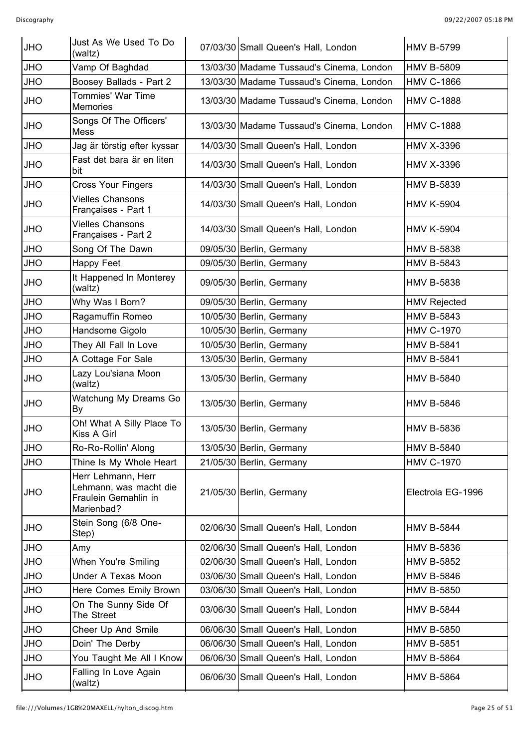| <b>JHO</b> | Just As We Used To Do<br>(waltz)                                                   | 07/03/30 Small Queen's Hall, London      | <b>HMV B-5799</b>   |
|------------|------------------------------------------------------------------------------------|------------------------------------------|---------------------|
| <b>JHO</b> | Vamp Of Baghdad                                                                    | 13/03/30 Madame Tussaud's Cinema, London | <b>HMV B-5809</b>   |
| <b>JHO</b> | Boosey Ballads - Part 2                                                            | 13/03/30 Madame Tussaud's Cinema, London | <b>HMV C-1866</b>   |
| <b>OHL</b> | <b>Tommies' War Time</b><br>Memories                                               | 13/03/30 Madame Tussaud's Cinema, London | <b>HMV C-1888</b>   |
| <b>OHL</b> | Songs Of The Officers'<br>Mess                                                     | 13/03/30 Madame Tussaud's Cinema, London | <b>HMV C-1888</b>   |
| <b>OHL</b> | Jag är törstig efter kyssar                                                        | 14/03/30 Small Queen's Hall, London      | <b>HMV X-3396</b>   |
| <b>OHL</b> | Fast det bara är en liten<br>bit                                                   | 14/03/30 Small Queen's Hall, London      | <b>HMV X-3396</b>   |
| <b>JHO</b> | <b>Cross Your Fingers</b>                                                          | 14/03/30 Small Queen's Hall, London      | <b>HMV B-5839</b>   |
| <b>OHL</b> | <b>Vielles Chansons</b><br>Françaises - Part 1                                     | 14/03/30 Small Queen's Hall, London      | <b>HMV K-5904</b>   |
| <b>OHL</b> | <b>Vielles Chansons</b><br>Françaises - Part 2                                     | 14/03/30 Small Queen's Hall, London      | <b>HMV K-5904</b>   |
| <b>JHO</b> | Song Of The Dawn                                                                   | 09/05/30 Berlin, Germany                 | <b>HMV B-5838</b>   |
| <b>OHL</b> | Happy Feet                                                                         | 09/05/30 Berlin, Germany                 | <b>HMV B-5843</b>   |
| <b>OHL</b> | It Happened In Monterey<br>(waltz)                                                 | 09/05/30 Berlin, Germany                 | <b>HMV B-5838</b>   |
| <b>JHO</b> | Why Was I Born?                                                                    | 09/05/30 Berlin, Germany                 | <b>HMV Rejected</b> |
| <b>JHO</b> | Ragamuffin Romeo                                                                   | 10/05/30 Berlin, Germany                 | <b>HMV B-5843</b>   |
| <b>JHO</b> | Handsome Gigolo                                                                    | 10/05/30 Berlin, Germany                 | <b>HMV C-1970</b>   |
| <b>JHO</b> | They All Fall In Love                                                              | 10/05/30 Berlin, Germany                 | <b>HMV B-5841</b>   |
| <b>JHO</b> | A Cottage For Sale                                                                 | 13/05/30 Berlin, Germany                 | <b>HMV B-5841</b>   |
| <b>OHL</b> | Lazy Lou'siana Moon<br>(waltz)                                                     | 13/05/30 Berlin, Germany                 | <b>HMV B-5840</b>   |
| <b>OHL</b> | Watchung My Dreams Go<br>By                                                        | 13/05/30 Berlin, Germany                 | <b>HMV B-5846</b>   |
| <b>JHO</b> | Oh! What A Silly Place To<br>Kiss A Girl                                           | 13/05/30 Berlin, Germany                 | <b>HMV B-5836</b>   |
| <b>OHL</b> | Ro-Ro-Rollin' Along                                                                | 13/05/30 Berlin, Germany                 | <b>HMV B-5840</b>   |
| <b>JHO</b> | Thine Is My Whole Heart                                                            | 21/05/30 Berlin, Germany                 | <b>HMV C-1970</b>   |
| <b>OHL</b> | Herr Lehmann, Herr<br>Lehmann, was macht die<br>Fraulein Gemahlin in<br>Marienbad? | 21/05/30 Berlin, Germany                 | Electrola EG-1996   |
| <b>OHL</b> | Stein Song (6/8 One-<br>Step)                                                      | 02/06/30 Small Queen's Hall, London      | <b>HMV B-5844</b>   |
| <b>JHO</b> | Amy                                                                                | 02/06/30 Small Queen's Hall, London      | <b>HMV B-5836</b>   |
| <b>OHL</b> | When You're Smiling                                                                | 02/06/30 Small Queen's Hall, London      | <b>HMV B-5852</b>   |
| <b>OHL</b> | <b>Under A Texas Moon</b>                                                          | 03/06/30 Small Queen's Hall, London      | <b>HMV B-5846</b>   |
| JHO        | Here Comes Emily Brown                                                             | 03/06/30 Small Queen's Hall, London      | <b>HMV B-5850</b>   |
| <b>OHL</b> | On The Sunny Side Of<br>The Street                                                 | 03/06/30 Small Queen's Hall, London      | <b>HMV B-5844</b>   |
| <b>JHO</b> | Cheer Up And Smile                                                                 | 06/06/30 Small Queen's Hall, London      | <b>HMV B-5850</b>   |
| <b>OHL</b> | Doin' The Derby                                                                    | 06/06/30 Small Queen's Hall, London      | <b>HMV B-5851</b>   |
| <b>OHL</b> | You Taught Me All I Know                                                           | 06/06/30 Small Queen's Hall, London      | <b>HMV B-5864</b>   |
| <b>OHL</b> | Falling In Love Again<br>(waltz)                                                   | 06/06/30 Small Queen's Hall, London      | <b>HMV B-5864</b>   |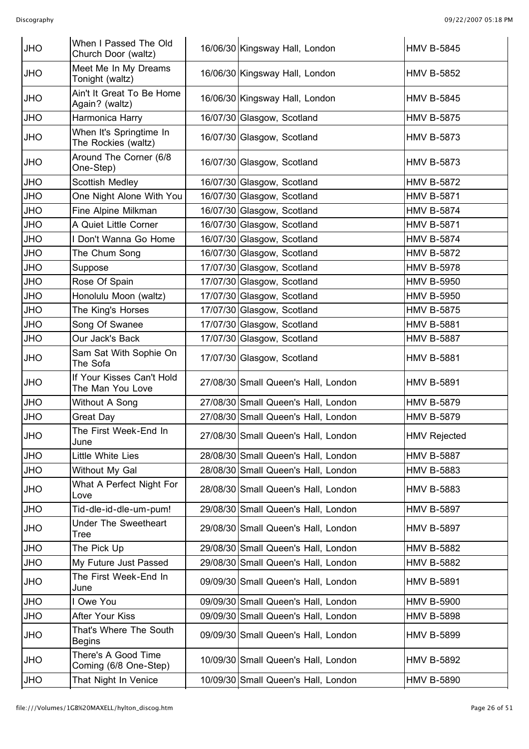| <b>JHO</b> | When I Passed The Old<br>Church Door (waltz)   | 16/06/30 Kingsway Hall, London      | <b>HMV B-5845</b>   |
|------------|------------------------------------------------|-------------------------------------|---------------------|
| <b>OHL</b> | Meet Me In My Dreams<br>Tonight (waltz)        | 16/06/30 Kingsway Hall, London      | <b>HMV B-5852</b>   |
| <b>JHO</b> | Ain't It Great To Be Home<br>Again? (waltz)    | 16/06/30 Kingsway Hall, London      | <b>HMV B-5845</b>   |
| <b>JHO</b> | Harmonica Harry                                | 16/07/30 Glasgow, Scotland          | <b>HMV B-5875</b>   |
| <b>JHO</b> | When It's Springtime In<br>The Rockies (waltz) | 16/07/30 Glasgow, Scotland          | <b>HMV B-5873</b>   |
| <b>JHO</b> | Around The Corner (6/8<br>One-Step)            | 16/07/30 Glasgow, Scotland          | <b>HMV B-5873</b>   |
| <b>JHO</b> | <b>Scottish Medley</b>                         | 16/07/30 Glasgow, Scotland          | <b>HMV B-5872</b>   |
| <b>JHO</b> | One Night Alone With You                       | 16/07/30 Glasgow, Scotland          | <b>HMV B-5871</b>   |
| <b>JHO</b> | Fine Alpine Milkman                            | 16/07/30 Glasgow, Scotland          | <b>HMV B-5874</b>   |
| <b>OHL</b> | A Quiet Little Corner                          | 16/07/30 Glasgow, Scotland          | <b>HMV B-5871</b>   |
| JHO        | Don't Wanna Go Home                            | 16/07/30 Glasgow, Scotland          | <b>HMV B-5874</b>   |
| <b>JHO</b> | The Chum Song                                  | 16/07/30 Glasgow, Scotland          | <b>HMV B-5872</b>   |
| <b>OHL</b> | Suppose                                        | 17/07/30 Glasgow, Scotland          | <b>HMV B-5978</b>   |
| <b>OHL</b> | Rose Of Spain                                  | 17/07/30 Glasgow, Scotland          | <b>HMV B-5950</b>   |
| <b>JHO</b> | Honolulu Moon (waltz)                          | 17/07/30 Glasgow, Scotland          | <b>HMV B-5950</b>   |
| <b>JHO</b> | The King's Horses                              | 17/07/30 Glasgow, Scotland          | <b>HMV B-5875</b>   |
| JHO        | Song Of Swanee                                 | 17/07/30 Glasgow, Scotland          | <b>HMV B-5881</b>   |
| <b>OHL</b> | Our Jack's Back                                | 17/07/30 Glasgow, Scotland          | <b>HMV B-5887</b>   |
| <b>OHL</b> | Sam Sat With Sophie On<br>The Sofa             | 17/07/30 Glasgow, Scotland          | <b>HMV B-5881</b>   |
| <b>OHL</b> | If Your Kisses Can't Hold<br>The Man You Love  | 27/08/30 Small Queen's Hall, London | <b>HMV B-5891</b>   |
| <b>JHO</b> | Without A Song                                 | 27/08/30 Small Queen's Hall, London | <b>HMV B-5879</b>   |
| <b>JHO</b> | Great Day                                      | 27/08/30 Small Queen's Hall, London | <b>HMV B-5879</b>   |
| <b>JHO</b> | The First Week-End In<br>June                  | 27/08/30 Small Queen's Hall, London | <b>HMV Rejected</b> |
| <b>JHO</b> | Little White Lies                              | 28/08/30 Small Queen's Hall, London | <b>HMV B-5887</b>   |
| <b>OHL</b> | Without My Gal                                 | 28/08/30 Small Queen's Hall, London | <b>HMV B-5883</b>   |
| <b>OHL</b> | What A Perfect Night For<br>Love               | 28/08/30 Small Queen's Hall, London | <b>HMV B-5883</b>   |
| <b>JHO</b> | Tid-dle-id-dle-um-pum!                         | 29/08/30 Small Queen's Hall, London | <b>HMV B-5897</b>   |
| <b>OHL</b> | <b>Under The Sweetheart</b><br><b>Tree</b>     | 29/08/30 Small Queen's Hall, London | <b>HMV B-5897</b>   |
| <b>OHL</b> | The Pick Up                                    | 29/08/30 Small Queen's Hall, London | <b>HMV B-5882</b>   |
| <b>OHL</b> | My Future Just Passed                          | 29/08/30 Small Queen's Hall, London | <b>HMV B-5882</b>   |
| OHU        | The First Week-End In<br>June                  | 09/09/30 Small Queen's Hall, London | <b>HMV B-5891</b>   |
| <b>OHL</b> | Owe You                                        | 09/09/30 Small Queen's Hall, London | <b>HMV B-5900</b>   |
| <b>OHL</b> | After Your Kiss                                | 09/09/30 Small Queen's Hall, London | <b>HMV B-5898</b>   |
| <b>OHL</b> | That's Where The South<br><b>Begins</b>        | 09/09/30 Small Queen's Hall, London | <b>HMV B-5899</b>   |
| <b>OHL</b> | There's A Good Time<br>Coming (6/8 One-Step)   | 10/09/30 Small Queen's Hall, London | <b>HMV B-5892</b>   |
| <b>JHO</b> | That Night In Venice                           | 10/09/30 Small Queen's Hall, London | <b>HMV B-5890</b>   |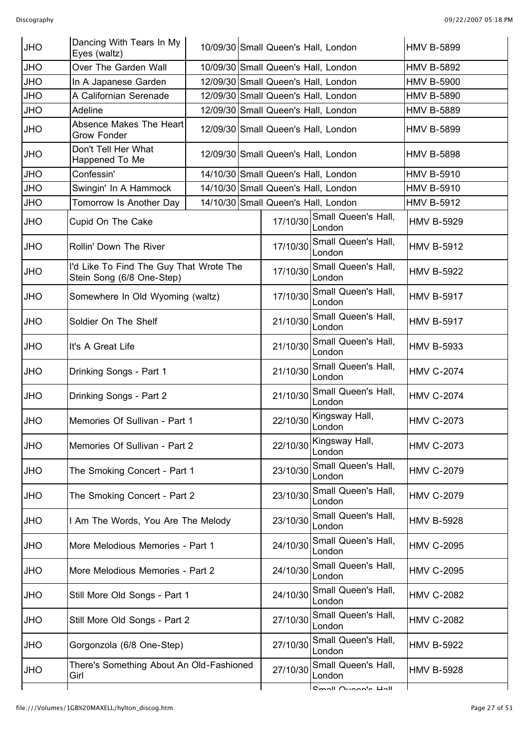| <b>JHO</b> | Dancing With Tears In My<br>Eyes (waltz)                             | 10/09/30 Small Queen's Hall, London |  |                                     | <b>HMV B-5899</b>             |                   |
|------------|----------------------------------------------------------------------|-------------------------------------|--|-------------------------------------|-------------------------------|-------------------|
| <b>JHO</b> | Over The Garden Wall                                                 |                                     |  | 10/09/30 Small Queen's Hall, London |                               | <b>HMV B-5892</b> |
| <b>JHO</b> | In A Japanese Garden                                                 |                                     |  | 12/09/30 Small Queen's Hall, London |                               | <b>HMV B-5900</b> |
| <b>OHU</b> | A Californian Serenade                                               |                                     |  | 12/09/30 Small Queen's Hall, London |                               | <b>HMV B-5890</b> |
| <b>JHO</b> | Adeline                                                              |                                     |  | 12/09/30 Small Queen's Hall, London |                               | <b>HMV B-5889</b> |
| <b>JHO</b> | Absence Makes The Heart<br><b>Grow Fonder</b>                        |                                     |  | 12/09/30 Small Queen's Hall, London |                               | <b>HMV B-5899</b> |
| <b>JHO</b> | Don't Tell Her What<br>Happened To Me                                |                                     |  | 12/09/30 Small Queen's Hall, London |                               | <b>HMV B-5898</b> |
| <b>JHO</b> | Confessin'                                                           |                                     |  | 14/10/30 Small Queen's Hall, London |                               | <b>HMV B-5910</b> |
| <b>JHO</b> | Swingin' In A Hammock                                                |                                     |  | 14/10/30 Small Queen's Hall, London |                               | <b>HMV B-5910</b> |
| <b>JHO</b> | Tomorrow Is Another Day                                              |                                     |  | 14/10/30 Small Queen's Hall, London |                               | <b>HMV B-5912</b> |
| <b>JHO</b> | Cupid On The Cake                                                    |                                     |  | 17/10/30                            | Small Queen's Hall,<br>London | <b>HMV B-5929</b> |
| <b>JHO</b> | Rollin' Down The River                                               |                                     |  | 17/10/30                            | Small Queen's Hall,<br>London | <b>HMV B-5912</b> |
| <b>JHO</b> | I'd Like To Find The Guy That Wrote The<br>Stein Song (6/8 One-Step) |                                     |  | 17/10/30                            | Small Queen's Hall,<br>London | <b>HMV B-5922</b> |
| <b>JHO</b> | Somewhere In Old Wyoming (waltz)                                     |                                     |  | 17/10/30                            | Small Queen's Hall,<br>London | <b>HMV B-5917</b> |
| <b>JHO</b> | Soldier On The Shelf                                                 |                                     |  | 21/10/30                            | Small Queen's Hall,<br>London | <b>HMV B-5917</b> |
| <b>JHO</b> | It's A Great Life                                                    |                                     |  | 21/10/30                            | Small Queen's Hall,<br>London | <b>HMV B-5933</b> |
| <b>JHO</b> | Drinking Songs - Part 1                                              |                                     |  | 21/10/30                            | Small Queen's Hall,<br>London | <b>HMV C-2074</b> |
| <b>JHO</b> | Drinking Songs - Part 2                                              |                                     |  | 21/10/30                            | Small Queen's Hall,<br>London | <b>HMV C-2074</b> |
| <b>JHO</b> | Memories Of Sullivan - Part 1                                        |                                     |  | 22/10/30                            | Kingsway Hall,<br>London      | <b>HMV C-2073</b> |
| <b>JHO</b> | Memories Of Sullivan - Part 2                                        |                                     |  | 22/10/30                            | Kingsway Hall,<br>London      | <b>HMV C-2073</b> |
| <b>OHL</b> | The Smoking Concert - Part 1                                         |                                     |  | 23/10/30                            | Small Queen's Hall,<br>London | <b>HMV C-2079</b> |
| <b>OHL</b> | The Smoking Concert - Part 2                                         |                                     |  | 23/10/30                            | Small Queen's Hall,<br>London | <b>HMV C-2079</b> |
| <b>OHL</b> | Am The Words, You Are The Melody                                     |                                     |  | 23/10/30                            | Small Queen's Hall,<br>London | <b>HMV B-5928</b> |
| JHO        | More Melodious Memories - Part 1                                     |                                     |  | 24/10/30                            | Small Queen's Hall,<br>London | <b>HMV C-2095</b> |
| <b>OHL</b> | More Melodious Memories - Part 2                                     |                                     |  | 24/10/30                            | Small Queen's Hall,<br>London | <b>HMV C-2095</b> |
| <b>OHL</b> | Still More Old Songs - Part 1                                        |                                     |  | 24/10/30                            | Small Queen's Hall,<br>London | <b>HMV C-2082</b> |
| JHO        | Still More Old Songs - Part 2                                        |                                     |  | 27/10/30                            | Small Queen's Hall,<br>London | <b>HMV C-2082</b> |
| <b>OHL</b> | Gorgonzola (6/8 One-Step)                                            |                                     |  | 27/10/30                            | Small Queen's Hall,<br>London | <b>HMV B-5922</b> |
| <b>OHL</b> | There's Something About An Old-Fashioned<br>Girl                     |                                     |  | 27/10/30                            | Small Queen's Hall,<br>London | <b>HMV B-5928</b> |
|            |                                                                      |                                     |  |                                     | <b>Cmall Ougan's Hall</b>     |                   |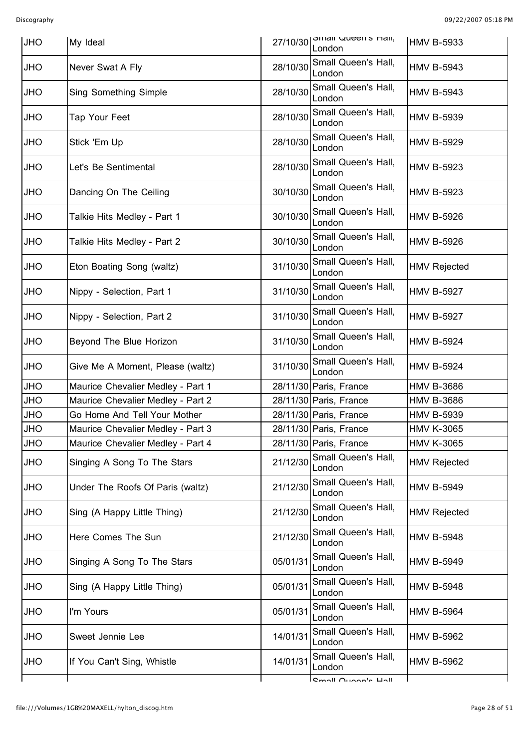| <b>JHO</b> | My Ideal                          |          | $27/10/30$   $\frac{1}{10}$ . $\frac{1}{10}$ where $\frac{1}{10}$ and $\frac{1}{10}$<br>London | <b>HMV B-5933</b>   |
|------------|-----------------------------------|----------|------------------------------------------------------------------------------------------------|---------------------|
| <b>JHO</b> | Never Swat A Fly                  | 28/10/30 | Small Queen's Hall,<br>London                                                                  | <b>HMV B-5943</b>   |
| <b>OHL</b> | <b>Sing Something Simple</b>      | 28/10/30 | Small Queen's Hall,<br>London                                                                  | <b>HMV B-5943</b>   |
| <b>OHL</b> | Tap Your Feet                     | 28/10/30 | Small Queen's Hall,<br>London                                                                  | <b>HMV B-5939</b>   |
| <b>OHL</b> | Stick 'Em Up                      | 28/10/30 | Small Queen's Hall,<br>London                                                                  | <b>HMV B-5929</b>   |
| <b>OHL</b> | Let's Be Sentimental              | 28/10/30 | Small Queen's Hall,<br>London                                                                  | <b>HMV B-5923</b>   |
| <b>OHL</b> | Dancing On The Ceiling            | 30/10/30 | Small Queen's Hall,<br>London                                                                  | <b>HMV B-5923</b>   |
| <b>OHL</b> | Talkie Hits Medley - Part 1       | 30/10/30 | Small Queen's Hall,<br>London                                                                  | <b>HMV B-5926</b>   |
| <b>OHL</b> | Talkie Hits Medley - Part 2       | 30/10/30 | Small Queen's Hall,<br>London                                                                  | <b>HMV B-5926</b>   |
| <b>JHO</b> | Eton Boating Song (waltz)         | 31/10/30 | Small Queen's Hall,<br>London                                                                  | <b>HMV Rejected</b> |
| <b>JHO</b> | Nippy - Selection, Part 1         | 31/10/30 | Small Queen's Hall,<br>London                                                                  | <b>HMV B-5927</b>   |
| <b>OHL</b> | Nippy - Selection, Part 2         | 31/10/30 | Small Queen's Hall,<br>London                                                                  | <b>HMV B-5927</b>   |
| <b>JHO</b> | Beyond The Blue Horizon           | 31/10/30 | Small Queen's Hall,<br>London                                                                  | <b>HMV B-5924</b>   |
| <b>JHO</b> | Give Me A Moment, Please (waltz)  | 31/10/30 | Small Queen's Hall,<br>London                                                                  | <b>HMV B-5924</b>   |
| <b>JHO</b> | Maurice Chevalier Medley - Part 1 |          | 28/11/30 Paris, France                                                                         | <b>HMV B-3686</b>   |
| <b>JHO</b> | Maurice Chevalier Medley - Part 2 |          | 28/11/30 Paris, France                                                                         | <b>HMV B-3686</b>   |
| <b>JHO</b> | Go Home And Tell Your Mother      |          | 28/11/30 Paris, France                                                                         | <b>HMV B-5939</b>   |
| <b>JHO</b> | Maurice Chevalier Medley - Part 3 |          | 28/11/30 Paris, France                                                                         | <b>HMV K-3065</b>   |
| <b>JHO</b> | Maurice Chevalier Medley - Part 4 |          | 28/11/30 Paris, France                                                                         | <b>HMV K-3065</b>   |
| <b>JHO</b> | Singing A Song To The Stars       | 21/12/30 | Small Queen's Hall,<br>London                                                                  | <b>HMV Rejected</b> |
| <b>OHL</b> | Under The Roofs Of Paris (waltz)  | 21/12/30 | Small Queen's Hall,<br>London                                                                  | <b>HMV B-5949</b>   |
| <b>OHL</b> | Sing (A Happy Little Thing)       | 21/12/30 | Small Queen's Hall,<br>London                                                                  | <b>HMV Rejected</b> |
| <b>OHL</b> | Here Comes The Sun                | 21/12/30 | Small Queen's Hall,<br>London                                                                  | <b>HMV B-5948</b>   |
| <b>OHL</b> | Singing A Song To The Stars       | 05/01/31 | Small Queen's Hall,<br>London                                                                  | <b>HMV B-5949</b>   |
| <b>OHL</b> | Sing (A Happy Little Thing)       | 05/01/31 | Small Queen's Hall,<br>London                                                                  | <b>HMV B-5948</b>   |
| <b>OHL</b> | I'm Yours                         | 05/01/31 | Small Queen's Hall,<br>London                                                                  | <b>HMV B-5964</b>   |
| <b>OHL</b> | Sweet Jennie Lee                  | 14/01/31 | Small Queen's Hall,<br>London                                                                  | <b>HMV B-5962</b>   |
| <b>OHL</b> | If You Can't Sing, Whistle        | 14/01/31 | Small Queen's Hall,<br>London                                                                  | <b>HMV B-5962</b>   |
|            |                                   |          | <b>Cmall Ougan's Hall</b>                                                                      |                     |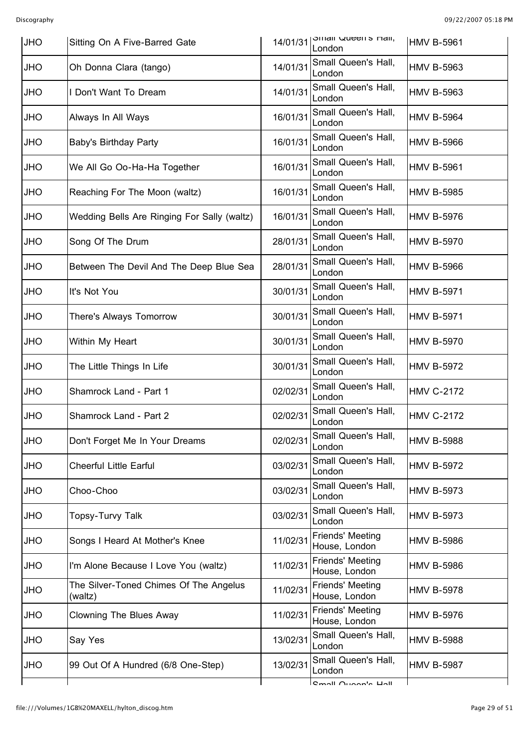| <b>JHO</b> | Sitting On A Five-Barred Gate                     | 14/01/31 | <b>OTTIGII QUEETTS FIGII,</b><br>London | <b>HMV B-5961</b> |
|------------|---------------------------------------------------|----------|-----------------------------------------|-------------------|
| <b>JHO</b> | Oh Donna Clara (tango)                            | 14/01/31 | Small Queen's Hall,<br>London           | <b>HMV B-5963</b> |
| <b>OHL</b> | I Don't Want To Dream                             | 14/01/31 | Small Queen's Hall,<br>London           | <b>HMV B-5963</b> |
| <b>OHL</b> | Always In All Ways                                | 16/01/31 | Small Queen's Hall,<br>London           | <b>HMV B-5964</b> |
| <b>OHL</b> | <b>Baby's Birthday Party</b>                      | 16/01/31 | Small Queen's Hall,<br>London           | <b>HMV B-5966</b> |
| <b>OHL</b> | We All Go Oo-Ha-Ha Together                       | 16/01/31 | Small Queen's Hall,<br>London           | <b>HMV B-5961</b> |
| <b>OHL</b> | Reaching For The Moon (waltz)                     | 16/01/31 | Small Queen's Hall,<br>London           | <b>HMV B-5985</b> |
| <b>JHO</b> | Wedding Bells Are Ringing For Sally (waltz)       | 16/01/31 | Small Queen's Hall,<br>London           | <b>HMV B-5976</b> |
| <b>JHO</b> | Song Of The Drum                                  | 28/01/31 | Small Queen's Hall,<br>London           | <b>HMV B-5970</b> |
| <b>JHO</b> | Between The Devil And The Deep Blue Sea           | 28/01/31 | Small Queen's Hall,<br>London           | <b>HMV B-5966</b> |
| <b>JHO</b> | It's Not You                                      | 30/01/31 | Small Queen's Hall,<br>London           | <b>HMV B-5971</b> |
| <b>JHO</b> | There's Always Tomorrow                           | 30/01/31 | Small Queen's Hall,<br>London           | <b>HMV B-5971</b> |
| <b>JHO</b> | Within My Heart                                   | 30/01/31 | Small Queen's Hall,<br>London           | <b>HMV B-5970</b> |
| <b>OHL</b> | The Little Things In Life                         | 30/01/31 | Small Queen's Hall,<br>London           | <b>HMV B-5972</b> |
| <b>JHO</b> | Shamrock Land - Part 1                            | 02/02/31 | Small Queen's Hall,<br>London           | <b>HMV C-2172</b> |
| <b>JHO</b> | Shamrock Land - Part 2                            | 02/02/31 | Small Queen's Hall,<br>London           | <b>HMV C-2172</b> |
| <b>JHO</b> | Don't Forget Me In Your Dreams                    | 02/02/31 | Small Queen's Hall,<br>London           | <b>HMV B-5988</b> |
| <b>OHL</b> | <b>Cheerful Little Earful</b>                     | 03/02/31 | Small Queen's Hall,<br>London           | <b>HMV B-5972</b> |
| <b>OHL</b> | Choo-Choo                                         | 03/02/31 | Small Queen's Hall,<br>London           | <b>HMV B-5973</b> |
| <b>OHL</b> | Topsy-Turvy Talk                                  | 03/02/31 | Small Queen's Hall,<br>London           | <b>HMV B-5973</b> |
| <b>OHL</b> | Songs I Heard At Mother's Knee                    | 11/02/31 | Friends' Meeting<br>House, London       | <b>HMV B-5986</b> |
| <b>OHL</b> | I'm Alone Because I Love You (waltz)              | 11/02/31 | Friends' Meeting<br>House, London       | <b>HMV B-5986</b> |
| <b>OHL</b> | The Silver-Toned Chimes Of The Angelus<br>(waltz) | 11/02/31 | Friends' Meeting<br>House, London       | <b>HMV B-5978</b> |
| <b>OHL</b> | <b>Clowning The Blues Away</b>                    | 11/02/31 | Friends' Meeting<br>House, London       | <b>HMV B-5976</b> |
| <b>JHO</b> | Say Yes                                           | 13/02/31 | Small Queen's Hall,<br>London           | <b>HMV B-5988</b> |
| <b>OHL</b> | 99 Out Of A Hundred (6/8 One-Step)                | 13/02/31 | Small Queen's Hall,<br>London           | <b>HMV B-5987</b> |
|            |                                                   |          | <b>Cmall Ougan's Hall</b>               |                   |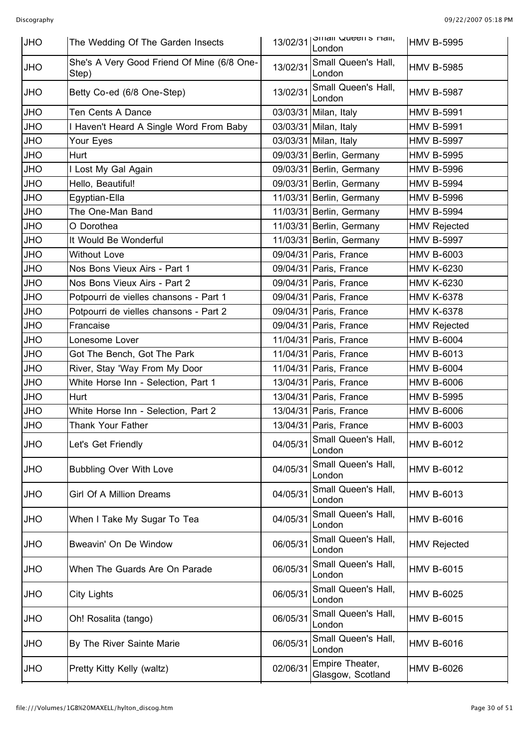| <b>JHO</b> | The Wedding Of The Garden Insects                   | 13/02/31 | omali Queens nali,<br>London         | <b>HMV B-5995</b>   |
|------------|-----------------------------------------------------|----------|--------------------------------------|---------------------|
| <b>OHL</b> | She's A Very Good Friend Of Mine (6/8 One-<br>Step) | 13/02/31 | Small Queen's Hall,<br>London        | <b>HMV B-5985</b>   |
| <b>OHL</b> | Betty Co-ed (6/8 One-Step)                          | 13/02/31 | Small Queen's Hall,<br>London        | <b>HMV B-5987</b>   |
| <b>OHL</b> | Ten Cents A Dance                                   |          | 03/03/31 Milan, Italy                | <b>HMV B-5991</b>   |
| <b>JHO</b> | I Haven't Heard A Single Word From Baby             |          | 03/03/31 Milan, Italy                | <b>HMV B-5991</b>   |
| <b>OHL</b> | Your Eyes                                           |          | 03/03/31 Milan, Italy                | <b>HMV B-5997</b>   |
| <b>OHL</b> | Hurt                                                |          | 09/03/31 Berlin, Germany             | <b>HMV B-5995</b>   |
| <b>JHO</b> | I Lost My Gal Again                                 |          | 09/03/31 Berlin, Germany             | <b>HMV B-5996</b>   |
| <b>JHO</b> | Hello, Beautiful!                                   |          | 09/03/31 Berlin, Germany             | <b>HMV B-5994</b>   |
| <b>OHL</b> | Egyptian-Ella                                       |          | 11/03/31 Berlin, Germany             | <b>HMV B-5996</b>   |
| <b>JHO</b> | The One-Man Band                                    |          | 11/03/31 Berlin, Germany             | <b>HMV B-5994</b>   |
| <b>OHL</b> | O Dorothea                                          |          | 11/03/31 Berlin, Germany             | <b>HMV Rejected</b> |
| <b>OHL</b> | It Would Be Wonderful                               |          | 11/03/31 Berlin, Germany             | <b>HMV B-5997</b>   |
| <b>OHL</b> | <b>Without Love</b>                                 |          | 09/04/31 Paris, France               | <b>HMV B-6003</b>   |
| <b>OHL</b> | Nos Bons Vieux Airs - Part 1                        |          | 09/04/31 Paris, France               | <b>HMV K-6230</b>   |
| <b>OHL</b> | Nos Bons Vieux Airs - Part 2                        |          | 09/04/31 Paris, France               | <b>HMV K-6230</b>   |
| <b>JHO</b> | Potpourri de vielles chansons - Part 1              |          | 09/04/31 Paris, France               | <b>HMV K-6378</b>   |
| <b>OHL</b> | Potpourri de vielles chansons - Part 2              |          | 09/04/31 Paris, France               | <b>HMV K-6378</b>   |
| <b>OHL</b> | Francaise                                           |          | 09/04/31 Paris, France               | <b>HMV Rejected</b> |
| <b>OHL</b> | Lonesome Lover                                      |          | 11/04/31 Paris, France               | <b>HMV B-6004</b>   |
| <b>OHL</b> | Got The Bench, Got The Park                         |          | 11/04/31 Paris, France               | <b>HMV B-6013</b>   |
| <b>OHL</b> | River, Stay 'Way From My Door                       |          | 11/04/31 Paris, France               | <b>HMV B-6004</b>   |
| <b>OHL</b> | White Horse Inn - Selection, Part 1                 |          | 13/04/31 Paris, France               | <b>HMV B-6006</b>   |
| <b>OHL</b> | Hurt                                                |          | 13/04/31 Paris, France               | <b>HMV B-5995</b>   |
| <b>JHO</b> | White Horse Inn - Selection, Part 2                 |          | 13/04/31 Paris, France               | <b>HMV B-6006</b>   |
| <b>JHO</b> | Thank Your Father                                   |          | 13/04/31 Paris, France               | <b>HMV B-6003</b>   |
| <b>JHO</b> | Let's Get Friendly                                  | 04/05/31 | Small Queen's Hall,<br>London        | <b>HMV B-6012</b>   |
| <b>OHL</b> | <b>Bubbling Over With Love</b>                      | 04/05/31 | Small Queen's Hall,<br>London        | <b>HMV B-6012</b>   |
| <b>OHL</b> | <b>Girl Of A Million Dreams</b>                     | 04/05/31 | Small Queen's Hall,<br>London        | <b>HMV B-6013</b>   |
| <b>OHL</b> | When I Take My Sugar To Tea                         | 04/05/31 | Small Queen's Hall,<br>London        | <b>HMV B-6016</b>   |
| <b>OHL</b> | Bweavin' On De Window                               | 06/05/31 | Small Queen's Hall,<br>London        | <b>HMV Rejected</b> |
| <b>OHL</b> | When The Guards Are On Parade                       | 06/05/31 | Small Queen's Hall,<br>London        | <b>HMV B-6015</b>   |
| <b>OHL</b> | City Lights                                         | 06/05/31 | Small Queen's Hall,<br>London        | <b>HMV B-6025</b>   |
| <b>OHL</b> | Oh! Rosalita (tango)                                | 06/05/31 | Small Queen's Hall,<br>London        | <b>HMV B-6015</b>   |
| <b>OHL</b> | By The River Sainte Marie                           | 06/05/31 | Small Queen's Hall,<br>London        | <b>HMV B-6016</b>   |
| <b>JHO</b> | Pretty Kitty Kelly (waltz)                          | 02/06/31 | Empire Theater,<br>Glasgow, Scotland | <b>HMV B-6026</b>   |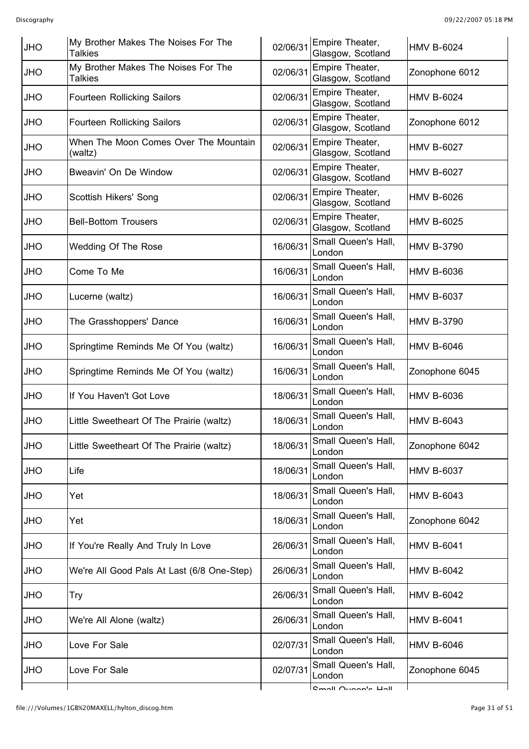| <b>JHO</b> | My Brother Makes The Noises For The<br><b>Talkies</b> | 02/06/31 | Empire Theater,<br>Glasgow, Scotland | <b>HMV B-6024</b> |
|------------|-------------------------------------------------------|----------|--------------------------------------|-------------------|
| <b>OHL</b> | My Brother Makes The Noises For The<br><b>Talkies</b> | 02/06/31 | Empire Theater,<br>Glasgow, Scotland | Zonophone 6012    |
| JHO        | <b>Fourteen Rollicking Sailors</b>                    | 02/06/31 | Empire Theater,<br>Glasgow, Scotland | <b>HMV B-6024</b> |
| JHO        | <b>Fourteen Rollicking Sailors</b>                    | 02/06/31 | Empire Theater,<br>Glasgow, Scotland | Zonophone 6012    |
| <b>OHU</b> | When The Moon Comes Over The Mountain<br>(waltz)      | 02/06/31 | Empire Theater,<br>Glasgow, Scotland | <b>HMV B-6027</b> |
| <b>OHU</b> | Bweavin' On De Window                                 | 02/06/31 | Empire Theater,<br>Glasgow, Scotland | <b>HMV B-6027</b> |
| <b>OHL</b> | Scottish Hikers' Song                                 | 02/06/31 | Empire Theater,<br>Glasgow, Scotland | <b>HMV B-6026</b> |
| <b>OHU</b> | <b>Bell-Bottom Trousers</b>                           | 02/06/31 | Empire Theater,<br>Glasgow, Scotland | <b>HMV B-6025</b> |
| JHO        | Wedding Of The Rose                                   | 16/06/31 | Small Queen's Hall,<br>London        | <b>HMV B-3790</b> |
| <b>JHO</b> | Come To Me                                            | 16/06/31 | Small Queen's Hall,<br>London        | <b>HMV B-6036</b> |
| <b>OHU</b> | Lucerne (waltz)                                       | 16/06/31 | Small Queen's Hall,<br>London        | <b>HMV B-6037</b> |
| <b>OHU</b> | The Grasshoppers' Dance                               | 16/06/31 | Small Queen's Hall,<br>London        | <b>HMV B-3790</b> |
| JHO        | Springtime Reminds Me Of You (waltz)                  | 16/06/31 | Small Queen's Hall,<br>London        | <b>HMV B-6046</b> |
| <b>OHU</b> | Springtime Reminds Me Of You (waltz)                  | 16/06/31 | Small Queen's Hall,<br>London        | Zonophone 6045    |
| <b>OHU</b> | If You Haven't Got Love                               | 18/06/31 | Small Queen's Hall,<br>London        | <b>HMV B-6036</b> |
| JHO        | Little Sweetheart Of The Prairie (waltz)              | 18/06/31 | Small Queen's Hall,<br>London        | <b>HMV B-6043</b> |
| <b>JHO</b> | Little Sweetheart Of The Prairie (waltz)              | 18/06/31 | Small Queen's Hall,<br>London        | Zonophone 6042    |
| <b>OHL</b> | Life                                                  | 18/06/31 | Small Queen's Hall,<br>London        | <b>HMV B-6037</b> |
| <b>OHL</b> | Yet                                                   | 18/06/31 | Small Queen's Hall,<br>London        | <b>HMV B-6043</b> |
| <b>OHL</b> | Yet                                                   | 18/06/31 | Small Queen's Hall,<br>London        | Zonophone 6042    |
| <b>OHL</b> | If You're Really And Truly In Love                    | 26/06/31 | Small Queen's Hall,<br>London        | <b>HMV B-6041</b> |
| OHU        | We're All Good Pals At Last (6/8 One-Step)            | 26/06/31 | Small Queen's Hall,<br>London        | <b>HMV B-6042</b> |
| <b>OHL</b> | <b>Try</b>                                            | 26/06/31 | Small Queen's Hall,<br>London        | <b>HMV B-6042</b> |
| <b>OHL</b> | We're All Alone (waltz)                               | 26/06/31 | Small Queen's Hall,<br>London        | <b>HMV B-6041</b> |
| OHU        | Love For Sale                                         | 02/07/31 | Small Queen's Hall,<br>London        | <b>HMV B-6046</b> |
| <b>OHL</b> | Love For Sale                                         | 02/07/31 | Small Queen's Hall,<br>London        | Zonophone 6045    |
|            |                                                       |          | <b>Cmall Ougan's Hall</b>            |                   |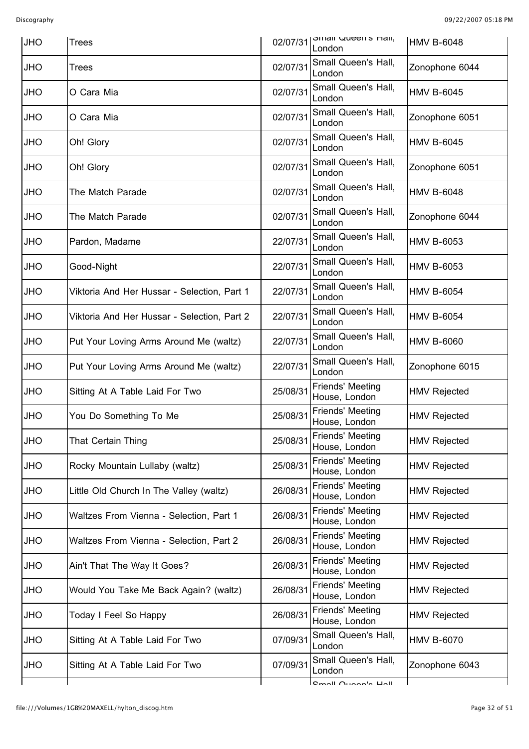| <b>JHO</b> | <b>Trees</b>                                | 02/07/31 | <b>STIRIL QUEELLS FRAIL</b><br>London    | <b>HMV B-6048</b>   |
|------------|---------------------------------------------|----------|------------------------------------------|---------------------|
| <b>JHO</b> | Trees                                       | 02/07/31 | Small Queen's Hall,<br>London            | Zonophone 6044      |
| <b>JHO</b> | O Cara Mia                                  | 02/07/31 | Small Queen's Hall,<br>London            | <b>HMV B-6045</b>   |
| JHO        | O Cara Mia                                  | 02/07/31 | Small Queen's Hall,<br>London            | Zonophone 6051      |
| <b>OHL</b> | Oh! Glory                                   | 02/07/31 | Small Queen's Hall,<br>London            | <b>HMV B-6045</b>   |
| <b>JHO</b> | Oh! Glory                                   | 02/07/31 | Small Queen's Hall,<br>London            | Zonophone 6051      |
| JHO        | The Match Parade                            | 02/07/31 | Small Queen's Hall,<br>London            | <b>HMV B-6048</b>   |
| <b>OHL</b> | The Match Parade                            | 02/07/31 | Small Queen's Hall,<br>London            | Zonophone 6044      |
| <b>JHO</b> | Pardon, Madame                              | 22/07/31 | Small Queen's Hall,<br>London            | <b>HMV B-6053</b>   |
| JHO        | Good-Night                                  | 22/07/31 | Small Queen's Hall,<br>London            | <b>HMV B-6053</b>   |
| <b>OHL</b> | Viktoria And Her Hussar - Selection, Part 1 | 22/07/31 | Small Queen's Hall,<br>London            | <b>HMV B-6054</b>   |
| <b>JHO</b> | Viktoria And Her Hussar - Selection, Part 2 | 22/07/31 | Small Queen's Hall,<br>London            | <b>HMV B-6054</b>   |
| JHO        | Put Your Loving Arms Around Me (waltz)      | 22/07/31 | Small Queen's Hall,<br>London            | <b>HMV B-6060</b>   |
| <b>OHL</b> | Put Your Loving Arms Around Me (waltz)      | 22/07/31 | Small Queen's Hall,<br>London            | Zonophone 6015      |
| <b>JHO</b> | Sitting At A Table Laid For Two             | 25/08/31 | <b>Friends' Meeting</b><br>House, London | <b>HMV Rejected</b> |
| JHO        | You Do Something To Me                      | 25/08/31 | Friends' Meeting<br>House, London        | <b>HMV Rejected</b> |
| <b>OHL</b> | That Certain Thing                          | 25/08/31 | Friends' Meeting<br>House, London        | <b>HMV Rejected</b> |
| <b>OHL</b> | Rocky Mountain Lullaby (waltz)              | 25/08/31 | Friends' Meeting<br>House, London        | <b>HMV Rejected</b> |
| <b>OHL</b> | Little Old Church In The Valley (waltz)     | 26/08/31 | <b>Friends' Meeting</b><br>House, London | <b>HMV Rejected</b> |
| <b>OHL</b> | Waltzes From Vienna - Selection, Part 1     | 26/08/31 | <b>Friends' Meeting</b><br>House, London | <b>HMV Rejected</b> |
| <b>OHL</b> | Waltzes From Vienna - Selection, Part 2     | 26/08/31 | Friends' Meeting<br>House, London        | <b>HMV Rejected</b> |
| <b>OHL</b> | Ain't That The Way It Goes?                 | 26/08/31 | <b>Friends' Meeting</b><br>House, London | <b>HMV Rejected</b> |
| <b>OHL</b> | Would You Take Me Back Again? (waltz)       | 26/08/31 | Friends' Meeting<br>House, London        | <b>HMV Rejected</b> |
| <b>OHL</b> | Today I Feel So Happy                       | 26/08/31 | Friends' Meeting<br>House, London        | <b>HMV Rejected</b> |
| <b>OHL</b> | Sitting At A Table Laid For Two             | 07/09/31 | Small Queen's Hall,<br>London            | <b>HMV B-6070</b>   |
| <b>OHL</b> | Sitting At A Table Laid For Two             | 07/09/31 | Small Queen's Hall,<br>London            | Zonophone 6043      |
|            |                                             |          | <b>Cmall Ougan's Hall</b>                |                     |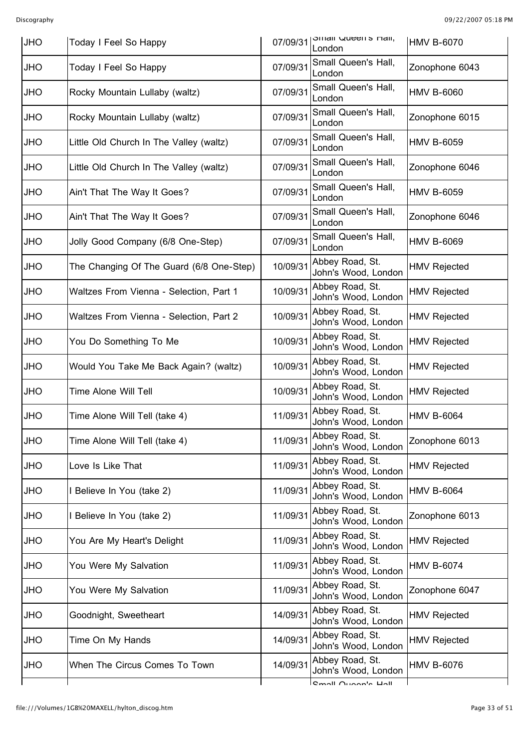| <b>JHO</b> | Today I Feel So Happy                    | 07/09/31 | <b>STIRI QUEETTS HAIL,</b><br>London   | <b>HMV B-6070</b>   |
|------------|------------------------------------------|----------|----------------------------------------|---------------------|
| <b>JHO</b> | Today I Feel So Happy                    | 07/09/31 | Small Queen's Hall,<br>London          | Zonophone 6043      |
| <b>OHL</b> | Rocky Mountain Lullaby (waltz)           | 07/09/31 | Small Queen's Hall,<br>London          | <b>HMV B-6060</b>   |
| <b>OHL</b> | Rocky Mountain Lullaby (waltz)           | 07/09/31 | Small Queen's Hall,<br>London          | Zonophone 6015      |
| JHO        | Little Old Church In The Valley (waltz)  | 07/09/31 | Small Queen's Hall,<br>London          | <b>HMV B-6059</b>   |
| <b>OHL</b> | Little Old Church In The Valley (waltz)  | 07/09/31 | Small Queen's Hall,<br>London          | Zonophone 6046      |
| <b>OHL</b> | Ain't That The Way It Goes?              | 07/09/31 | Small Queen's Hall,<br>London          | <b>HMV B-6059</b>   |
| JHO        | Ain't That The Way It Goes?              | 07/09/31 | Small Queen's Hall,<br>London          | Zonophone 6046      |
| <b>OHL</b> | Jolly Good Company (6/8 One-Step)        | 07/09/31 | Small Queen's Hall,<br>London          | <b>HMV B-6069</b>   |
| <b>JHO</b> | The Changing Of The Guard (6/8 One-Step) | 10/09/31 | Abbey Road, St.<br>John's Wood, London | <b>HMV Rejected</b> |
| JHO        | Waltzes From Vienna - Selection, Part 1  | 10/09/31 | Abbey Road, St.<br>John's Wood, London | <b>HMV Rejected</b> |
| <b>OHL</b> | Waltzes From Vienna - Selection, Part 2  | 10/09/31 | Abbey Road, St.<br>John's Wood, London | <b>HMV Rejected</b> |
| <b>JHO</b> | You Do Something To Me                   | 10/09/31 | Abbey Road, St.<br>John's Wood, London | <b>HMV Rejected</b> |
| JHO        | Would You Take Me Back Again? (waltz)    | 10/09/31 | Abbey Road, St.<br>John's Wood, London | <b>HMV Rejected</b> |
| <b>OHL</b> | <b>Time Alone Will Tell</b>              | 10/09/31 | Abbey Road, St.<br>John's Wood, London | <b>HMV Rejected</b> |
| <b>OHL</b> | Time Alone Will Tell (take 4)            | 11/09/31 | Abbey Road, St.<br>John's Wood, London | <b>HMV B-6064</b>   |
| <b>OHL</b> | Time Alone Will Tell (take 4)            | 11/09/31 | Abbey Road, St.<br>John's Wood, London | Zonophone 6013      |
| <b>JHO</b> | Love Is Like That                        | 11/09/31 | Abbey Road, St.<br>John's Wood, London | <b>HMV Rejected</b> |
| <b>OHL</b> | I Believe In You (take 2)                | 11/09/31 | Abbey Road, St.<br>John's Wood, London | <b>HMV B-6064</b>   |
| <b>OHL</b> | Believe In You (take 2)                  | 11/09/31 | Abbey Road, St.<br>John's Wood, London | Zonophone 6013      |
| <b>JHO</b> | You Are My Heart's Delight               | 11/09/31 | Abbey Road, St.<br>John's Wood, London | <b>HMV Rejected</b> |
| <b>OHL</b> | You Were My Salvation                    | 11/09/31 | Abbey Road, St.<br>John's Wood, London | <b>HMV B-6074</b>   |
| JHO        | You Were My Salvation                    | 11/09/31 | Abbey Road, St.<br>John's Wood, London | Zonophone 6047      |
| <b>JHO</b> | Goodnight, Sweetheart                    | 14/09/31 | Abbey Road, St.<br>John's Wood, London | <b>HMV Rejected</b> |
| JHO        | Time On My Hands                         | 14/09/31 | Abbey Road, St.<br>John's Wood, London | <b>HMV Rejected</b> |
| <b>OHL</b> | When The Circus Comes To Town            | 14/09/31 | Abbey Road, St.<br>John's Wood, London | <b>HMV B-6076</b>   |
|            |                                          |          | <b>Cmall Ougan's Hall</b>              |                     |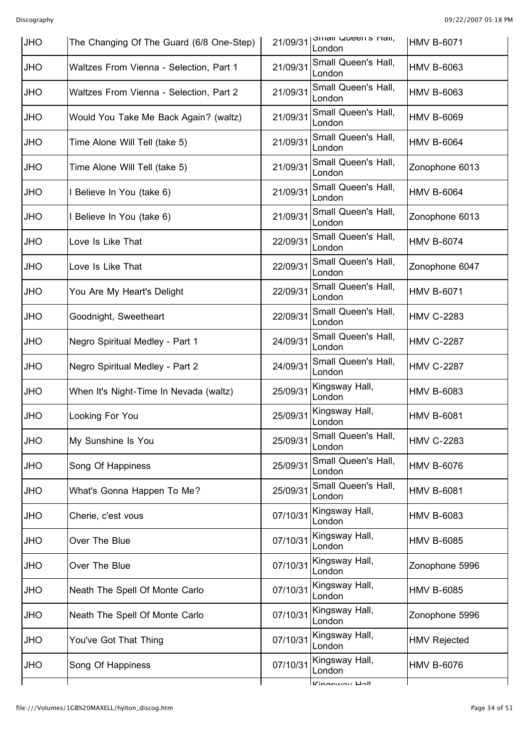| <b>JHO</b> | The Changing Of The Guard (6/8 One-Step) | 21/09/31 | <b>STITAIL QUEELLS MAIL,</b><br>London | <b>HMV B-6071</b>   |
|------------|------------------------------------------|----------|----------------------------------------|---------------------|
| <b>JHO</b> | Waltzes From Vienna - Selection, Part 1  | 21/09/31 | Small Queen's Hall,<br>London          | <b>HMV B-6063</b>   |
| <b>OHL</b> | Waltzes From Vienna - Selection, Part 2  | 21/09/31 | Small Queen's Hall,<br>London          | <b>HMV B-6063</b>   |
| <b>OHL</b> | Would You Take Me Back Again? (waltz)    | 21/09/31 | Small Queen's Hall,<br>London          | <b>HMV B-6069</b>   |
| <b>OHL</b> | Time Alone Will Tell (take 5)            | 21/09/31 | Small Queen's Hall,<br>London          | <b>HMV B-6064</b>   |
| <b>OHL</b> | Time Alone Will Tell (take 5)            | 21/09/31 | Small Queen's Hall,<br>London          | Zonophone 6013      |
| <b>OHL</b> | I Believe In You (take 6)                | 21/09/31 | Small Queen's Hall,<br>London          | <b>HMV B-6064</b>   |
| <b>OHL</b> | I Believe In You (take 6)                | 21/09/31 | Small Queen's Hall,<br>London          | Zonophone 6013      |
| <b>OHL</b> | Love Is Like That                        | 22/09/31 | Small Queen's Hall,<br>London          | <b>HMV B-6074</b>   |
| <b>JHO</b> | Love Is Like That                        | 22/09/31 | Small Queen's Hall,<br>London          | Zonophone 6047      |
| <b>OHL</b> | You Are My Heart's Delight               | 22/09/31 | Small Queen's Hall,<br>London          | <b>HMV B-6071</b>   |
| <b>JHO</b> | Goodnight, Sweetheart                    | 22/09/31 | Small Queen's Hall,<br>London          | <b>HMV C-2283</b>   |
| <b>JHO</b> | Negro Spiritual Medley - Part 1          | 24/09/31 | Small Queen's Hall,<br>London          | <b>HMV C-2287</b>   |
| <b>OHL</b> | Negro Spiritual Medley - Part 2          | 24/09/31 | Small Queen's Hall,<br>London          | <b>HMV C-2287</b>   |
| <b>JHO</b> | When It's Night-Time In Nevada (waltz)   | 25/09/31 | Kingsway Hall,<br>London               | <b>HMV B-6083</b>   |
| JHO        | Looking For You                          | 25/09/31 | Kingsway Hall,<br>London               | <b>HMV B-6081</b>   |
| <b>JHO</b> | My Sunshine Is You                       | 25/09/31 | Small Queen's Hall,<br>London          | <b>HMV C-2283</b>   |
| <b>OHL</b> | Song Of Happiness                        | 25/09/31 | Small Queen's Hall,<br>London          | <b>HMV B-6076</b>   |
| JHO        | What's Gonna Happen To Me?               | 25/09/31 | Small Queen's Hall,<br>London          | <b>HMV B-6081</b>   |
| <b>OHL</b> | Cherie, c'est vous                       | 07/10/31 | Kingsway Hall,<br>London               | <b>HMV B-6083</b>   |
| <b>OHL</b> | Over The Blue                            | 07/10/31 | Kingsway Hall,<br>London               | <b>HMV B-6085</b>   |
| JHO        | Over The Blue                            | 07/10/31 | Kingsway Hall,<br>London               | Zonophone 5996      |
| <b>OHL</b> | Neath The Spell Of Monte Carlo           | 07/10/31 | Kingsway Hall,<br>London               | <b>HMV B-6085</b>   |
| <b>JHO</b> | Neath The Spell Of Monte Carlo           | 07/10/31 | Kingsway Hall,<br>London               | Zonophone 5996      |
| JHO        | You've Got That Thing                    | 07/10/31 | Kingsway Hall,<br>London               | <b>HMV Rejected</b> |
| <b>OHL</b> | Song Of Happiness                        | 07/10/31 | Kingsway Hall,<br>London               | <b>HMV B-6076</b>   |
|            |                                          |          | Kingowov Holl                          |                     |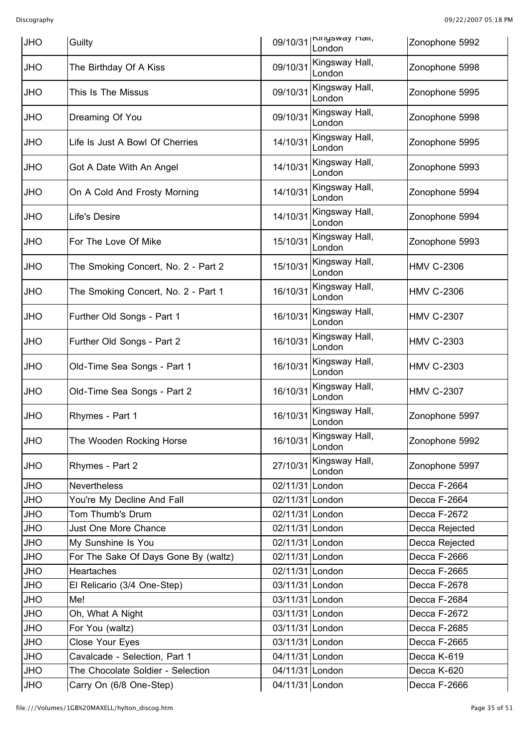| <b>JHO</b> | Guilty                               | 09/10/31        | INIIYYWAY Hall,<br>London | Zonophone 5992    |
|------------|--------------------------------------|-----------------|---------------------------|-------------------|
| <b>JHO</b> | The Birthday Of A Kiss               | 09/10/31        | Kingsway Hall,<br>London  | Zonophone 5998    |
| <b>JHO</b> | This Is The Missus                   | 09/10/31        | Kingsway Hall,<br>London  | Zonophone 5995    |
| JHO        | Dreaming Of You                      | 09/10/31        | Kingsway Hall,<br>London  | Zonophone 5998    |
| <b>JHO</b> | Life Is Just A Bowl Of Cherries      | 14/10/31        | Kingsway Hall,<br>London  | Zonophone 5995    |
| <b>JHO</b> | Got A Date With An Angel             | 14/10/31        | Kingsway Hall,<br>London  | Zonophone 5993    |
| <b>JHO</b> | On A Cold And Frosty Morning         | 14/10/31        | Kingsway Hall,<br>London  | Zonophone 5994    |
| <b>JHO</b> | Life's Desire                        | 14/10/31        | Kingsway Hall,<br>London  | Zonophone 5994    |
| <b>JHO</b> | For The Love Of Mike                 | 15/10/31        | Kingsway Hall,<br>London  | Zonophone 5993    |
| <b>JHO</b> | The Smoking Concert, No. 2 - Part 2  | 15/10/31        | Kingsway Hall,<br>London  | <b>HMV C-2306</b> |
| <b>JHO</b> | The Smoking Concert, No. 2 - Part 1  | 16/10/31        | Kingsway Hall,<br>London  | <b>HMV C-2306</b> |
| <b>JHO</b> | Further Old Songs - Part 1           | 16/10/31        | Kingsway Hall,<br>London  | <b>HMV C-2307</b> |
| <b>JHO</b> | Further Old Songs - Part 2           | 16/10/31        | Kingsway Hall,<br>London  | <b>HMV C-2303</b> |
| JHO        | Old-Time Sea Songs - Part 1          | 16/10/31        | Kingsway Hall,<br>London  | <b>HMV C-2303</b> |
| <b>JHO</b> | Old-Time Sea Songs - Part 2          | 16/10/31        | Kingsway Hall,<br>London  | <b>HMV C-2307</b> |
| <b>JHO</b> | Rhymes - Part 1                      | 16/10/31        | Kingsway Hall,<br>London  | Zonophone 5997    |
| <b>JHO</b> | The Wooden Rocking Horse             | 16/10/31        | Kingsway Hall,<br>London  | Zonophone 5992    |
| <b>JHO</b> | Rhymes - Part 2                      | 27/10/31        | Kingsway Hall,<br>London  | Zonophone 5997    |
| <b>JHO</b> | <b>Nevertheless</b>                  | 02/11/31 London |                           | Decca F-2664      |
| <b>OHL</b> | You're My Decline And Fall           | 02/11/31 London |                           | Decca F-2664      |
| <b>JHO</b> | Tom Thumb's Drum                     | 02/11/31 London |                           | Decca F-2672      |
| <b>OHL</b> | Just One More Chance                 | 02/11/31 London |                           | Decca Rejected    |
| <b>OHL</b> | My Sunshine Is You                   | 02/11/31 London |                           | Decca Rejected    |
| <b>JHO</b> | For The Sake Of Days Gone By (waltz) | 02/11/31 London |                           | Decca F-2666      |
| <b>OHL</b> | Heartaches                           | 02/11/31 London |                           | Decca F-2665      |
| <b>OHL</b> | El Relicario (3/4 One-Step)          | 03/11/31 London |                           | Decca F-2678      |
| <b>OHL</b> | Me!                                  | 03/11/31 London |                           | Decca F-2684      |
| <b>OHL</b> | Oh, What A Night                     | 03/11/31 London |                           | Decca F-2672      |
| <b>OHL</b> | For You (waltz)                      | 03/11/31 London |                           | Decca F-2685      |
| <b>OHL</b> | Close Your Eyes                      | 03/11/31 London |                           | Decca F-2665      |
| <b>OHL</b> | Cavalcade - Selection, Part 1        | 04/11/31 London |                           | Decca K-619       |
| <b>JHO</b> | The Chocolate Soldier - Selection    | 04/11/31 London |                           | Decca K-620       |
| <b>JHO</b> | Carry On (6/8 One-Step)              | 04/11/31 London |                           | Decca F-2666      |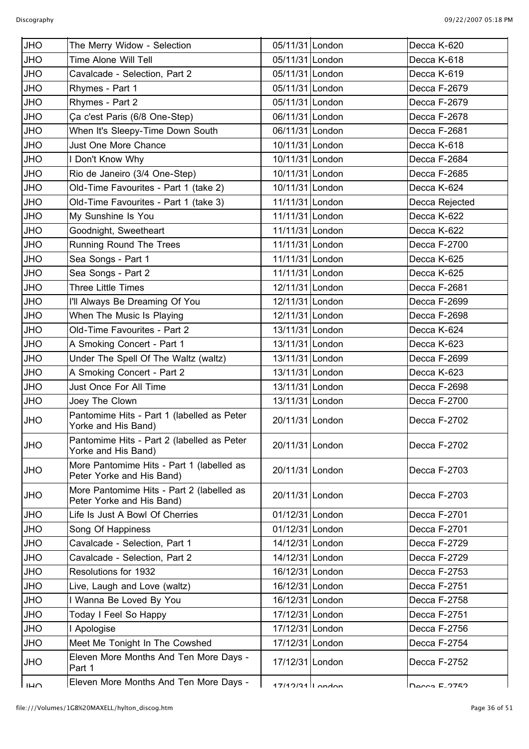| <b>JHO</b>     | The Merry Widow - Selection                                            | 05/11/31 London     | Decca K-620     |
|----------------|------------------------------------------------------------------------|---------------------|-----------------|
| <b>JHO</b>     | Time Alone Will Tell                                                   | 05/11/31 London     | Decca K-618     |
| JHO            | Cavalcade - Selection, Part 2                                          | 05/11/31 London     | Decca K-619     |
| <b>JHO</b>     | Rhymes - Part 1                                                        | 05/11/31 London     | Decca F-2679    |
| JHO            | Rhymes - Part 2                                                        | 05/11/31 London     | Decca F-2679    |
| JHO            | Ça c'est Paris (6/8 One-Step)                                          | 06/11/31 London     | Decca F-2678    |
| <b>OHL</b>     | When It's Sleepy-Time Down South                                       | 06/11/31 London     | Decca F-2681    |
| <b>JHO</b>     | Just One More Chance                                                   | 10/11/31 London     | Decca K-618     |
| JHO            | I Don't Know Why                                                       | 10/11/31 London     | Decca F-2684    |
| <b>OHL</b>     | Rio de Janeiro (3/4 One-Step)                                          | 10/11/31 London     | Decca F-2685    |
| <b>JHO</b>     | Old-Time Favourites - Part 1 (take 2)                                  | 10/11/31 London     | Decca K-624     |
| <b>JHO</b>     | Old-Time Favourites - Part 1 (take 3)                                  | 11/11/31 London     | Decca Rejected  |
| <b>JHO</b>     | My Sunshine Is You                                                     | 11/11/31 London     | Decca K-622     |
| <b>JHO</b>     | Goodnight, Sweetheart                                                  | 11/11/31 London     | Decca K-622     |
| <b>JHO</b>     | Running Round The Trees                                                | 11/11/31 London     | Decca F-2700    |
| <b>JHO</b>     | Sea Songs - Part 1                                                     | 11/11/31 London     | Decca K-625     |
| <b>JHO</b>     | Sea Songs - Part 2                                                     | 11/11/31 London     | Decca K-625     |
| <b>JHO</b>     | <b>Three Little Times</b>                                              | 12/11/31 London     | Decca F-2681    |
| <b>JHO</b>     | I'll Always Be Dreaming Of You                                         | 12/11/31 London     | Decca F-2699    |
| <b>JHO</b>     | When The Music Is Playing                                              | 12/11/31 London     | Decca F-2698    |
| <b>JHO</b>     | Old-Time Favourites - Part 2                                           | 13/11/31 London     | Decca K-624     |
| <b>OHL</b>     | A Smoking Concert - Part 1                                             | 13/11/31 London     | Decca K-623     |
| <b>JHO</b>     | Under The Spell Of The Waltz (waltz)                                   | 13/11/31 London     | Decca F-2699    |
| <b>JHO</b>     | A Smoking Concert - Part 2                                             | 13/11/31 London     | Decca K-623     |
| <b>OHL</b>     | Just Once For All Time                                                 | 13/11/31 London     | Decca F-2698    |
| <b>JHO</b>     | Joey The Clown                                                         | 13/11/31 London     | Decca F-2700    |
| <b>JHO</b>     | Pantomime Hits - Part 1 (labelled as Peter<br>Yorke and His Band)      | 20/11/31 London     | Decca F-2702    |
| <b>JHO</b>     | Pantomime Hits - Part 2 (labelled as Peter<br>Yorke and His Band)      | 20/11/31 London     | Decca F-2702    |
| <b>OHL</b>     | More Pantomime Hits - Part 1 (labelled as<br>Peter Yorke and His Band) | 20/11/31 London     | Decca F-2703    |
| <b>OHL</b>     | More Pantomime Hits - Part 2 (labelled as<br>Peter Yorke and His Band) | 20/11/31 London     | Decca F-2703    |
| <b>OHL</b>     | Life Is Just A Bowl Of Cherries                                        | 01/12/31 London     | Decca F-2701    |
| <b>JHO</b>     | Song Of Happiness                                                      | 01/12/31 London     | Decca F-2701    |
| <b>OHL</b>     | Cavalcade - Selection, Part 1                                          | 14/12/31 London     | Decca F-2729    |
| <b>OHL</b>     | Cavalcade - Selection, Part 2                                          | 14/12/31 London     | Decca F-2729    |
| <b>OHL</b>     | Resolutions for 1932                                                   | 16/12/31 London     | Decca F-2753    |
| <b>OHL</b>     | Live, Laugh and Love (waltz)                                           | 16/12/31 London     | Decca F-2751    |
| <b>OHL</b>     | I Wanna Be Loved By You                                                | 16/12/31 London     | Decca F-2758    |
| <b>OHL</b>     | Today I Feel So Happy                                                  | 17/12/31 London     | Decca F-2751    |
| <b>OHL</b>     | <b>Apologise</b>                                                       | 17/12/31 London     | Decca F-2756    |
| <b>JHO</b>     | Meet Me Tonight In The Cowshed                                         | 17/12/31 London     | Decca F-2754    |
| <b>OHL</b>     | Eleven More Months And Ten More Days -<br>Part 1                       | 17/12/31 London     | Decca F-2752    |
| I <sub>H</sub> | Eleven More Months And Ten More Days -                                 | $17/19/21$ ll ondon | $Inacos E-2752$ |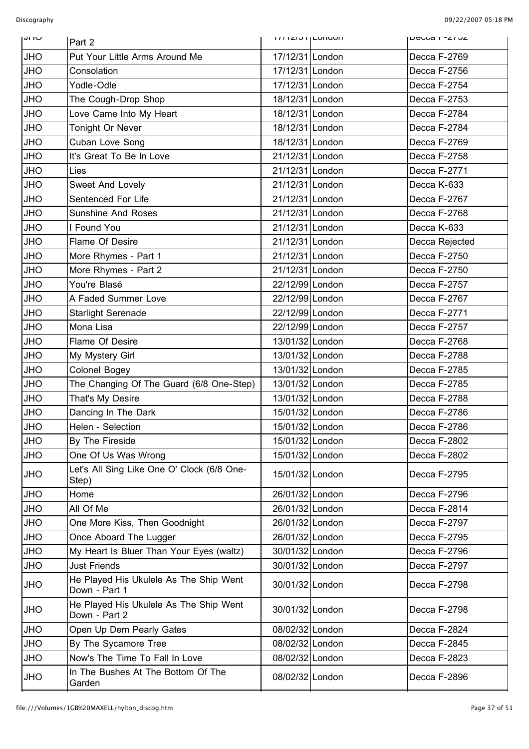| טו וט      | Part 2                                                  | <b>ITT IZIVITLUITUUIT</b> | <b>DEULA I - ZI JZ</b> |
|------------|---------------------------------------------------------|---------------------------|------------------------|
| <b>JHO</b> | Put Your Little Arms Around Me                          | 17/12/31 London           | Decca F-2769           |
| <b>JHO</b> | Consolation                                             | 17/12/31 London           | Decca F-2756           |
| <b>JHO</b> | Yodle-Odle                                              | 17/12/31 London           | Decca F-2754           |
| <b>JHO</b> | The Cough-Drop Shop                                     | 18/12/31 London           | Decca F-2753           |
| <b>JHO</b> | Love Came Into My Heart                                 | 18/12/31 London           | Decca F-2784           |
| <b>JHO</b> | Tonight Or Never                                        | 18/12/31 London           | Decca F-2784           |
| <b>JHO</b> | Cuban Love Song                                         | 18/12/31 London           | Decca F-2769           |
| <b>JHO</b> | It's Great To Be In Love                                | 21/12/31 London           | Decca F-2758           |
| <b>JHO</b> | Lies                                                    | 21/12/31 London           | Decca F-2771           |
| <b>JHO</b> | Sweet And Lovely                                        | 21/12/31 London           | Decca K-633            |
| <b>JHO</b> | Sentenced For Life                                      | 21/12/31 London           | Decca F-2767           |
| <b>JHO</b> | <b>Sunshine And Roses</b>                               | 21/12/31 London           | Decca F-2768           |
| <b>JHO</b> | I Found You                                             | 21/12/31 London           | Decca K-633            |
| <b>JHO</b> | Flame Of Desire                                         | 21/12/31 London           | Decca Rejected         |
| <b>JHO</b> | More Rhymes - Part 1                                    | 21/12/31 London           | Decca F-2750           |
| <b>JHO</b> | More Rhymes - Part 2                                    | 21/12/31 London           | Decca F-2750           |
| <b>JHO</b> | You're Blasé                                            | 22/12/99 London           | Decca F-2757           |
| <b>JHO</b> | A Faded Summer Love                                     | 22/12/99 London           | Decca F-2767           |
| <b>JHO</b> | <b>Starlight Serenade</b>                               | 22/12/99 London           | Decca F-2771           |
| <b>JHO</b> | Mona Lisa                                               | 22/12/99 London           | Decca F-2757           |
| <b>JHO</b> | Flame Of Desire                                         | 13/01/32 London           | Decca F-2768           |
| <b>JHO</b> | My Mystery Girl                                         | 13/01/32 London           | Decca F-2788           |
| <b>JHO</b> | Colonel Bogey                                           | 13/01/32 London           | Decca F-2785           |
| <b>JHO</b> | The Changing Of The Guard (6/8 One-Step)                | 13/01/32 London           | Decca F-2785           |
| <b>JHO</b> | That's My Desire                                        | 13/01/32 London           | Decca F-2788           |
| <b>JHO</b> | Dancing In The Dark                                     | 15/01/32 London           | Decca F-2786           |
| <b>JHO</b> | Helen - Selection                                       | 15/01/32 London           | Decca F-2786           |
| <b>JHO</b> | By The Fireside                                         | 15/01/32 London           | Decca F-2802           |
| <b>JHO</b> | One Of Us Was Wrong                                     | 15/01/32 London           | Decca F-2802           |
| <b>JHO</b> | Let's All Sing Like One O' Clock (6/8 One-<br>Step)     | 15/01/32 London           | Decca F-2795           |
| <b>JHO</b> | Home                                                    | 26/01/32 London           | Decca F-2796           |
| <b>JHO</b> | All Of Me                                               | 26/01/32 London           | Decca F-2814           |
| <b>JHO</b> | One More Kiss, Then Goodnight                           | 26/01/32 London           | Decca F-2797           |
| <b>JHO</b> | Once Aboard The Lugger                                  | 26/01/32 London           | Decca F-2795           |
| <b>JHO</b> | My Heart Is Bluer Than Your Eyes (waltz)                | 30/01/32 London           | Decca F-2796           |
| <b>JHO</b> | <b>Just Friends</b>                                     | 30/01/32 London           | Decca F-2797           |
| <b>JHO</b> | He Played His Ukulele As The Ship Went<br>Down - Part 1 | 30/01/32 London           | Decca F-2798           |
| <b>JHO</b> | He Played His Ukulele As The Ship Went<br>Down - Part 2 | 30/01/32 London           | Decca F-2798           |
| <b>JHO</b> | Open Up Dem Pearly Gates                                | 08/02/32 London           | Decca F-2824           |
| <b>JHO</b> | By The Sycamore Tree                                    | 08/02/32 London           | Decca F-2845           |
| <b>JHO</b> | Now's The Time To Fall In Love                          | 08/02/32 London           | Decca F-2823           |
| <b>JHO</b> | In The Bushes At The Bottom Of The<br>Garden            | 08/02/32 London           | Decca F-2896           |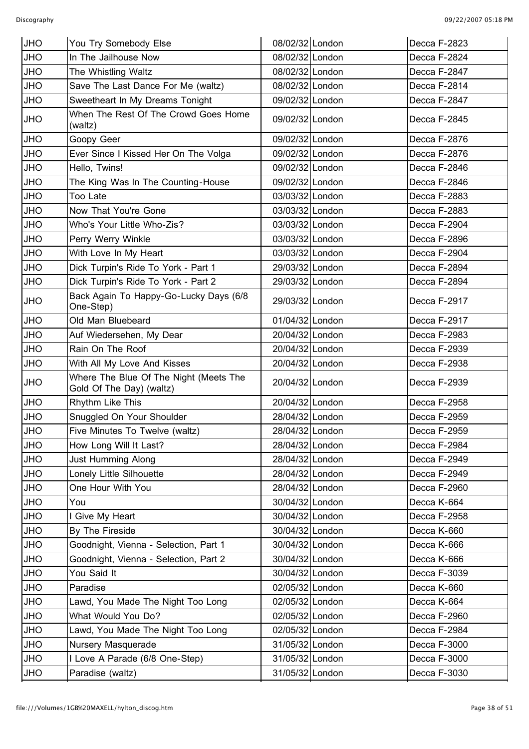| <b>JHO</b> | You Try Somebody Else                                              | 08/02/32 London | Decca F-2823 |
|------------|--------------------------------------------------------------------|-----------------|--------------|
| <b>JHO</b> | In The Jailhouse Now                                               | 08/02/32 London | Decca F-2824 |
| <b>JHO</b> | The Whistling Waltz                                                | 08/02/32 London | Decca F-2847 |
| <b>JHO</b> | Save The Last Dance For Me (waltz)                                 | 08/02/32 London | Decca F-2814 |
| <b>JHO</b> | Sweetheart In My Dreams Tonight                                    | 09/02/32 London | Decca F-2847 |
| <b>JHO</b> | When The Rest Of The Crowd Goes Home<br>(waltz)                    | 09/02/32 London | Decca F-2845 |
| <b>JHO</b> | Goopy Geer                                                         | 09/02/32 London | Decca F-2876 |
| <b>JHO</b> | Ever Since I Kissed Her On The Volga                               | 09/02/32 London | Decca F-2876 |
| <b>JHO</b> | Hello, Twins!                                                      | 09/02/32 London | Decca F-2846 |
| <b>JHO</b> | The King Was In The Counting-House                                 | 09/02/32 London | Decca F-2846 |
| <b>JHO</b> | Too Late                                                           | 03/03/32 London | Decca F-2883 |
| <b>JHO</b> | Now That You're Gone                                               | 03/03/32 London | Decca F-2883 |
| <b>JHO</b> | Who's Your Little Who-Zis?                                         | 03/03/32 London | Decca F-2904 |
| <b>JHO</b> | Perry Werry Winkle                                                 | 03/03/32 London | Decca F-2896 |
| <b>JHO</b> | With Love In My Heart                                              | 03/03/32 London | Decca F-2904 |
| <b>JHO</b> | Dick Turpin's Ride To York - Part 1                                | 29/03/32 London | Decca F-2894 |
| <b>JHO</b> | Dick Turpin's Ride To York - Part 2                                | 29/03/32 London | Decca F-2894 |
| <b>JHO</b> | Back Again To Happy-Go-Lucky Days (6/8<br>One-Step)                | 29/03/32 London | Decca F-2917 |
| <b>JHO</b> | Old Man Bluebeard                                                  | 01/04/32 London | Decca F-2917 |
| <b>JHO</b> | Auf Wiedersehen, My Dear                                           | 20/04/32 London | Decca F-2983 |
| <b>JHO</b> | Rain On The Roof                                                   | 20/04/32 London | Decca F-2939 |
| <b>JHO</b> | With All My Love And Kisses                                        | 20/04/32 London | Decca F-2938 |
| <b>JHO</b> | Where The Blue Of The Night (Meets The<br>Gold Of The Day) (waltz) | 20/04/32 London | Decca F-2939 |
| <b>JHO</b> | Rhythm Like This                                                   | 20/04/32 London | Decca F-2958 |
| <b>JHO</b> | Snuggled On Your Shoulder                                          | 28/04/32 London | Decca F-2959 |
| <b>JHO</b> | Five Minutes To Twelve (waltz)                                     | 28/04/32 London | Decca F-2959 |
| <b>JHO</b> | How Long Will It Last?                                             | 28/04/32 London | Decca F-2984 |
| <b>JHO</b> | <b>Just Humming Along</b>                                          | 28/04/32 London | Decca F-2949 |
| <b>JHO</b> | Lonely Little Silhouette                                           | 28/04/32 London | Decca F-2949 |
| <b>JHO</b> | One Hour With You                                                  | 28/04/32 London | Decca F-2960 |
| <b>JHO</b> | You                                                                | 30/04/32 London | Decca K-664  |
| <b>JHO</b> | Give My Heart                                                      | 30/04/32 London | Decca F-2958 |
| <b>JHO</b> | By The Fireside                                                    | 30/04/32 London | Decca K-660  |
| <b>JHO</b> | Goodnight, Vienna - Selection, Part 1                              | 30/04/32 London | Decca K-666  |
| <b>JHO</b> | Goodnight, Vienna - Selection, Part 2                              | 30/04/32 London | Decca K-666  |
| <b>JHO</b> | You Said It                                                        | 30/04/32 London | Decca F-3039 |
| <b>JHO</b> | Paradise                                                           | 02/05/32 London | Decca K-660  |
| <b>JHO</b> | Lawd, You Made The Night Too Long                                  | 02/05/32 London | Decca K-664  |
| <b>JHO</b> | What Would You Do?                                                 | 02/05/32 London | Decca F-2960 |
| <b>JHO</b> | Lawd, You Made The Night Too Long                                  | 02/05/32 London | Decca F-2984 |
| <b>JHO</b> | Nursery Masquerade                                                 | 31/05/32 London | Decca F-3000 |
| <b>JHO</b> | I Love A Parade (6/8 One-Step)                                     | 31/05/32 London | Decca F-3000 |
| <b>JHO</b> | Paradise (waltz)                                                   | 31/05/32 London | Decca F-3030 |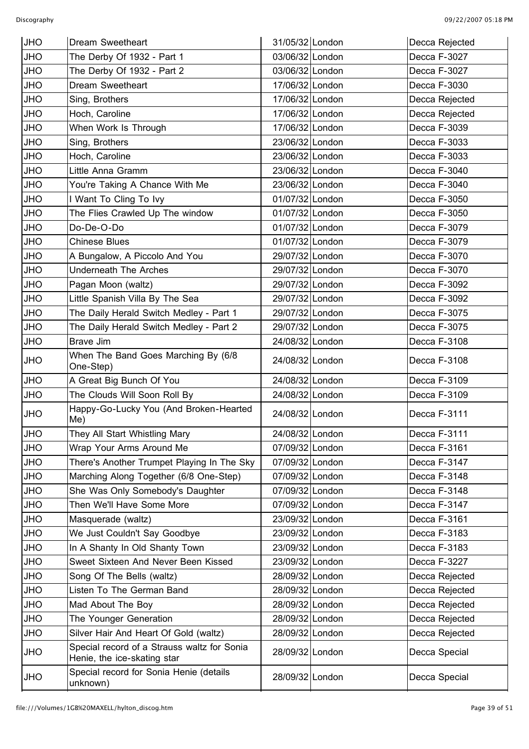| <b>JHO</b> | Dream Sweetheart                                                           | 31/05/32 London | Decca Rejected |
|------------|----------------------------------------------------------------------------|-----------------|----------------|
| <b>JHO</b> | The Derby Of 1932 - Part 1                                                 | 03/06/32 London | Decca F-3027   |
| <b>JHO</b> | The Derby Of 1932 - Part 2                                                 | 03/06/32 London | Decca F-3027   |
| <b>JHO</b> | Dream Sweetheart                                                           | 17/06/32 London | Decca F-3030   |
| <b>JHO</b> | Sing, Brothers                                                             | 17/06/32 London | Decca Rejected |
| <b>JHO</b> | Hoch, Caroline                                                             | 17/06/32 London | Decca Rejected |
| <b>JHO</b> | When Work Is Through                                                       | 17/06/32 London | Decca F-3039   |
| <b>JHO</b> | Sing, Brothers                                                             | 23/06/32 London | Decca F-3033   |
| <b>JHO</b> | Hoch, Caroline                                                             | 23/06/32 London | Decca F-3033   |
| <b>JHO</b> | Little Anna Gramm                                                          | 23/06/32 London | Decca F-3040   |
| <b>JHO</b> | You're Taking A Chance With Me                                             | 23/06/32 London | Decca F-3040   |
| <b>JHO</b> | I Want To Cling To Ivy                                                     | 01/07/32 London | Decca F-3050   |
| <b>JHO</b> | The Flies Crawled Up The window                                            | 01/07/32 London | Decca F-3050   |
| <b>JHO</b> | Do-De-O-Do                                                                 | 01/07/32 London | Decca F-3079   |
| <b>JHO</b> | <b>Chinese Blues</b>                                                       | 01/07/32 London | Decca F-3079   |
| <b>JHO</b> | A Bungalow, A Piccolo And You                                              | 29/07/32 London | Decca F-3070   |
| <b>JHO</b> | <b>Underneath The Arches</b>                                               | 29/07/32 London | Decca F-3070   |
| <b>JHO</b> | Pagan Moon (waltz)                                                         | 29/07/32 London | Decca F-3092   |
| <b>JHO</b> | Little Spanish Villa By The Sea                                            | 29/07/32 London | Decca F-3092   |
| <b>JHO</b> | The Daily Herald Switch Medley - Part 1                                    | 29/07/32 London | Decca F-3075   |
| <b>JHO</b> | The Daily Herald Switch Medley - Part 2                                    | 29/07/32 London | Decca F-3075   |
| <b>JHO</b> | <b>Brave Jim</b>                                                           | 24/08/32 London | Decca F-3108   |
| <b>JHO</b> | When The Band Goes Marching By (6/8<br>One-Step)                           | 24/08/32 London | Decca F-3108   |
| <b>JHO</b> | A Great Big Bunch Of You                                                   | 24/08/32 London | Decca F-3109   |
| <b>JHO</b> | The Clouds Will Soon Roll By                                               | 24/08/32 London | Decca F-3109   |
| <b>JHO</b> | Happy-Go-Lucky You (And Broken-Hearted<br>Me)                              | 24/08/32 London | Decca F-3111   |
| <b>JHO</b> | They All Start Whistling Mary                                              | 24/08/32 London | Decca F-3111   |
| <b>JHO</b> | Wrap Your Arms Around Me                                                   | 07/09/32 London | Decca F-3161   |
| <b>JHO</b> | There's Another Trumpet Playing In The Sky                                 | 07/09/32 London | Decca F-3147   |
| <b>JHO</b> | Marching Along Together (6/8 One-Step)                                     | 07/09/32 London | Decca F-3148   |
| <b>JHO</b> | She Was Only Somebody's Daughter                                           | 07/09/32 London | Decca F-3148   |
| <b>JHO</b> | Then We'll Have Some More                                                  | 07/09/32 London | Decca F-3147   |
| <b>JHO</b> | Masquerade (waltz)                                                         | 23/09/32 London | Decca F-3161   |
| <b>JHO</b> | We Just Couldn't Say Goodbye                                               | 23/09/32 London | Decca F-3183   |
| JHO        | In A Shanty In Old Shanty Town                                             | 23/09/32 London | Decca F-3183   |
| <b>JHO</b> | Sweet Sixteen And Never Been Kissed                                        | 23/09/32 London | Decca F-3227   |
| <b>JHO</b> | Song Of The Bells (waltz)                                                  | 28/09/32 London | Decca Rejected |
| JHO        | Listen To The German Band                                                  | 28/09/32 London | Decca Rejected |
| <b>JHO</b> | Mad About The Boy                                                          | 28/09/32 London | Decca Rejected |
| <b>JHO</b> | The Younger Generation                                                     | 28/09/32 London | Decca Rejected |
| <b>JHO</b> | Silver Hair And Heart Of Gold (waltz)                                      | 28/09/32 London | Decca Rejected |
| <b>JHO</b> | Special record of a Strauss waltz for Sonia<br>Henie, the ice-skating star | 28/09/32 London | Decca Special  |
| <b>JHO</b> | Special record for Sonia Henie (details<br>unknown)                        | 28/09/32 London | Decca Special  |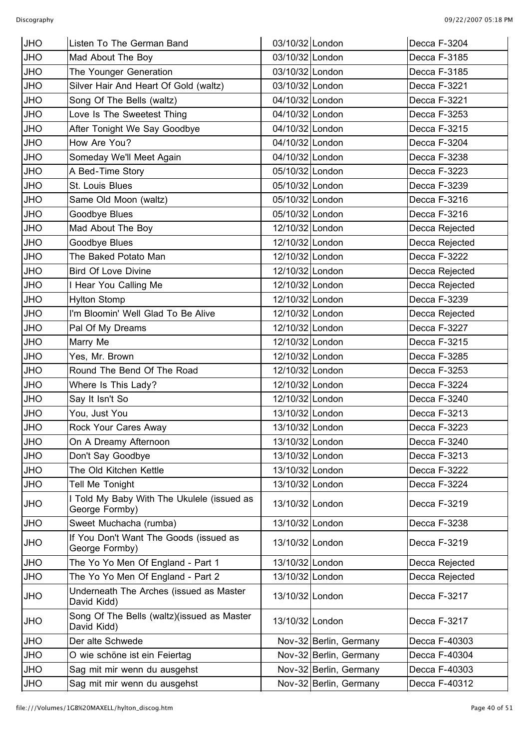| <b>JHO</b> | Listen To The German Band                                    | 03/10/32 London |                        | Decca F-3204   |
|------------|--------------------------------------------------------------|-----------------|------------------------|----------------|
| <b>JHO</b> | Mad About The Boy                                            | 03/10/32 London |                        | Decca F-3185   |
| <b>JHO</b> | The Younger Generation                                       | 03/10/32 London |                        | Decca F-3185   |
| <b>JHO</b> | Silver Hair And Heart Of Gold (waltz)                        | 03/10/32 London |                        | Decca F-3221   |
| <b>JHO</b> | Song Of The Bells (waltz)                                    | 04/10/32 London |                        | Decca F-3221   |
| <b>JHO</b> | Love Is The Sweetest Thing                                   | 04/10/32 London |                        | Decca F-3253   |
| <b>JHO</b> | After Tonight We Say Goodbye                                 | 04/10/32 London |                        | Decca F-3215   |
| <b>JHO</b> | How Are You?                                                 | 04/10/32 London |                        | Decca F-3204   |
| <b>JHO</b> | Someday We'll Meet Again                                     | 04/10/32 London |                        | Decca F-3238   |
| <b>JHO</b> | A Bed-Time Story                                             | 05/10/32 London |                        | Decca F-3223   |
| <b>JHO</b> | St. Louis Blues                                              | 05/10/32 London |                        | Decca F-3239   |
| <b>JHO</b> | Same Old Moon (waltz)                                        | 05/10/32 London |                        | Decca F-3216   |
| <b>JHO</b> | Goodbye Blues                                                | 05/10/32 London |                        | Decca F-3216   |
| <b>JHO</b> | Mad About The Boy                                            | 12/10/32 London |                        | Decca Rejected |
| <b>JHO</b> | Goodbye Blues                                                | 12/10/32 London |                        | Decca Rejected |
| <b>JHO</b> | The Baked Potato Man                                         | 12/10/32 London |                        | Decca F-3222   |
| <b>JHO</b> | <b>Bird Of Love Divine</b>                                   | 12/10/32 London |                        | Decca Rejected |
| <b>JHO</b> | I Hear You Calling Me                                        | 12/10/32 London |                        | Decca Rejected |
| <b>JHO</b> | <b>Hylton Stomp</b>                                          | 12/10/32 London |                        | Decca F-3239   |
| <b>JHO</b> | I'm Bloomin' Well Glad To Be Alive                           | 12/10/32 London |                        | Decca Rejected |
| <b>JHO</b> | Pal Of My Dreams                                             | 12/10/32 London |                        | Decca F-3227   |
| <b>JHO</b> | Marry Me                                                     | 12/10/32 London |                        | Decca F-3215   |
| <b>JHO</b> | Yes, Mr. Brown                                               | 12/10/32 London |                        | Decca F-3285   |
| <b>JHO</b> | Round The Bend Of The Road                                   | 12/10/32 London |                        | Decca F-3253   |
| <b>JHO</b> | Where Is This Lady?                                          | 12/10/32 London |                        | Decca F-3224   |
| <b>JHO</b> | Say It Isn't So                                              | 12/10/32 London |                        | Decca F-3240   |
| <b>JHO</b> | You, Just You                                                | 13/10/32 London |                        | Decca F-3213   |
| <b>JHO</b> | Rock Your Cares Away                                         | 13/10/32 London |                        | Decca F-3223   |
| <b>JHO</b> | On A Dreamy Afternoon                                        | 13/10/32 London |                        | Decca F-3240   |
| <b>JHO</b> | Don't Say Goodbye                                            | 13/10/32 London |                        | Decca F-3213   |
| <b>JHO</b> | The Old Kitchen Kettle                                       | 13/10/32 London |                        | Decca F-3222   |
| <b>JHO</b> | Tell Me Tonight                                              | 13/10/32 London |                        | Decca F-3224   |
| <b>JHO</b> | I Told My Baby With The Ukulele (issued as<br>George Formby) | 13/10/32 London |                        | Decca F-3219   |
| <b>JHO</b> | Sweet Muchacha (rumba)                                       | 13/10/32 London |                        | Decca F-3238   |
| <b>JHO</b> | If You Don't Want The Goods (issued as<br>George Formby)     | 13/10/32 London |                        | Decca F-3219   |
| <b>JHO</b> | The Yo Yo Men Of England - Part 1                            | 13/10/32 London |                        | Decca Rejected |
| JHO        | The Yo Yo Men Of England - Part 2                            | 13/10/32 London |                        | Decca Rejected |
| <b>JHO</b> | Underneath The Arches (issued as Master<br>David Kidd)       | 13/10/32 London |                        | Decca F-3217   |
| <b>OHL</b> | Song Of The Bells (waltz)(issued as Master<br>David Kidd)    | 13/10/32 London |                        | Decca F-3217   |
| <b>JHO</b> | Der alte Schwede                                             |                 | Nov-32 Berlin, Germany | Decca F-40303  |
| <b>JHO</b> | O wie schöne ist ein Feiertag                                |                 | Nov-32 Berlin, Germany | Decca F-40304  |
| <b>JHO</b> | Sag mit mir wenn du ausgehst                                 |                 | Nov-32 Berlin, Germany | Decca F-40303  |
| <b>JHO</b> | Sag mit mir wenn du ausgehst                                 |                 | Nov-32 Berlin, Germany | Decca F-40312  |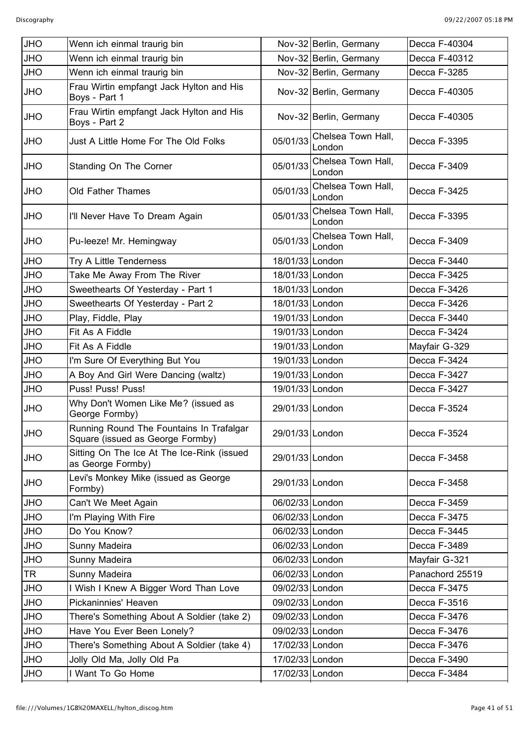| <b>JHO</b> | Wenn ich einmal traurig bin                                                  |                 | Nov-32 Berlin, Germany       | Decca F-40304   |
|------------|------------------------------------------------------------------------------|-----------------|------------------------------|-----------------|
| <b>JHO</b> | Wenn ich einmal traurig bin                                                  |                 | Nov-32 Berlin, Germany       | Decca F-40312   |
| <b>JHO</b> | Wenn ich einmal traurig bin                                                  |                 | Nov-32 Berlin, Germany       | Decca F-3285    |
| <b>JHO</b> | Frau Wirtin empfangt Jack Hylton and His<br>Boys - Part 1                    |                 | Nov-32 Berlin, Germany       | Decca F-40305   |
| <b>JHO</b> | Frau Wirtin empfangt Jack Hylton and His<br>Boys - Part 2                    |                 | Nov-32 Berlin, Germany       | Decca F-40305   |
| <b>JHO</b> | Just A Little Home For The Old Folks                                         | 05/01/33        | Chelsea Town Hall,<br>London | Decca F-3395    |
| <b>JHO</b> | Standing On The Corner                                                       | 05/01/33        | Chelsea Town Hall,<br>London | Decca F-3409    |
| <b>JHO</b> | Old Father Thames                                                            | 05/01/33        | Chelsea Town Hall,<br>London | Decca F-3425    |
| <b>JHO</b> | I'll Never Have To Dream Again                                               | 05/01/33        | Chelsea Town Hall,<br>London | Decca F-3395    |
| <b>JHO</b> | Pu-leeze! Mr. Hemingway                                                      | 05/01/33        | Chelsea Town Hall,<br>London | Decca F-3409    |
| <b>JHO</b> | Try A Little Tenderness                                                      | 18/01/33 London |                              | Decca F-3440    |
| <b>JHO</b> | Take Me Away From The River                                                  | 18/01/33 London |                              | Decca F-3425    |
| <b>JHO</b> | Sweethearts Of Yesterday - Part 1                                            | 18/01/33 London |                              | Decca F-3426    |
| <b>JHO</b> | Sweethearts Of Yesterday - Part 2                                            | 18/01/33 London |                              | Decca F-3426    |
| <b>JHO</b> | Play, Fiddle, Play                                                           | 19/01/33 London |                              | Decca F-3440    |
| <b>JHO</b> | Fit As A Fiddle                                                              | 19/01/33 London |                              | Decca F-3424    |
| <b>JHO</b> | Fit As A Fiddle                                                              | 19/01/33 London |                              | Mayfair G-329   |
| <b>JHO</b> | I'm Sure Of Everything But You                                               | 19/01/33 London |                              | Decca F-3424    |
| <b>JHO</b> | A Boy And Girl Were Dancing (waltz)                                          | 19/01/33 London |                              | Decca F-3427    |
| <b>JHO</b> | Puss! Puss! Puss!                                                            | 19/01/33 London |                              | Decca F-3427    |
| <b>JHO</b> | Why Don't Women Like Me? (issued as<br>George Formby)                        | 29/01/33 London |                              | Decca F-3524    |
| <b>JHO</b> | Running Round The Fountains In Trafalgar<br>Square (issued as George Formby) | 29/01/33 London |                              | Decca F-3524    |
| <b>JHO</b> | Sitting On The Ice At The Ice-Rink (issued<br>as George Formby)              | 29/01/33 London |                              | Decca F-3458    |
| <b>JHO</b> | Levi's Monkey Mike (issued as George<br>Formby)                              | 29/01/33 London |                              | Decca F-3458    |
| <b>JHO</b> | Can't We Meet Again                                                          | 06/02/33 London |                              | Decca F-3459    |
| <b>JHO</b> | I'm Playing With Fire                                                        | 06/02/33 London |                              | Decca F-3475    |
| <b>JHO</b> | Do You Know?                                                                 | 06/02/33 London |                              | Decca F-3445    |
| <b>JHO</b> | Sunny Madeira                                                                | 06/02/33 London |                              | Decca F-3489    |
| <b>JHO</b> | Sunny Madeira                                                                | 06/02/33 London |                              | Mayfair G-321   |
| <b>TR</b>  | Sunny Madeira                                                                | 06/02/33 London |                              | Panachord 25519 |
| <b>JHO</b> | I Wish I Knew A Bigger Word Than Love                                        | 09/02/33 London |                              | Decca F-3475    |
| <b>JHO</b> | Pickaninnies' Heaven                                                         | 09/02/33 London |                              | Decca F-3516    |
| <b>JHO</b> | There's Something About A Soldier (take 2)                                   | 09/02/33 London |                              | Decca F-3476    |
| <b>JHO</b> | Have You Ever Been Lonely?                                                   | 09/02/33 London |                              | Decca F-3476    |
| <b>JHO</b> | There's Something About A Soldier (take 4)                                   | 17/02/33 London |                              | Decca F-3476    |
| <b>JHO</b> | Jolly Old Ma, Jolly Old Pa                                                   | 17/02/33 London |                              | Decca F-3490    |
| <b>JHO</b> | I Want To Go Home                                                            | 17/02/33 London |                              | Decca F-3484    |
|            |                                                                              |                 |                              |                 |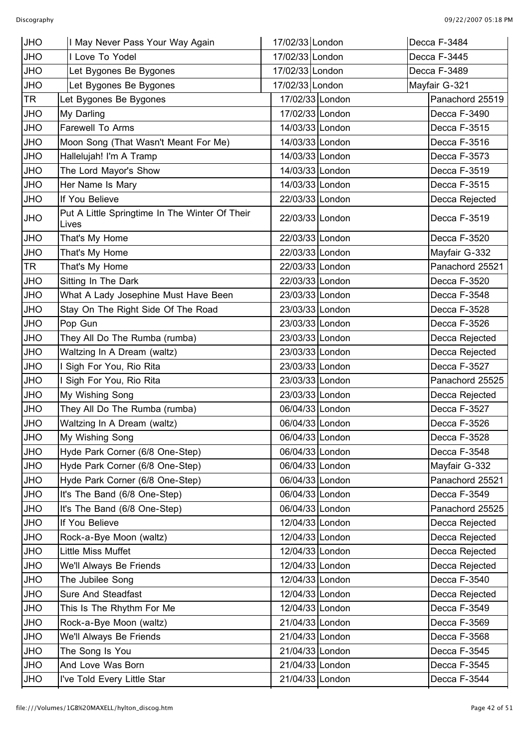| <b>JHO</b> | I May Never Pass Your Way Again                         | 17/02/33 London | Decca F-3484    |
|------------|---------------------------------------------------------|-----------------|-----------------|
| <b>JHO</b> | I Love To Yodel                                         | 17/02/33 London | Decca F-3445    |
| <b>JHO</b> | Let Bygones Be Bygones                                  | 17/02/33 London | Decca F-3489    |
| <b>JHO</b> | Let Bygones Be Bygones                                  | 17/02/33 London | Mayfair G-321   |
| <b>TR</b>  | Let Bygones Be Bygones                                  | 17/02/33 London | Panachord 25519 |
| <b>JHO</b> | My Darling                                              | 17/02/33 London | Decca F-3490    |
| <b>JHO</b> | Farewell To Arms                                        | 14/03/33 London | Decca F-3515    |
| <b>JHO</b> | Moon Song (That Wasn't Meant For Me)                    | 14/03/33 London | Decca F-3516    |
| <b>JHO</b> | Hallelujah! I'm A Tramp                                 | 14/03/33 London | Decca F-3573    |
| <b>JHO</b> | The Lord Mayor's Show                                   | 14/03/33 London | Decca F-3519    |
| <b>JHO</b> | Her Name Is Mary                                        | 14/03/33 London | Decca F-3515    |
| JHO        | If You Believe                                          | 22/03/33 London | Decca Rejected  |
| <b>JHO</b> | Put A Little Springtime In The Winter Of Their<br>Lives | 22/03/33 London | Decca F-3519    |
| <b>JHO</b> | That's My Home                                          | 22/03/33 London | Decca F-3520    |
| JHO        | That's My Home                                          | 22/03/33 London | Mayfair G-332   |
| TR         | That's My Home                                          | 22/03/33 London | Panachord 25521 |
| <b>JHO</b> | Sitting In The Dark                                     | 22/03/33 London | Decca F-3520    |
| <b>JHO</b> | What A Lady Josephine Must Have Been                    | 23/03/33 London | Decca F-3548    |
| <b>JHO</b> | Stay On The Right Side Of The Road                      | 23/03/33 London | Decca F-3528    |
| <b>JHO</b> | Pop Gun                                                 | 23/03/33 London | Decca F-3526    |
| <b>JHO</b> | They All Do The Rumba (rumba)                           | 23/03/33 London | Decca Rejected  |
| <b>JHO</b> | Waltzing In A Dream (waltz)                             | 23/03/33 London | Decca Rejected  |
| <b>JHO</b> | I Sigh For You, Rio Rita                                | 23/03/33 London | Decca F-3527    |
| <b>JHO</b> | I Sigh For You, Rio Rita                                | 23/03/33 London | Panachord 25525 |
| <b>JHO</b> | My Wishing Song                                         | 23/03/33 London | Decca Rejected  |
| <b>JHO</b> | They All Do The Rumba (rumba)                           | 06/04/33 London | Decca F-3527    |
| <b>JHO</b> | Waltzing In A Dream (waltz)                             | 06/04/33 London | Decca F-3526    |
| <b>JHO</b> | My Wishing Song                                         | 06/04/33 London | Decca F-3528    |
| <b>JHO</b> | Hyde Park Corner (6/8 One-Step)                         | 06/04/33 London | Decca F-3548    |
| <b>JHO</b> | Hyde Park Corner (6/8 One-Step)                         | 06/04/33 London | Mayfair G-332   |
| <b>JHO</b> | Hyde Park Corner (6/8 One-Step)                         | 06/04/33 London | Panachord 25521 |
| <b>JHO</b> | It's The Band (6/8 One-Step)                            | 06/04/33 London | Decca F-3549    |
| <b>JHO</b> | It's The Band (6/8 One-Step)                            | 06/04/33 London | Panachord 25525 |
| <b>JHO</b> | If You Believe                                          | 12/04/33 London | Decca Rejected  |
| <b>JHO</b> | Rock-a-Bye Moon (waltz)                                 | 12/04/33 London | Decca Rejected  |
| <b>JHO</b> | Little Miss Muffet                                      | 12/04/33 London | Decca Rejected  |
| <b>JHO</b> | We'll Always Be Friends                                 | 12/04/33 London | Decca Rejected  |
| <b>JHO</b> | The Jubilee Song                                        | 12/04/33 London | Decca F-3540    |
| <b>JHO</b> | Sure And Steadfast                                      | 12/04/33 London | Decca Rejected  |
| <b>JHO</b> | This Is The Rhythm For Me                               | 12/04/33 London | Decca F-3549    |
| <b>JHO</b> | Rock-a-Bye Moon (waltz)                                 | 21/04/33 London | Decca F-3569    |
| <b>JHO</b> | We'll Always Be Friends                                 | 21/04/33 London | Decca F-3568    |
| <b>JHO</b> | The Song Is You                                         | 21/04/33 London | Decca F-3545    |
| <b>JHO</b> | And Love Was Born                                       | 21/04/33 London | Decca F-3545    |
| <b>JHO</b> | I've Told Every Little Star                             | 21/04/33 London | Decca F-3544    |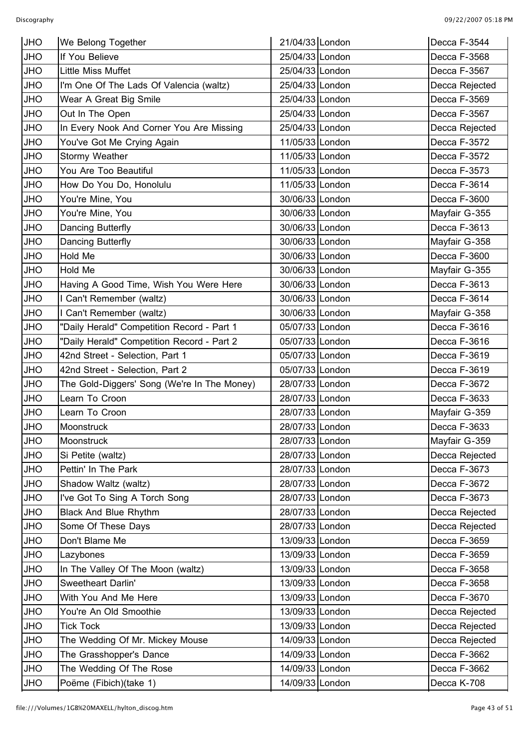| <b>JHO</b> | We Belong Together                          | 21/04/33 London | Decca F-3544   |
|------------|---------------------------------------------|-----------------|----------------|
| <b>JHO</b> | If You Believe                              | 25/04/33 London | Decca F-3568   |
| JHO        | Little Miss Muffet                          | 25/04/33 London | Decca F-3567   |
| <b>OHL</b> | I'm One Of The Lads Of Valencia (waltz)     | 25/04/33 London | Decca Rejected |
| <b>OHL</b> | Wear A Great Big Smile                      | 25/04/33 London | Decca F-3569   |
| <b>OHL</b> | Out In The Open                             | 25/04/33 London | Decca F-3567   |
| <b>JHO</b> | In Every Nook And Corner You Are Missing    | 25/04/33 London | Decca Rejected |
| <b>OHL</b> | You've Got Me Crying Again                  | 11/05/33 London | Decca F-3572   |
| <b>JHO</b> | Stormy Weather                              | 11/05/33 London | Decca F-3572   |
| <b>JHO</b> | You Are Too Beautiful                       | 11/05/33 London | Decca F-3573   |
| <b>OHL</b> | How Do You Do, Honolulu                     | 11/05/33 London | Decca F-3614   |
| JHO        | You're Mine, You                            | 30/06/33 London | Decca F-3600   |
| <b>JHO</b> | You're Mine, You                            | 30/06/33 London | Mayfair G-355  |
| <b>JHO</b> | Dancing Butterfly                           | 30/06/33 London | Decca F-3613   |
| <b>OHL</b> | Dancing Butterfly                           | 30/06/33 London | Mayfair G-358  |
| <b>JHO</b> | Hold Me                                     | 30/06/33 London | Decca F-3600   |
| <b>JHO</b> | Hold Me                                     | 30/06/33 London | Mayfair G-355  |
| JHO        | Having A Good Time, Wish You Were Here      | 30/06/33 London | Decca F-3613   |
| <b>OHL</b> | I Can't Remember (waltz)                    | 30/06/33 London | Decca F-3614   |
| <b>OHL</b> | I Can't Remember (waltz)                    | 30/06/33 London | Mayfair G-358  |
| JHO        | "Daily Herald" Competition Record - Part 1  | 05/07/33 London | Decca F-3616   |
| <b>JHO</b> | "Daily Herald" Competition Record - Part 2  | 05/07/33 London | Decca F-3616   |
| <b>OHL</b> | 42nd Street - Selection, Part 1             | 05/07/33 London | Decca F-3619   |
| JHO        | 42nd Street - Selection, Part 2             | 05/07/33 London | Decca F-3619   |
| <b>OHL</b> | The Gold-Diggers' Song (We're In The Money) | 28/07/33 London | Decca F-3672   |
| <b>JHO</b> | Learn To Croon                              | 28/07/33 London | Decca F-3633   |
| <b>JHO</b> | Learn To Croon                              | 28/07/33 London | Mayfair G-359  |
| <b>JHO</b> | Moonstruck                                  | 28/07/33 London | Decca F-3633   |
| <b>JHO</b> | Moonstruck                                  | 28/07/33 London | Mayfair G-359  |
| <b>OHL</b> | Si Petite (waltz)                           | 28/07/33 London | Decca Rejected |
| JHO        | Pettin' In The Park                         | 28/07/33 London | Decca F-3673   |
| JHO        | Shadow Waltz (waltz)                        | 28/07/33 London | Decca F-3672   |
| JHO        | I've Got To Sing A Torch Song               | 28/07/33 London | Decca F-3673   |
| JHO        | <b>Black And Blue Rhythm</b>                | 28/07/33 London | Decca Rejected |
| JHO        | Some Of These Days                          | 28/07/33 London | Decca Rejected |
| <b>OHL</b> | Don't Blame Me                              | 13/09/33 London | Decca F-3659   |
| JHO        | Lazybones                                   | 13/09/33 London | Decca F-3659   |
| JHO        | In The Valley Of The Moon (waltz)           | 13/09/33 London | Decca F-3658   |
| <b>OHL</b> | Sweetheart Darlin'                          | 13/09/33 London | Decca F-3658   |
| JHO        | With You And Me Here                        | 13/09/33 London | Decca F-3670   |
| JHO        | You're An Old Smoothie                      | 13/09/33 London | Decca Rejected |
| <b>OHL</b> | <b>Tick Tock</b>                            | 13/09/33 London | Decca Rejected |
| JHO        | The Wedding Of Mr. Mickey Mouse             | 14/09/33 London | Decca Rejected |
| JHO        | The Grasshopper's Dance                     | 14/09/33 London | Decca F-3662   |
| <b>OHL</b> | The Wedding Of The Rose                     | 14/09/33 London | Decca F-3662   |
| <b>OHL</b> | Poëme (Fibich)(take 1)                      | 14/09/33 London | Decca K-708    |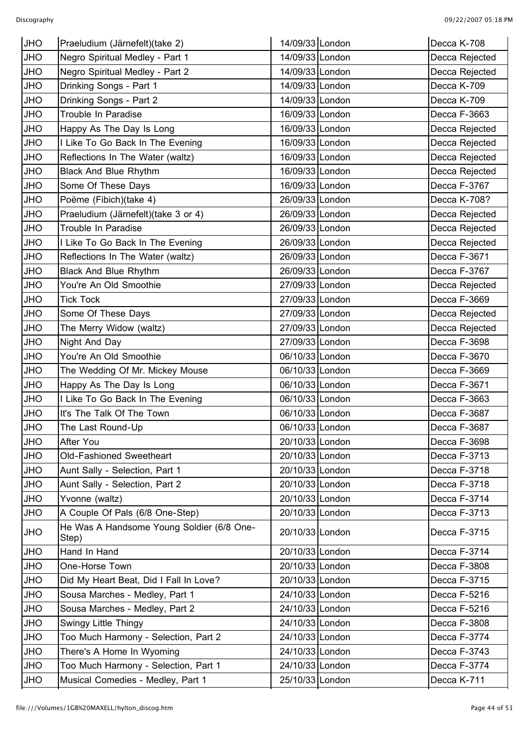| <b>JHO</b> | Praeludium (Järnefelt) (take 2)                    | 14/09/33 London | Decca K-708    |
|------------|----------------------------------------------------|-----------------|----------------|
| <b>JHO</b> | Negro Spiritual Medley - Part 1                    | 14/09/33 London | Decca Rejected |
| <b>JHO</b> | Negro Spiritual Medley - Part 2                    | 14/09/33 London | Decca Rejected |
| <b>JHO</b> | Drinking Songs - Part 1                            | 14/09/33 London | Decca K-709    |
| <b>OHL</b> | Drinking Songs - Part 2                            | 14/09/33 London | Decca K-709    |
| <b>OHL</b> | Trouble In Paradise                                | 16/09/33 London | Decca F-3663   |
| <b>JHO</b> | Happy As The Day Is Long                           | 16/09/33 London | Decca Rejected |
| <b>OHL</b> | I Like To Go Back In The Evening                   | 16/09/33 London | Decca Rejected |
| JHO        | Reflections In The Water (waltz)                   | 16/09/33 London | Decca Rejected |
| <b>JHO</b> | <b>Black And Blue Rhythm</b>                       | 16/09/33 London | Decca Rejected |
| <b>OHL</b> | Some Of These Days                                 | 16/09/33 London | Decca F-3767   |
| <b>OHL</b> | Poëme (Fibich)(take 4)                             | 26/09/33 London | Decca K-708?   |
| <b>JHO</b> | Praeludium (Järnefelt) (take 3 or 4)               | 26/09/33 London | Decca Rejected |
| <b>JHO</b> | Trouble In Paradise                                | 26/09/33 London | Decca Rejected |
| <b>JHO</b> | I Like To Go Back In The Evening                   | 26/09/33 London | Decca Rejected |
| <b>JHO</b> | Reflections In The Water (waltz)                   | 26/09/33 London | Decca F-3671   |
| OHU        | <b>Black And Blue Rhythm</b>                       | 26/09/33 London | Decca F-3767   |
| <b>JHO</b> | You're An Old Smoothie                             | 27/09/33 London | Decca Rejected |
| <b>JHO</b> | <b>Tick Tock</b>                                   | 27/09/33 London | Decca F-3669   |
| <b>OHL</b> | Some Of These Days                                 | 27/09/33 London | Decca Rejected |
| <b>JHO</b> | The Merry Widow (waltz)                            | 27/09/33 London | Decca Rejected |
| <b>JHO</b> | Night And Day                                      | 27/09/33 London | Decca F-3698   |
| <b>OHL</b> | You're An Old Smoothie                             | 06/10/33 London | Decca F-3670   |
| <b>JHO</b> | The Wedding Of Mr. Mickey Mouse                    | 06/10/33 London | Decca F-3669   |
| <b>JHO</b> | Happy As The Day Is Long                           | 06/10/33 London | Decca F-3671   |
| <b>JHO</b> | I Like To Go Back In The Evening                   | 06/10/33 London | Decca F-3663   |
| <b>JHO</b> | It's The Talk Of The Town                          | 06/10/33 London | Decca F-3687   |
| <b>JHO</b> | The Last Round-Up                                  | 06/10/33 London | Decca F-3687   |
| <b>JHO</b> | After You                                          | 20/10/33 London | Decca F-3698   |
| <b>JHO</b> | Old-Fashioned Sweetheart                           | 20/10/33 London | Decca F-3713   |
| JHO        | Aunt Sally - Selection, Part 1                     | 20/10/33 London | Decca F-3718   |
| <b>OHL</b> | Aunt Sally - Selection, Part 2                     | 20/10/33 London | Decca F-3718   |
| <b>OHL</b> | Yvonne (waltz)                                     | 20/10/33 London | Decca F-3714   |
| JHO        | A Couple Of Pals (6/8 One-Step)                    | 20/10/33 London | Decca F-3713   |
| <b>JHO</b> | He Was A Handsome Young Soldier (6/8 One-<br>Step) | 20/10/33 London | Decca F-3715   |
| <b>JHO</b> | Hand In Hand                                       | 20/10/33 London | Decca F-3714   |
| JHO        | One-Horse Town                                     | 20/10/33 London | Decca F-3808   |
| JHO        | Did My Heart Beat, Did I Fall In Love?             | 20/10/33 London | Decca F-3715   |
| <b>OHL</b> | Sousa Marches - Medley, Part 1                     | 24/10/33 London | Decca F-5216   |
| JHO        | Sousa Marches - Medley, Part 2                     | 24/10/33 London | Decca F-5216   |
| <b>JHO</b> | <b>Swingy Little Thingy</b>                        | 24/10/33 London | Decca F-3808   |
| <b>OHL</b> | Too Much Harmony - Selection, Part 2               | 24/10/33 London | Decca F-3774   |
| JHO        | There's A Home In Wyoming                          | 24/10/33 London | Decca F-3743   |
| <b>OHL</b> | Too Much Harmony - Selection, Part 1               | 24/10/33 London | Decca F-3774   |
| <b>JHO</b> | Musical Comedies - Medley, Part 1                  | 25/10/33 London | Decca K-711    |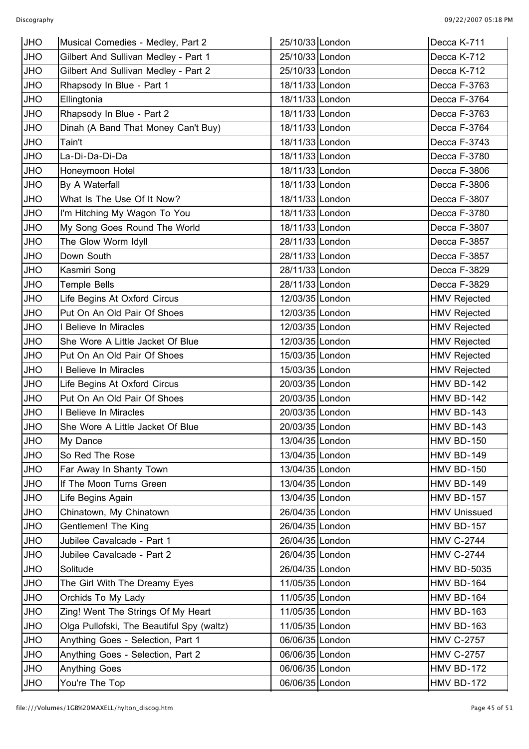| <b>JHO</b> | Musical Comedies - Medley, Part 2         | 25/10/33 London | Decca K-711         |
|------------|-------------------------------------------|-----------------|---------------------|
| <b>JHO</b> | Gilbert And Sullivan Medley - Part 1      | 25/10/33 London | Decca K-712         |
| <b>JHO</b> | Gilbert And Sullivan Medley - Part 2      | 25/10/33 London | Decca K-712         |
| <b>JHO</b> | Rhapsody In Blue - Part 1                 | 18/11/33 London | Decca F-3763        |
| <b>JHO</b> | Ellingtonia                               | 18/11/33 London | Decca F-3764        |
| <b>JHO</b> | Rhapsody In Blue - Part 2                 | 18/11/33 London | Decca F-3763        |
| <b>JHO</b> | Dinah (A Band That Money Can't Buy)       | 18/11/33 London | Decca F-3764        |
| <b>JHO</b> | Tain't                                    | 18/11/33 London | Decca F-3743        |
| <b>JHO</b> | La-Di-Da-Di-Da                            | 18/11/33 London | Decca F-3780        |
| <b>JHO</b> | Honeymoon Hotel                           | 18/11/33 London | Decca F-3806        |
| <b>JHO</b> | By A Waterfall                            | 18/11/33 London | Decca F-3806        |
| <b>JHO</b> | What Is The Use Of It Now?                | 18/11/33 London | Decca F-3807        |
| <b>JHO</b> | I'm Hitching My Wagon To You              | 18/11/33 London | Decca F-3780        |
| <b>JHO</b> | My Song Goes Round The World              | 18/11/33 London | Decca F-3807        |
| <b>JHO</b> | The Glow Worm Idyll                       | 28/11/33 London | Decca F-3857        |
| <b>JHO</b> | Down South                                | 28/11/33 London | Decca F-3857        |
| <b>JHO</b> | Kasmiri Song                              | 28/11/33 London | Decca F-3829        |
| <b>JHO</b> | <b>Temple Bells</b>                       | 28/11/33 London | Decca F-3829        |
| <b>JHO</b> | Life Begins At Oxford Circus              | 12/03/35 London | <b>HMV Rejected</b> |
| <b>JHO</b> | Put On An Old Pair Of Shoes               | 12/03/35 London | <b>HMV Rejected</b> |
| <b>JHO</b> | I Believe In Miracles                     | 12/03/35 London | <b>HMV Rejected</b> |
| <b>JHO</b> | She Wore A Little Jacket Of Blue          | 12/03/35 London | <b>HMV Rejected</b> |
| <b>JHO</b> | Put On An Old Pair Of Shoes               | 15/03/35 London | <b>HMV Rejected</b> |
| <b>JHO</b> | I Believe In Miracles                     | 15/03/35 London | <b>HMV Rejected</b> |
| <b>JHO</b> | Life Begins At Oxford Circus              | 20/03/35 London | <b>HMV BD-142</b>   |
| <b>JHO</b> | Put On An Old Pair Of Shoes               | 20/03/35 London | <b>HMV BD-142</b>   |
| <b>JHO</b> | I Believe In Miracles                     | 20/03/35 London | <b>HMV BD-143</b>   |
| <b>JHO</b> | She Wore A Little Jacket Of Blue          | 20/03/35 London | HMV BD-143          |
| <b>JHO</b> | My Dance                                  | 13/04/35 London | <b>HMV BD-150</b>   |
| <b>JHO</b> | So Red The Rose                           | 13/04/35 London | <b>HMV BD-149</b>   |
| <b>JHO</b> | Far Away In Shanty Town                   | 13/04/35 London | <b>HMV BD-150</b>   |
| <b>JHO</b> | If The Moon Turns Green                   | 13/04/35 London | HMV BD-149          |
| <b>JHO</b> | Life Begins Again                         | 13/04/35 London | <b>HMV BD-157</b>   |
| <b>JHO</b> | Chinatown, My Chinatown                   | 26/04/35 London | <b>HMV Unissued</b> |
| <b>JHO</b> | Gentlemen! The King                       | 26/04/35 London | <b>HMV BD-157</b>   |
| <b>JHO</b> | Jubilee Cavalcade - Part 1                | 26/04/35 London | <b>HMV C-2744</b>   |
| <b>JHO</b> | Jubilee Cavalcade - Part 2                | 26/04/35 London | <b>HMV C-2744</b>   |
| <b>JHO</b> | Solitude                                  | 26/04/35 London | <b>HMV BD-5035</b>  |
| <b>JHO</b> | The Girl With The Dreamy Eyes             | 11/05/35 London | <b>HMV BD-164</b>   |
| <b>JHO</b> | Orchids To My Lady                        | 11/05/35 London | <b>HMV BD-164</b>   |
| <b>JHO</b> | Zing! Went The Strings Of My Heart        | 11/05/35 London | <b>HMV BD-163</b>   |
| <b>JHO</b> | Olga Pullofski, The Beautiful Spy (waltz) | 11/05/35 London | <b>HMV BD-163</b>   |
| <b>JHO</b> | Anything Goes - Selection, Part 1         | 06/06/35 London | <b>HMV C-2757</b>   |
| <b>JHO</b> | Anything Goes - Selection, Part 2         | 06/06/35 London | <b>HMV C-2757</b>   |
| <b>JHO</b> | <b>Anything Goes</b>                      | 06/06/35 London | <b>HMV BD-172</b>   |
| <b>JHO</b> | You're The Top                            | 06/06/35 London | <b>HMV BD-172</b>   |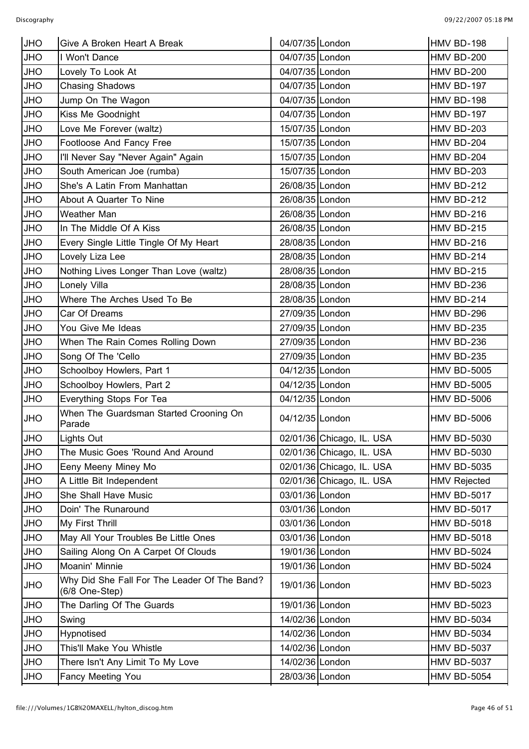| <b>JHO</b> | Give A Broken Heart A Break                                    | 04/07/35 London |                           | <b>HMV BD-198</b>   |
|------------|----------------------------------------------------------------|-----------------|---------------------------|---------------------|
| <b>JHO</b> | I Won't Dance                                                  | 04/07/35 London |                           | <b>HMV BD-200</b>   |
| <b>JHO</b> | Lovely To Look At                                              | 04/07/35 London |                           | <b>HMV BD-200</b>   |
| <b>JHO</b> | <b>Chasing Shadows</b>                                         | 04/07/35 London |                           | <b>HMV BD-197</b>   |
| <b>JHO</b> | Jump On The Wagon                                              | 04/07/35 London |                           | <b>HMV BD-198</b>   |
| <b>JHO</b> | Kiss Me Goodnight                                              | 04/07/35 London |                           | <b>HMV BD-197</b>   |
| <b>JHO</b> | Love Me Forever (waltz)                                        | 15/07/35 London |                           | <b>HMV BD-203</b>   |
| <b>JHO</b> | Footloose And Fancy Free                                       | 15/07/35 London |                           | HMV BD-204          |
| <b>JHO</b> | I'll Never Say "Never Again" Again                             | 15/07/35 London |                           | <b>HMV BD-204</b>   |
| <b>JHO</b> | South American Joe (rumba)                                     | 15/07/35 London |                           | <b>HMV BD-203</b>   |
| <b>JHO</b> | She's A Latin From Manhattan                                   | 26/08/35 London |                           | <b>HMV BD-212</b>   |
| <b>JHO</b> | About A Quarter To Nine                                        | 26/08/35 London |                           | <b>HMV BD-212</b>   |
| <b>JHO</b> | Weather Man                                                    | 26/08/35 London |                           | <b>HMV BD-216</b>   |
| <b>OHL</b> | In The Middle Of A Kiss                                        | 26/08/35 London |                           | <b>HMV BD-215</b>   |
| <b>JHO</b> | Every Single Little Tingle Of My Heart                         | 28/08/35 London |                           | <b>HMV BD-216</b>   |
| <b>JHO</b> | Lovely Liza Lee                                                | 28/08/35 London |                           | HMV BD-214          |
| <b>JHO</b> | Nothing Lives Longer Than Love (waltz)                         | 28/08/35 London |                           | <b>HMV BD-215</b>   |
| <b>JHO</b> | Lonely Villa                                                   | 28/08/35 London |                           | <b>HMV BD-236</b>   |
| <b>JHO</b> | Where The Arches Used To Be                                    | 28/08/35 London |                           | <b>HMV BD-214</b>   |
| <b>OHL</b> | Car Of Dreams                                                  | 27/09/35 London |                           | <b>HMV BD-296</b>   |
| <b>OHL</b> | You Give Me Ideas                                              | 27/09/35 London |                           | <b>HMV BD-235</b>   |
| <b>JHO</b> | When The Rain Comes Rolling Down                               | 27/09/35 London |                           | HMV BD-236          |
| <b>JHO</b> | Song Of The 'Cello                                             | 27/09/35 London |                           | <b>HMV BD-235</b>   |
| <b>JHO</b> | Schoolboy Howlers, Part 1                                      | 04/12/35 London |                           | <b>HMV BD-5005</b>  |
| <b>JHO</b> | Schoolboy Howlers, Part 2                                      | 04/12/35 London |                           | <b>HMV BD-5005</b>  |
| <b>JHO</b> | Everything Stops For Tea                                       | 04/12/35 London |                           | <b>HMV BD-5006</b>  |
| <b>JHO</b> | When The Guardsman Started Crooning On<br>Parade               | 04/12/35 London |                           | <b>HMV BD-5006</b>  |
| <b>JHO</b> | Lights Out                                                     |                 | 02/01/36 Chicago, IL. USA | <b>HMV BD-5030</b>  |
| <b>JHO</b> | The Music Goes 'Round And Around                               |                 | 02/01/36 Chicago, IL. USA | <b>HMV BD-5030</b>  |
| <b>OHL</b> | Eeny Meeny Miney Mo                                            |                 | 02/01/36 Chicago, IL. USA | <b>HMV BD-5035</b>  |
| JHO        | A Little Bit Independent                                       |                 | 02/01/36 Chicago, IL. USA | <b>HMV Rejected</b> |
| <b>JHO</b> | She Shall Have Music                                           | 03/01/36 London |                           | <b>HMV BD-5017</b>  |
| <b>OHL</b> | Doin' The Runaround                                            | 03/01/36 London |                           | <b>HMV BD-5017</b>  |
| JHO        | My First Thrill                                                | 03/01/36 London |                           | <b>HMV BD-5018</b>  |
| <b>JHO</b> | May All Your Troubles Be Little Ones                           | 03/01/36 London |                           | <b>HMV BD-5018</b>  |
| <b>OHL</b> | Sailing Along On A Carpet Of Clouds                            | 19/01/36 London |                           | <b>HMV BD-5024</b>  |
| JHO        | Moanin' Minnie                                                 | 19/01/36 London |                           | <b>HMV BD-5024</b>  |
| <b>OHL</b> | Why Did She Fall For The Leader Of The Band?<br>(6/8 One-Step) | 19/01/36 London |                           | <b>HMV BD-5023</b>  |
| <b>JHO</b> | The Darling Of The Guards                                      | 19/01/36 London |                           | <b>HMV BD-5023</b>  |
| JHO        | Swing                                                          | 14/02/36 London |                           | <b>HMV BD-5034</b>  |
| <b>JHO</b> | Hypnotised                                                     | 14/02/36 London |                           | <b>HMV BD-5034</b>  |
| <b>OHL</b> | This'll Make You Whistle                                       | 14/02/36 London |                           | <b>HMV BD-5037</b>  |
| JHO        | There Isn't Any Limit To My Love                               | 14/02/36 London |                           | <b>HMV BD-5037</b>  |
| <b>JHO</b> | Fancy Meeting You                                              | 28/03/36 London |                           | <b>HMV BD-5054</b>  |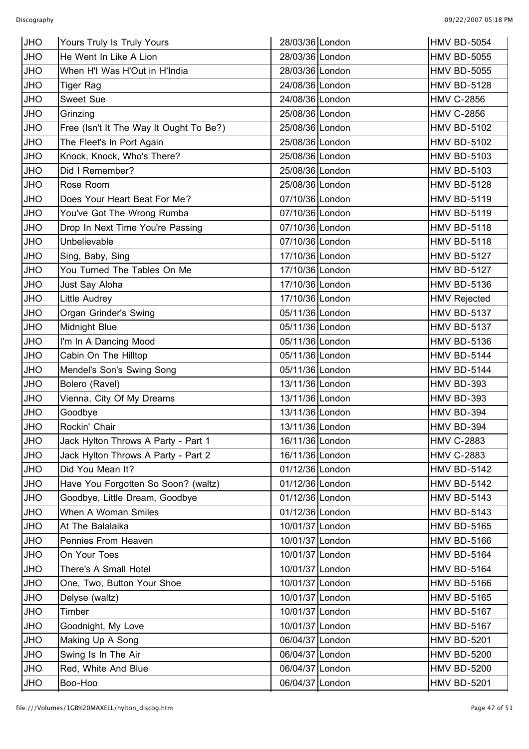| <b>JHO</b> | Yours Truly Is Truly Yours              | 28/03/36 London | HMV BD-5054         |
|------------|-----------------------------------------|-----------------|---------------------|
| <b>JHO</b> | He Went In Like A Lion                  | 28/03/36 London | <b>HMV BD-5055</b>  |
| <b>JHO</b> | When H'I Was H'Out in H'India           | 28/03/36 London | <b>HMV BD-5055</b>  |
| <b>JHO</b> | <b>Tiger Rag</b>                        | 24/08/36 London | <b>HMV BD-5128</b>  |
| <b>JHO</b> | Sweet Sue                               | 24/08/36 London | <b>HMV C-2856</b>   |
| JHO        | Grinzing                                | 25/08/36 London | <b>HMV C-2856</b>   |
| <b>JHO</b> | Free (Isn't It The Way It Ought To Be?) | 25/08/36 London | <b>HMV BD-5102</b>  |
| <b>JHO</b> | The Fleet's In Port Again               | 25/08/36 London | <b>HMV BD-5102</b>  |
| <b>JHO</b> | Knock, Knock, Who's There?              | 25/08/36 London | <b>HMV BD-5103</b>  |
| <b>JHO</b> | Did I Remember?                         | 25/08/36 London | <b>HMV BD-5103</b>  |
| <b>JHO</b> | Rose Room                               | 25/08/36 London | <b>HMV BD-5128</b>  |
| <b>OHL</b> | Does Your Heart Beat For Me?            | 07/10/36 London | <b>HMV BD-5119</b>  |
| <b>JHO</b> | You've Got The Wrong Rumba              | 07/10/36 London | <b>HMV BD-5119</b>  |
| <b>JHO</b> | Drop In Next Time You're Passing        | 07/10/36 London | <b>HMV BD-5118</b>  |
| <b>JHO</b> | Unbelievable                            | 07/10/36 London | <b>HMV BD-5118</b>  |
| <b>JHO</b> | Sing, Baby, Sing                        | 17/10/36 London | <b>HMV BD-5127</b>  |
| <b>JHO</b> | You Turned The Tables On Me             | 17/10/36 London | <b>HMV BD-5127</b>  |
| <b>OHL</b> | Just Say Aloha                          | 17/10/36 London | <b>HMV BD-5136</b>  |
| <b>JHO</b> | <b>Little Audrey</b>                    | 17/10/36 London | <b>HMV Rejected</b> |
| <b>JHO</b> | Organ Grinder's Swing                   | 05/11/36 London | <b>HMV BD-5137</b>  |
| <b>JHO</b> | Midnight Blue                           | 05/11/36 London | <b>HMV BD-5137</b>  |
| <b>JHO</b> | I'm In A Dancing Mood                   | 05/11/36 London | <b>HMV BD-5136</b>  |
| <b>JHO</b> | Cabin On The Hilltop                    | 05/11/36 London | <b>HMV BD-5144</b>  |
| <b>OHL</b> | Mendel's Son's Swing Song               | 05/11/36 London | <b>HMV BD-5144</b>  |
| <b>JHO</b> | Bolero (Ravel)                          | 13/11/36 London | <b>HMV BD-393</b>   |
| <b>JHO</b> | Vienna, City Of My Dreams               | 13/11/36 London | <b>HMV BD-393</b>   |
| <b>JHO</b> | Goodbye                                 | 13/11/36 London | HMV BD-394          |
| <b>JHO</b> | Rockin' Chair                           | 13/11/36 London | HMV BD-394          |
| <b>JHO</b> | Jack Hylton Throws A Party - Part 1     | 16/11/36 London | <b>HMV C-2883</b>   |
| <b>JHO</b> | Jack Hylton Throws A Party - Part 2     | 16/11/36 London | <b>HMV C-2883</b>   |
| JHO        | Did You Mean It?                        | 01/12/36 London | <b>HMV BD-5142</b>  |
| <b>OHL</b> | Have You Forgotten So Soon? (waltz)     | 01/12/36 London | <b>HMV BD-5142</b>  |
| <b>OHL</b> | Goodbye, Little Dream, Goodbye          | 01/12/36 London | <b>HMV BD-5143</b>  |
| JHO        | When A Woman Smiles                     | 01/12/36 London | <b>HMV BD-5143</b>  |
| <b>OHL</b> | At The Balalaika                        | 10/01/37 London | <b>HMV BD-5165</b>  |
| <b>JHO</b> | Pennies From Heaven                     | 10/01/37 London | <b>HMV BD-5166</b>  |
| JHO        | On Your Toes                            | 10/01/37 London | <b>HMV BD-5164</b>  |
| <b>OHL</b> | There's A Small Hotel                   | 10/01/37 London | <b>HMV BD-5164</b>  |
| <b>OHL</b> | One, Two, Button Your Shoe              | 10/01/37 London | <b>HMV BD-5166</b>  |
| JHO        | Delyse (waltz)                          | 10/01/37 London | <b>HMV BD-5165</b>  |
| <b>OHL</b> | Timber                                  | 10/01/37 London | <b>HMV BD-5167</b>  |
| <b>OHL</b> | Goodnight, My Love                      | 10/01/37 London | <b>HMV BD-5167</b>  |
| JHO        | Making Up A Song                        | 06/04/37 London | <b>HMV BD-5201</b>  |
| <b>OHL</b> | Swing Is In The Air                     | 06/04/37 London | <b>HMV BD-5200</b>  |
| <b>OHL</b> | Red, White And Blue                     | 06/04/37 London | <b>HMV BD-5200</b>  |
| <b>OHL</b> | Boo-Hoo                                 | 06/04/37 London | <b>HMV BD-5201</b>  |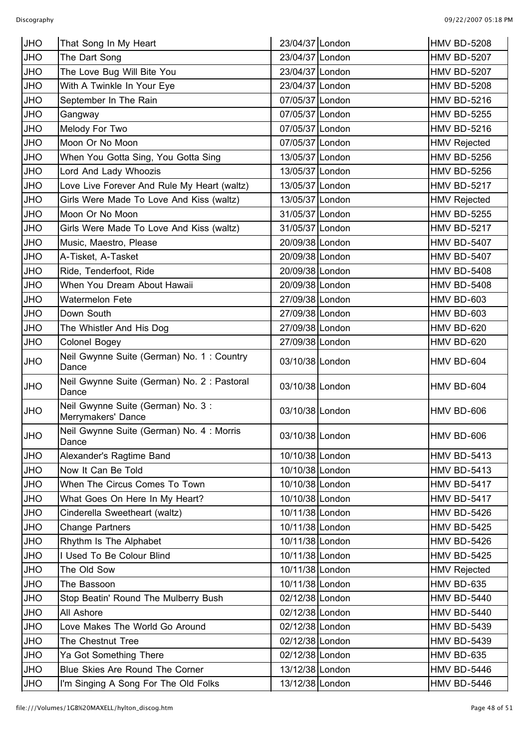| <b>JHO</b> | That Song In My Heart                                   | 23/04/37 London | HMV BD-5208         |
|------------|---------------------------------------------------------|-----------------|---------------------|
| <b>JHO</b> | The Dart Song                                           | 23/04/37 London | <b>HMV BD-5207</b>  |
| <b>JHO</b> | The Love Bug Will Bite You                              | 23/04/37 London | <b>HMV BD-5207</b>  |
| <b>JHO</b> | With A Twinkle In Your Eye                              | 23/04/37 London | <b>HMV BD-5208</b>  |
| <b>JHO</b> | September In The Rain                                   | 07/05/37 London | <b>HMV BD-5216</b>  |
| <b>JHO</b> | Gangway                                                 | 07/05/37 London | <b>HMV BD-5255</b>  |
| <b>JHO</b> | Melody For Two                                          | 07/05/37 London | <b>HMV BD-5216</b>  |
| <b>JHO</b> | Moon Or No Moon                                         | 07/05/37 London | <b>HMV Rejected</b> |
| <b>JHO</b> | When You Gotta Sing, You Gotta Sing                     | 13/05/37 London | <b>HMV BD-5256</b>  |
| <b>JHO</b> | Lord And Lady Whoozis                                   | 13/05/37 London | <b>HMV BD-5256</b>  |
| <b>JHO</b> | Love Live Forever And Rule My Heart (waltz)             | 13/05/37 London | <b>HMV BD-5217</b>  |
| <b>JHO</b> | Girls Were Made To Love And Kiss (waltz)                | 13/05/37 London | <b>HMV Rejected</b> |
| <b>JHO</b> | Moon Or No Moon                                         | 31/05/37 London | <b>HMV BD-5255</b>  |
| <b>JHO</b> | Girls Were Made To Love And Kiss (waltz)                | 31/05/37 London | <b>HMV BD-5217</b>  |
| <b>JHO</b> | Music, Maestro, Please                                  | 20/09/38 London | <b>HMV BD-5407</b>  |
| <b>JHO</b> | A-Tisket, A-Tasket                                      | 20/09/38 London | <b>HMV BD-5407</b>  |
| <b>JHO</b> | Ride, Tenderfoot, Ride                                  | 20/09/38 London | <b>HMV BD-5408</b>  |
| <b>JHO</b> | When You Dream About Hawaii                             | 20/09/38 London | <b>HMV BD-5408</b>  |
| <b>JHO</b> | Watermelon Fete                                         | 27/09/38 London | HMV BD-603          |
| <b>JHO</b> | Down South                                              | 27/09/38 London | <b>HMV BD-603</b>   |
| <b>JHO</b> | The Whistler And His Dog                                | 27/09/38 London | HMV BD-620          |
| <b>JHO</b> | Colonel Bogey                                           | 27/09/38 London | HMV BD-620          |
| <b>JHO</b> | Neil Gwynne Suite (German) No. 1: Country<br>Dance      | 03/10/38 London | HMV BD-604          |
| <b>JHO</b> | Neil Gwynne Suite (German) No. 2: Pastoral<br>Dance     | 03/10/38 London | HMV BD-604          |
| <b>JHO</b> | Neil Gwynne Suite (German) No. 3:<br>Merrymakers' Dance | 03/10/38 London | HMV BD-606          |
| <b>JHO</b> | Neil Gwynne Suite (German) No. 4: Morris<br>Dance       | 03/10/38 London | HMV BD-606          |
| <b>JHO</b> | Alexander's Ragtime Band                                | 10/10/38 London | <b>HMV BD-5413</b>  |
| <b>JHO</b> | Now It Can Be Told                                      | 10/10/38 London | <b>HMV BD-5413</b>  |
| <b>JHO</b> | When The Circus Comes To Town                           | 10/10/38 London | <b>HMV BD-5417</b>  |
| <b>JHO</b> | What Goes On Here In My Heart?                          | 10/10/38 London | <b>HMV BD-5417</b>  |
| <b>JHO</b> | Cinderella Sweetheart (waltz)                           | 10/11/38 London | <b>HMV BD-5426</b>  |
| <b>JHO</b> | <b>Change Partners</b>                                  | 10/11/38 London | <b>HMV BD-5425</b>  |
| <b>JHO</b> | Rhythm Is The Alphabet                                  | 10/11/38 London | <b>HMV BD-5426</b>  |
| <b>JHO</b> | I Used To Be Colour Blind                               | 10/11/38 London | <b>HMV BD-5425</b>  |
| <b>JHO</b> | The Old Sow                                             | 10/11/38 London | <b>HMV Rejected</b> |
| <b>JHO</b> | The Bassoon                                             | 10/11/38 London | HMV BD-635          |
| <b>JHO</b> | Stop Beatin' Round The Mulberry Bush                    | 02/12/38 London | <b>HMV BD-5440</b>  |
| <b>JHO</b> | All Ashore                                              | 02/12/38 London | <b>HMV BD-5440</b>  |
| <b>JHO</b> | Love Makes The World Go Around                          | 02/12/38 London | <b>HMV BD-5439</b>  |
| <b>JHO</b> | The Chestnut Tree                                       | 02/12/38 London | <b>HMV BD-5439</b>  |
| <b>JHO</b> | Ya Got Something There                                  | 02/12/38 London | HMV BD-635          |
| <b>JHO</b> | Blue Skies Are Round The Corner                         | 13/12/38 London | <b>HMV BD-5446</b>  |
| <b>JHO</b> | I'm Singing A Song For The Old Folks                    | 13/12/38 London | <b>HMV BD-5446</b>  |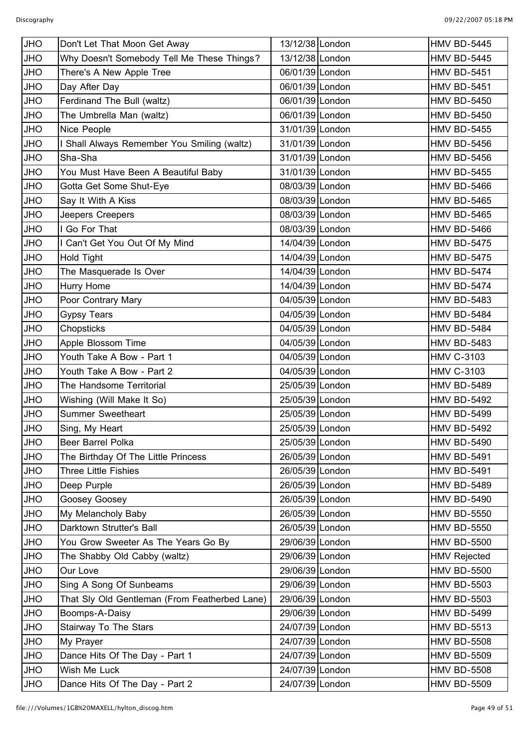| <b>JHO</b> | Don't Let That Moon Get Away                  | 13/12/38 London | HMV BD-5445         |
|------------|-----------------------------------------------|-----------------|---------------------|
| <b>JHO</b> | Why Doesn't Somebody Tell Me These Things?    | 13/12/38 London | <b>HMV BD-5445</b>  |
| <b>OHL</b> | There's A New Apple Tree                      | 06/01/39 London | <b>HMV BD-5451</b>  |
| <b>OHL</b> | Day After Day                                 | 06/01/39 London | <b>HMV BD-5451</b>  |
| <b>OHL</b> | Ferdinand The Bull (waltz)                    | 06/01/39 London | <b>HMV BD-5450</b>  |
| <b>OHL</b> | The Umbrella Man (waltz)                      | 06/01/39 London | <b>HMV BD-5450</b>  |
| <b>JHO</b> | Nice People                                   | 31/01/39 London | <b>HMV BD-5455</b>  |
| <b>OHL</b> | I Shall Always Remember You Smiling (waltz)   | 31/01/39 London | <b>HMV BD-5456</b>  |
| JHO        | Sha-Sha                                       | 31/01/39 London | <b>HMV BD-5456</b>  |
| <b>OHL</b> | You Must Have Been A Beautiful Baby           | 31/01/39 London | <b>HMV BD-5455</b>  |
| <b>OHL</b> | Gotta Get Some Shut-Eye                       | 08/03/39 London | <b>HMV BD-5466</b>  |
| <b>OHL</b> | Say It With A Kiss                            | 08/03/39 London | <b>HMV BD-5465</b>  |
| JHO        | Jeepers Creepers                              | 08/03/39 London | <b>HMV BD-5465</b>  |
| <b>OHL</b> | I Go For That                                 | 08/03/39 London | <b>HMV BD-5466</b>  |
| JHO        | I Can't Get You Out Of My Mind                | 14/04/39 London | <b>HMV BD-5475</b>  |
| <b>JHO</b> | Hold Tight                                    | 14/04/39 London | <b>HMV BD-5475</b>  |
| <b>JHO</b> | The Masquerade Is Over                        | 14/04/39 London | <b>HMV BD-5474</b>  |
| <b>OHL</b> | Hurry Home                                    | 14/04/39 London | <b>HMV BD-5474</b>  |
| JHO        | Poor Contrary Mary                            | 04/05/39 London | <b>HMV BD-5483</b>  |
| <b>OHL</b> | <b>Gypsy Tears</b>                            | 04/05/39 London | <b>HMV BD-5484</b>  |
| <b>OHL</b> | Chopsticks                                    | 04/05/39 London | <b>HMV BD-5484</b>  |
| JHO        | Apple Blossom Time                            | 04/05/39 London | <b>HMV BD-5483</b>  |
| JHO        | Youth Take A Bow - Part 1                     | 04/05/39 London | <b>HMV C-3103</b>   |
| <b>OHL</b> | Youth Take A Bow - Part 2                     | 04/05/39 London | <b>HMV C-3103</b>   |
| JHO        | The Handsome Territorial                      | 25/05/39 London | <b>HMV BD-5489</b>  |
| <b>OHL</b> | Wishing (Will Make It So)                     | 25/05/39 London | <b>HMV BD-5492</b>  |
| <b>JHO</b> | <b>Summer Sweetheart</b>                      | 25/05/39 London | <b>HMV BD-5499</b>  |
| <b>JHO</b> | Sing, My Heart                                | 25/05/39 London | <b>HMV BD-5492</b>  |
| <b>JHO</b> | Beer Barrel Polka                             | 25/05/39 London | <b>HMV BD-5490</b>  |
| <b>JHO</b> | The Birthday Of The Little Princess           | 26/05/39 London | <b>HMV BD-5491</b>  |
| <b>OHU</b> | Three Little Fishies                          | 26/05/39 London | <b>HMV BD-5491</b>  |
| JHO        | Deep Purple                                   | 26/05/39 London | <b>HMV BD-5489</b>  |
| <b>OHL</b> | Goosey Goosey                                 | 26/05/39 London | <b>HMV BD-5490</b>  |
| <b>OHU</b> | My Melancholy Baby                            | 26/05/39 London | <b>HMV BD-5550</b>  |
| JHO        | Darktown Strutter's Ball                      | 26/05/39 London | <b>HMV BD-5550</b>  |
| <b>OHL</b> | You Grow Sweeter As The Years Go By           | 29/06/39 London | <b>HMV BD-5500</b>  |
| <b>OHU</b> | The Shabby Old Cabby (waltz)                  | 29/06/39 London | <b>HMV Rejected</b> |
| JHO        | Our Love                                      | 29/06/39 London | <b>HMV BD-5500</b>  |
| <b>OHL</b> | Sing A Song Of Sunbeams                       | 29/06/39 London | <b>HMV BD-5503</b>  |
| <b>OHU</b> | That Sly Old Gentleman (From Featherbed Lane) | 29/06/39 London | <b>HMV BD-5503</b>  |
| JHO        | Boomps-A-Daisy                                | 29/06/39 London | <b>HMV BD-5499</b>  |
| <b>OHL</b> | Stairway To The Stars                         | 24/07/39 London | <b>HMV BD-5513</b>  |
| <b>OHU</b> | My Prayer                                     | 24/07/39 London | <b>HMV BD-5508</b>  |
| JHO        | Dance Hits Of The Day - Part 1                | 24/07/39 London | <b>HMV BD-5509</b>  |
| <b>OHL</b> | Wish Me Luck                                  | 24/07/39 London | HMV BD-5508         |
| JHO        | Dance Hits Of The Day - Part 2                | 24/07/39 London | <b>HMV BD-5509</b>  |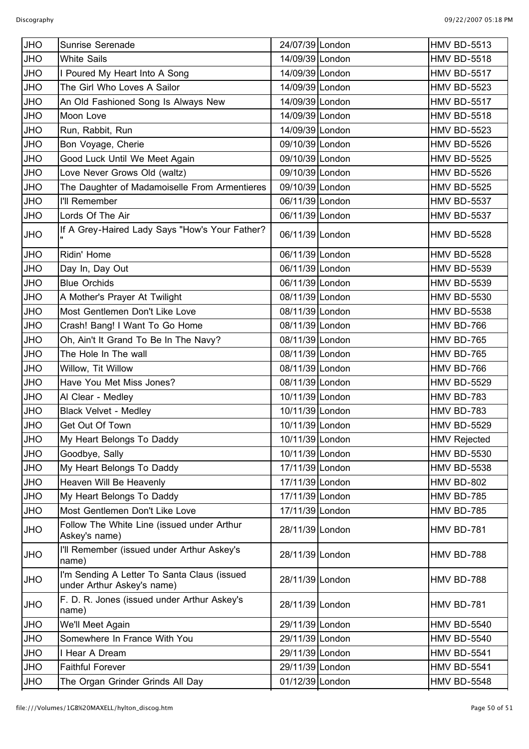| <b>JHO</b> | Sunrise Serenade                                                          | 24/07/39 London | <b>HMV BD-5513</b>  |
|------------|---------------------------------------------------------------------------|-----------------|---------------------|
| <b>JHO</b> | <b>White Sails</b>                                                        | 14/09/39 London | <b>HMV BD-5518</b>  |
| <b>JHO</b> | I Poured My Heart Into A Song                                             | 14/09/39 London | <b>HMV BD-5517</b>  |
| <b>JHO</b> | The Girl Who Loves A Sailor                                               | 14/09/39 London | <b>HMV BD-5523</b>  |
| <b>JHO</b> | An Old Fashioned Song Is Always New                                       | 14/09/39 London | <b>HMV BD-5517</b>  |
| <b>JHO</b> | Moon Love                                                                 | 14/09/39 London | <b>HMV BD-5518</b>  |
| <b>JHO</b> | Run, Rabbit, Run                                                          | 14/09/39 London | <b>HMV BD-5523</b>  |
| <b>JHO</b> | Bon Voyage, Cherie                                                        | 09/10/39 London | <b>HMV BD-5526</b>  |
| <b>JHO</b> | Good Luck Until We Meet Again                                             | 09/10/39 London | <b>HMV BD-5525</b>  |
| <b>JHO</b> | Love Never Grows Old (waltz)                                              | 09/10/39 London | <b>HMV BD-5526</b>  |
| <b>JHO</b> | The Daughter of Madamoiselle From Armentieres                             | 09/10/39 London | <b>HMV BD-5525</b>  |
| <b>JHO</b> | I'll Remember                                                             | 06/11/39 London | <b>HMV BD-5537</b>  |
|            |                                                                           |                 |                     |
| <b>JHO</b> | Lords Of The Air                                                          | 06/11/39 London | <b>HMV BD-5537</b>  |
| <b>JHO</b> | If A Grey-Haired Lady Says "How's Your Father?                            | 06/11/39 London | <b>HMV BD-5528</b>  |
| <b>JHO</b> | Ridin' Home                                                               | 06/11/39 London | <b>HMV BD-5528</b>  |
| <b>JHO</b> | Day In, Day Out                                                           | 06/11/39 London | <b>HMV BD-5539</b>  |
| <b>JHO</b> | <b>Blue Orchids</b>                                                       | 06/11/39 London | <b>HMV BD-5539</b>  |
| <b>JHO</b> | A Mother's Prayer At Twilight                                             | 08/11/39 London | <b>HMV BD-5530</b>  |
| <b>JHO</b> | Most Gentlemen Don't Like Love                                            | 08/11/39 London | <b>HMV BD-5538</b>  |
| <b>JHO</b> | Crash! Bang! I Want To Go Home                                            | 08/11/39 London | <b>HMV BD-766</b>   |
| <b>JHO</b> | Oh, Ain't It Grand To Be In The Navy?                                     | 08/11/39 London | <b>HMV BD-765</b>   |
| <b>JHO</b> | The Hole In The wall                                                      | 08/11/39 London | <b>HMV BD-765</b>   |
| <b>JHO</b> | Willow, Tit Willow                                                        | 08/11/39 London | <b>HMV BD-766</b>   |
| <b>JHO</b> | Have You Met Miss Jones?                                                  | 08/11/39 London | <b>HMV BD-5529</b>  |
| <b>JHO</b> | Al Clear - Medley                                                         | 10/11/39 London | <b>HMV BD-783</b>   |
| <b>JHO</b> | <b>Black Velvet - Medley</b>                                              | 10/11/39 London | <b>HMV BD-783</b>   |
| <b>JHO</b> | Get Out Of Town                                                           | 10/11/39 London | <b>HMV BD-5529</b>  |
| <b>JHO</b> | My Heart Belongs To Daddy                                                 | 10/11/39 London | <b>HMV Rejected</b> |
| <b>JHO</b> | Goodbye, Sally                                                            | 10/11/39 London | <b>HMV BD-5530</b>  |
| <b>JHO</b> | My Heart Belongs To Daddy                                                 | 17/11/39 London | <b>HMV BD-5538</b>  |
| <b>JHO</b> | Heaven Will Be Heavenly                                                   | 17/11/39 London | <b>HMV BD-802</b>   |
| <b>JHO</b> | My Heart Belongs To Daddy                                                 | 17/11/39 London | <b>HMV BD-785</b>   |
| <b>JHO</b> | Most Gentlemen Don't Like Love                                            | 17/11/39 London | <b>HMV BD-785</b>   |
| <b>JHO</b> | Follow The White Line (issued under Arthur<br>Askey's name)               | 28/11/39 London | <b>HMV BD-781</b>   |
| <b>JHO</b> | I'll Remember (issued under Arthur Askey's<br>name)                       | 28/11/39 London | HMV BD-788          |
| <b>JHO</b> | I'm Sending A Letter To Santa Claus (issued<br>under Arthur Askey's name) | 28/11/39 London | HMV BD-788          |
| <b>JHO</b> | F. D. R. Jones (issued under Arthur Askey's<br>name)                      | 28/11/39 London | <b>HMV BD-781</b>   |
| <b>JHO</b> | We'll Meet Again                                                          | 29/11/39 London | <b>HMV BD-5540</b>  |
| <b>JHO</b> | Somewhere In France With You                                              | 29/11/39 London | <b>HMV BD-5540</b>  |
| <b>JHO</b> | I Hear A Dream                                                            | 29/11/39 London | <b>HMV BD-5541</b>  |
| JHO        | <b>Faithful Forever</b>                                                   | 29/11/39 London | <b>HMV BD-5541</b>  |
| <b>JHO</b> | The Organ Grinder Grinds All Day                                          | 01/12/39 London | <b>HMV BD-5548</b>  |
|            |                                                                           |                 |                     |